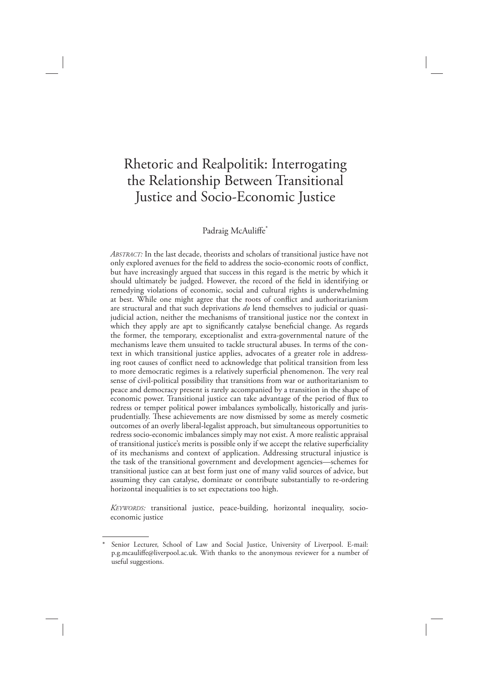# Rhetoric and Realpolitik: Interrogating the Relationship Between Transitional Justice and Socio-Economic Justice

#### Padraig McAuliffe\*

*ABSTRACT:* In the last decade, theorists and scholars of transitional justice have not only explored avenues for the field to address the socio-economic roots of conflict, but have increasingly argued that success in this regard is the metric by which it should ultimately be judged. However, the record of the field in identifying or remedying violations of economic, social and cultural rights is underwhelming at best. While one might agree that the roots of conflict and authoritarianism are structural and that such deprivations *do* lend themselves to judicial or quasijudicial action, neither the mechanisms of transitional justice nor the context in which they apply are apt to significantly catalyse beneficial change. As regards the former, the temporary, exceptionalist and extra-governmental nature of the mechanisms leave them unsuited to tackle structural abuses. In terms of the context in which transitional justice applies, advocates of a greater role in addressing root causes of conflict need to acknowledge that political transition from less to more democratic regimes is a relatively superficial phenomenon. The very real sense of civil-political possibility that transitions from war or authoritarianism to peace and democracy present is rarely accompanied by a transition in the shape of economic power. Transitional justice can take advantage of the period of flux to redress or temper political power imbalances symbolically, historically and jurisprudentially. These achievements are now dismissed by some as merely cosmetic outcomes of an overly liberal-legalist approach, but simultaneous opportunities to redress socio-economic imbalances simply may not exist. A more realistic appraisal of transitional justice's merits is possible only if we accept the relative superficiality of its mechanisms and context of application. Addressing structural injustice is the task of the transitional government and development agencies—schemes for transitional justice can at best form just one of many valid sources of advice, but assuming they can catalyse, dominate or contribute substantially to re-ordering horizontal inequalities is to set expectations too high.

*KEYWORDS:* transitional justice, peace-building, horizontal inequality, socioeconomic justice

Senior Lecturer, School of Law and Social Justice, University of Liverpool. E-mail: p.g.mcauliffe@liverpool.ac.uk. With thanks to the anonymous reviewer for a number of useful suggestions.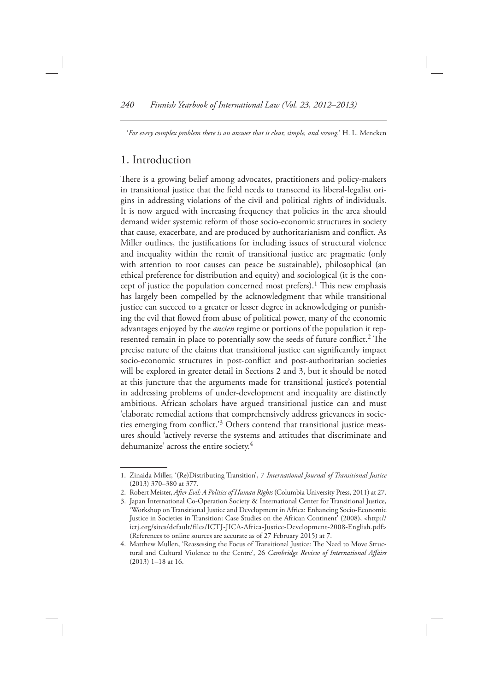' For every complex problem there is an answer that is clear, simple, and wrong.' H. L. Mencken

## 1. Introduction

There is a growing belief among advocates, practitioners and policy-makers in transitional justice that the field needs to transcend its liberal-legalist origins in addressing violations of the civil and political rights of individuals. It is now argued with increasing frequency that policies in the area should demand wider systemic reform of those socio-economic structures in society that cause, exacerbate, and are produced by authoritarianism and conflict. As Miller outlines, the justifications for including issues of structural violence and inequality within the remit of transitional justice are pragmatic (only with attention to root causes can peace be sustainable), philosophical (an ethical preference for distribution and equity) and sociological (it is the concept of justice the population concerned most prefers).<sup>1</sup> This new emphasis has largely been compelled by the acknowledgment that while transitional justice can succeed to a greater or lesser degree in acknowledging or punishing the evil that flowed from abuse of political power, many of the economic advantages enjoyed by the *ancien* regime or portions of the population it represented remain in place to potentially sow the seeds of future conflict.<sup>2</sup> The precise nature of the claims that transitional justice can significantly impact socio-economic structures in post-conflict and post-authoritarian societies will be explored in greater detail in Sections 2 and 3, but it should be noted at this juncture that the arguments made for transitional justice's potential in addressing problems of under-development and inequality are distinctly ambitious. African scholars have argued transitional justice can and must 'elaborate remedial actions that comprehensively address grievances in societies emerging from conflict.<sup>'3</sup> Others contend that transitional justice measures should 'actively reverse the systems and attitudes that discriminate and dehumanize' across the entire society.<sup>4</sup>

 <sup>1.</sup> Zinaida Miller , ' (Re)Distributing Transition ' , 7 *International Journal of Transitional Justice* (2013) 370-380 at 377.

<sup>2.</sup> Robert Meister, After Evil: A Politics of Human Rights (Columbia University Press, 2011) at 27.

 <sup>3.</sup> Japan International Co-Operation Society & International Center for Transitional Justice, ' Workshop on Transitional Justice and Development in Africa: Enhancing Socio-Economic Justice in Societies in Transition: Case Studies on the African Continent' (2008), <http:// ictj.org/sites/default/files/ICTJ-JICA-Africa-Justice-Development-2008-English.pdf> (References to online sources are accurate as of 27 February 2015) at 7.

<sup>4.</sup> Matthew Mullen, 'Reassessing the Focus of Transitional Justice: The Need to Move Structural and Cultural Violence to the Centre', 26 *Cambridge Review of International Affairs*  $(2013)$  1-18 at 16.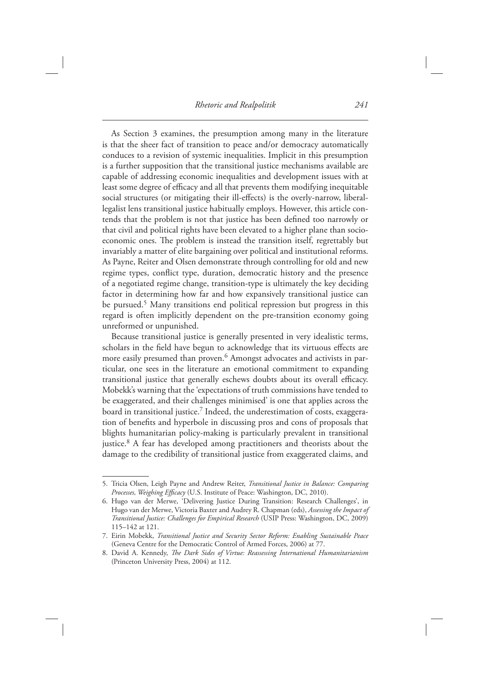As Section 3 examines, the presumption among many in the literature is that the sheer fact of transition to peace and/or democracy automatically conduces to a revision of systemic inequalities. Implicit in this presumption is a further supposition that the transitional justice mechanisms available are capable of addressing economic inequalities and development issues with at least some degree of efficacy and all that prevents them modifying inequitable social structures (or mitigating their ill-effects) is the overly-narrow, liberallegalist lens transitional justice habitually employs. However, this article contends that the problem is not that justice has been defined too narrowly or that civil and political rights have been elevated to a higher plane than socioeconomic ones. The problem is instead the transition itself, regrettably but invariably a matter of elite bargaining over political and institutional reforms. As Payne, Reiter and Olsen demonstrate through controlling for old and new regime types, conflict type, duration, democratic history and the presence of a negotiated regime change, transition-type is ultimately the key deciding factor in determining how far and how expansively transitional justice can be pursued.<sup>5</sup> Many transitions end political repression but progress in this regard is often implicitly dependent on the pre-transition economy going unreformed or unpunished.

 Because transitional justice is generally presented in very idealistic terms, scholars in the field have begun to acknowledge that its virtuous effects are more easily presumed than proven.<sup>6</sup> Amongst advocates and activists in particular, one sees in the literature an emotional commitment to expanding transitional justice that generally eschews doubts about its overall efficacy. Mobekk's warning that the 'expectations of truth commissions have tended to be exaggerated, and their challenges minimised' is one that applies across the board in transitional justice.<sup>7</sup> Indeed, the underestimation of costs, exaggeration of benefits and hyperbole in discussing pros and cons of proposals that blights humanitarian policy-making is particularly prevalent in transitional justice.<sup>8</sup> A fear has developed among practitioners and theorists about the damage to the credibility of transitional justice from exaggerated claims, and

<sup>5.</sup> Tricia Olsen, Leigh Payne and Andrew Reiter, *Transitional Justice in Balance: Comparing Processes, Weighing Efficacy* (U.S. Institute of Peace: Washington, DC, 2010)

<sup>6.</sup> Hugo van der Merwe, 'Delivering Justice During Transition: Research Challenges', in Hugo van der Merwe, Victoria Baxter and Audrey R. Chapman (eds), *Assessing the Impact of Transitional Justice: Challenges for Empirical Research* (USIP Press: Washington, DC, 2009) 115-142 at 121.

 <sup>7.</sup> Eirin Mobekk , *Transitional Justice and Security Sector Reform: Enabling Sustainable Peace* (Geneva Centre for the Democratic Control of Armed Forces, 2006) at 77.

<sup>8.</sup> David A. Kennedy, *The Dark Sides of Virtue: Reassessing International Humanitarianism* (Princeton University Press, 2004) at 112.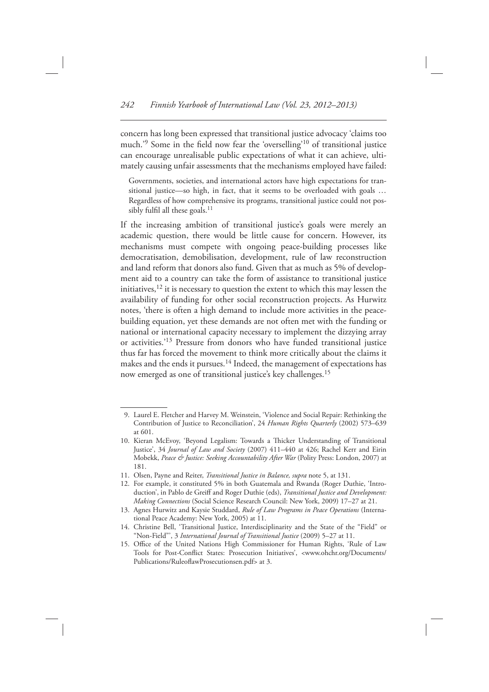concern has long been expressed that transitional justice advocacy 'claims too much.<sup>'9</sup> Some in the field now fear the 'overselling'<sup>10</sup> of transitional justice can encourage unrealisable public expectations of what it can achieve, ultimately causing unfair assessments that the mechanisms employed have failed:

 Governments, societies, and international actors have high expectations for transitional justice—so high, in fact, that it seems to be overloaded with goals ... Regardless of how comprehensive its programs, transitional justice could not possibly fulfil all these goals. $<sup>11</sup>$ </sup>

If the increasing ambition of transitional justice's goals were merely an academic question, there would be little cause for concern. However, its mechanisms must compete with ongoing peace-building processes like democratisation, demobilisation, development, rule of law reconstruction and land reform that donors also fund. Given that as much as 5% of development aid to a country can take the form of assistance to transitional justice initiatives,  $12$  it is necessary to question the extent to which this may lessen the availability of funding for other social reconstruction projects. As Hurwitz notes, 'there is often a high demand to include more activities in the peacebuilding equation, yet these demands are not often met with the funding or national or international capacity necessary to implement the dizzying array or activities.<sup>'13</sup> Pressure from donors who have funded transitional justice thus far has forced the movement to think more critically about the claims it makes and the ends it pursues.<sup>14</sup> Indeed, the management of expectations has now emerged as one of transitional justice's key challenges.<sup>15</sup>

<sup>9.</sup> Laurel E. Fletcher and Harvey M. Weinstein, 'Violence and Social Repair: Rethinking the Contribution of Justice to Reconciliation', 24 *Human Rights Quarterly* (2002) 573-639 at 601 .

<sup>10.</sup> Kieran McEvoy, 'Beyond Legalism: Towards a Thicker Understanding of Transitional Justice', 34 *Journal of Law and Society* (2007) 411-440 at 426; Rachel Kerr and Eirin Mobekk, *Peace & Justice: Seeking Accountability After War* (Polity Press: London, 2007) at 181 .

 <sup>11.</sup> Olsen, Payne and Reiter, *Transitional Justice in Balance, supra* note 5, at 131.

<sup>12.</sup> For example, it constituted 5% in both Guatemala and Rwanda (Roger Duthie, 'Introduction', in Pablo de Greiff and Roger Duthie (eds), *Transitional Justice and Development*: *Making Connections* (Social Science Research Council: New York, 2009) 17-27 at 21.

<sup>13.</sup> Agnes Hurwitz and Kaysie Studdard, *Rule of Law Programs in Peace Operations* (International Peace Academy: New York, 2005) at 11.

<sup>14.</sup> Christine Bell, 'Transitional Justice, Interdisciplinarity and the State of the "Field" or "Non-Field"', 3 *International Journal of Transitional Justice* (2009) 5-27 at 11.

<sup>15.</sup> Office of the United Nations High Commissioner for Human Rights, 'Rule of Law Tools for Post-Conflict States: Prosecution Initiatives', <www.ohchr.org/Documents/ Publications/RuleoflawProsecutionsen.pdf> at 3.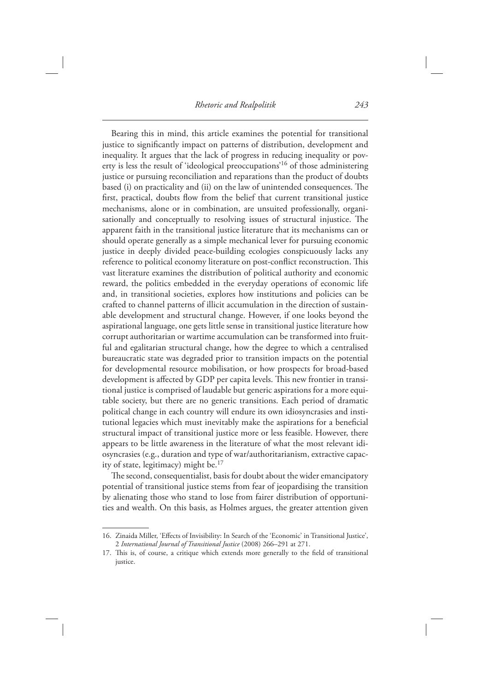*Rhetoric and Realpolitik 243*

 Bearing this in mind, this article examines the potential for transitional justice to significantly impact on patterns of distribution, development and inequality. It argues that the lack of progress in reducing inequality or poverty is less the result of 'ideological preoccupations'<sup>16</sup> of those administering justice or pursuing reconciliation and reparations than the product of doubts based (i) on practicality and (ii) on the law of unintended consequences. The first, practical, doubts flow from the belief that current transitional justice mechanisms, alone or in combination, are unsuited professionally, organisationally and conceptually to resolving issues of structural injustice. The apparent faith in the transitional justice literature that its mechanisms can or should operate generally as a simple mechanical lever for pursuing economic justice in deeply divided peace-building ecologies conspicuously lacks any reference to political economy literature on post-conflict reconstruction. This vast literature examines the distribution of political authority and economic reward, the politics embedded in the everyday operations of economic life and, in transitional societies, explores how institutions and policies can be crafted to channel patterns of illicit accumulation in the direction of sustainable development and structural change. However, if one looks beyond the aspirational language, one gets little sense in transitional justice literature how corrupt authoritarian or wartime accumulation can be transformed into fruitful and egalitarian structural change, how the degree to which a centralised bureaucratic state was degraded prior to transition impacts on the potential for developmental resource mobilisation, or how prospects for broad-based development is affected by GDP per capita levels. This new frontier in transitional justice is comprised of laudable but generic aspirations for a more equitable society, but there are no generic transitions. Each period of dramatic political change in each country will endure its own idiosyncrasies and institutional legacies which must inevitably make the aspirations for a beneficial structural impact of transitional justice more or less feasible. However, there appears to be little awareness in the literature of what the most relevant idiosyncrasies (e.g., duration and type of war/authoritarianism, extractive capacity of state, legitimacy) might be.<sup>17</sup>

The second, consequentialist, basis for doubt about the wider emancipatory potential of transitional justice stems from fear of jeopardising the transition by alienating those who stand to lose from fairer distribution of opportunities and wealth. On this basis, as Holmes argues, the greater attention given

<sup>16.</sup> Zinaida Miller, 'Effects of Invisibility: In Search of the 'Economic' in Transitional Justice', 2 International Journal of Transitional Justice (2008) 266-291 at 271.

<sup>17.</sup> This is, of course, a critique which extends more generally to the field of transitional justice.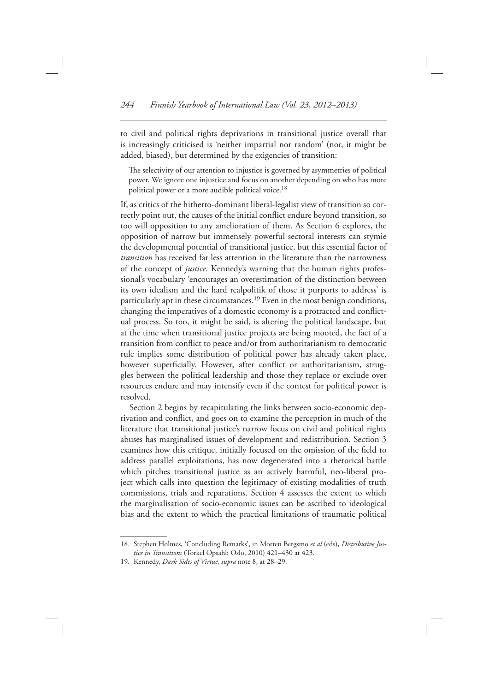to civil and political rights deprivations in transitional justice overall that is increasingly criticised is 'neither impartial nor random' (nor, it might be added, biased), but determined by the exigencies of transition:

The selectivity of our attention to injustice is governed by asymmetries of political power. We ignore one injustice and focus on another depending on who has more political power or a more audible political voice.<sup>18</sup>

 If, as critics of the hitherto-dominant liberal-legalist view of transition so correctly point out, the causes of the initial conflict endure beyond transition, so too will opposition to any amelioration of them. As Section 6 explores, the opposition of narrow but immensely powerful sectoral interests can stymie the developmental potential of transitional justice, but this essential factor of *transition* has received far less attention in the literature than the narrowness of the concept of *justice*. Kennedy's warning that the human rights professional's vocabulary 'encourages an overestimation of the distinction between its own idealism and the hard realpolitik of those it purports to address' is particularly apt in these circumstances.<sup>19</sup> Even in the most benign conditions, changing the imperatives of a domestic economy is a protracted and conflictual process. So too, it might be said, is altering the political landscape, but at the time when transitional justice projects are being mooted, the fact of a transition from conflict to peace and/or from authoritarianism to democratic rule implies some distribution of political power has already taken place, however superficially. However, after conflict or authoritarianism, struggles between the political leadership and those they replace or exclude over resources endure and may intensify even if the contest for political power is resolved.

 Section 2 begins by recapitulating the links between socio-economic deprivation and conflict, and goes on to examine the perception in much of the literature that transitional justice's narrow focus on civil and political rights abuses has marginalised issues of development and redistribution. Section 3 examines how this critique, initially focused on the omission of the field to address parallel exploitations, has now degenerated into a rhetorical battle which pitches transitional justice as an actively harmful, neo-liberal project which calls into question the legitimacy of existing modalities of truth commissions, trials and reparations. Section 4 assesses the extent to which the marginalisation of socio-economic issues can be ascribed to ideological bias and the extent to which the practical limitations of traumatic political

<sup>18.</sup> Stephen Holmes, 'Concluding Remarks', in Morten Bergsmo et al (eds), Distributive Justice in Transitions (Torkel Opsahl: Oslo, 2010) 421-430 at 423.

 <sup>19.</sup> Kennedy, *Dark Sides of Virtue* , *supra* note 8, at 28–29.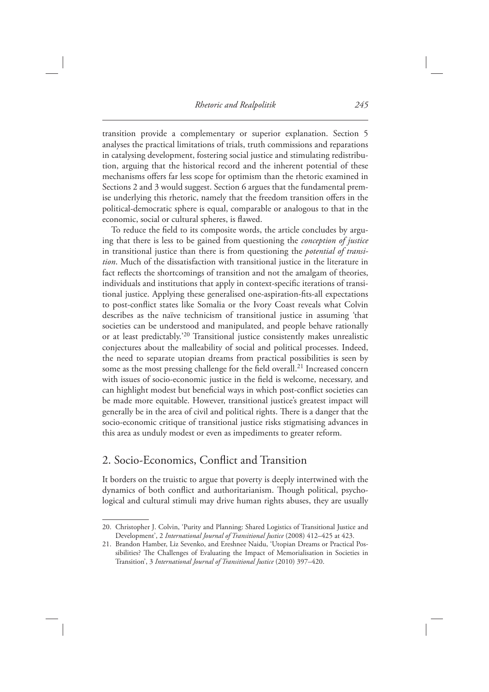transition provide a complementary or superior explanation. Section 5 analyses the practical limitations of trials, truth commissions and reparations in catalysing development, fostering social justice and stimulating redistribution, arguing that the historical record and the inherent potential of these mechanisms offers far less scope for optimism than the rhetoric examined in Sections 2 and 3 would suggest. Section 6 argues that the fundamental premise underlying this rhetoric, namely that the freedom transition offers in the political-democratic sphere is equal, comparable or analogous to that in the economic, social or cultural spheres, is flawed.

To reduce the field to its composite words, the article concludes by arguing that there is less to be gained from questioning the *conception of justice* in transitional justice than there is from questioning the *potential of transition*. Much of the dissatisfaction with transitional justice in the literature in fact reflects the shortcomings of transition and not the amalgam of theories, individuals and institutions that apply in context-specific iterations of transitional justice. Applying these generalised one-aspiration-fits-all expectations to post-conflict states like Somalia or the Ivory Coast reveals what Colvin describes as the naïve technicism of transitional justice in assuming 'that societies can be understood and manipulated, and people behave rationally or at least predictably.<sup>20</sup> Transitional justice consistently makes unrealistic conjectures about the malleability of social and political processes. Indeed, the need to separate utopian dreams from practical possibilities is seen by some as the most pressing challenge for the field overall.<sup>21</sup> Increased concern with issues of socio-economic justice in the field is welcome, necessary, and can highlight modest but beneficial ways in which post-conflict societies can be made more equitable. However, transitional justice's greatest impact will generally be in the area of civil and political rights. There is a danger that the socio-economic critique of transitional justice risks stigmatising advances in this area as unduly modest or even as impediments to greater reform.

## 2. Socio-Economics, Conflict and Transition

 It borders on the truistic to argue that poverty is deeply intertwined with the dynamics of both conflict and authoritarianism. Though political, psychological and cultural stimuli may drive human rights abuses, they are usually

<sup>20.</sup> Christopher J. Colvin, 'Purity and Planning: Shared Logistics of Transitional Justice and Development', 2 *International Journal of Transitional Justice* (2008) 412-425 at 423.

<sup>21.</sup> Brandon Hamber, Liz Sevenko, and Ereshnee Naidu, 'Utopian Dreams or Practical Possibilities? The Challenges of Evaluating the Impact of Memorialisation in Societies in Transition', 3 *International Journal of Transitional Justice* (2010) 397-420.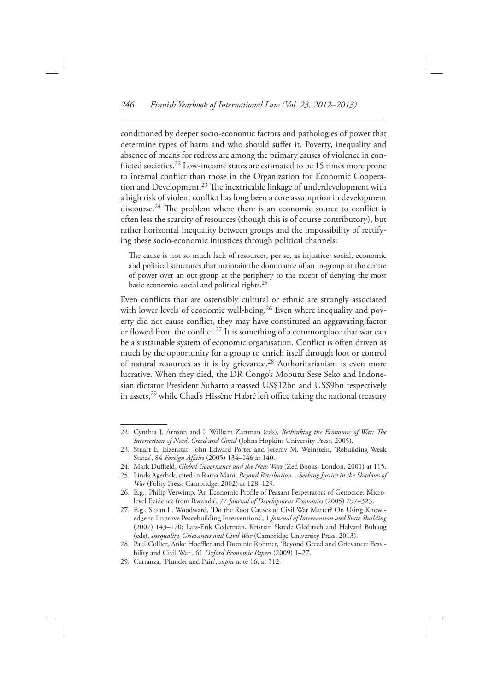conditioned by deeper socio-economic factors and pathologies of power that determine types of harm and who should suffer it. Poverty, inequality and absence of means for redress are among the primary causes of violence in conflicted societies.<sup>22</sup> Low-income states are estimated to be 15 times more prone to internal conflict than those in the Organization for Economic Cooperation and Development.<sup>23</sup> The inextricable linkage of underdevelopment with a high risk of violent conflict has long been a core assumption in development discourse.<sup>24</sup> The problem where there is an economic source to conflict is often less the scarcity of resources (though this is of course contributory), but rather horizontal inequality between groups and the impossibility of rectifying these socio-economic injustices through political channels:

The cause is not so much lack of resources, per se, as injustice: social, economic and political structures that maintain the dominance of an in-group at the centre of power over an out-group at the periphery to the extent of denying the most basic economic, social and political rights. 25

Even conflicts that are ostensibly cultural or ethnic are strongly associated with lower levels of economic well-being.<sup>26</sup> Even where inequality and poverty did not cause conflict, they may have constituted an aggravating factor or flowed from the conflict.<sup>27</sup> It is something of a commonplace that war can be a sustainable system of economic organisation. Conflict is often driven as much by the opportunity for a group to enrich itself through loot or control of natural resources as it is by grievance.<sup>28</sup> Authoritarianism is even more lucrative. When they died, the DR Congo's Mobutu Sese Seko and Indonesian dictator President Suharto amassed US\$12bn and US\$9bn respectively in assets,<sup>29</sup> while Chad's Hissène Habré left office taking the national treasury

<sup>22.</sup> Cynthia J. Arnson and I. William Zartman (eds), *Rethinking the Economic of War: The Intersection of Need, Creed and Greed* (Johns Hopkins University Press, 2005).

<sup>23.</sup> Stuart E. Eizenstat, John Edward Porter and Jeremy M. Weinstein, 'Rebuilding Weak States', 84 *Foreign Affairs* (2005) 134-146 at 140.

<sup>24.</sup> Mark Duffield, *Global Governance and the New Wars* (Zed Books: London, 2001) at 115.

<sup>25.</sup> Linda Agerbak, cited in Rama Mani, *Beyond Retribution—Seeking Justice in the Shadows of War* (Polity Press: Cambridge, 2002) at 128-129.

<sup>26.</sup> E.g., Philip Verwimp, 'An Economic Profile of Peasant Perpetrators of Genocide: Microlevel Evidence from Rwanda', 77 *Journal of Development Economics* (2005) 297-323.

<sup>27.</sup> E.g., Susan L. Woodward, 'Do the Root Causes of Civil War Matter? On Using Knowledge to Improve Peacebuilding Interventions', 1 *Journal of Intervention and State-Building* (2007) 143-170; Lars-Erik Cederman, Kristian Skrede Gleditsch and Halvard Buhaug (eds), *Inequality, Grievances and Civil War* (Cambridge University Press, 2013).

<sup>28.</sup> Paul Collier, Anke Hoeffler and Dominic Rohmer, 'Beyond Greed and Grievance: Feasibility and Civil War', 61 Oxford Economic Papers (2009) 1-27.

<sup>29.</sup> Carranza, 'Plunder and Pain', *supra* note 16, at 312.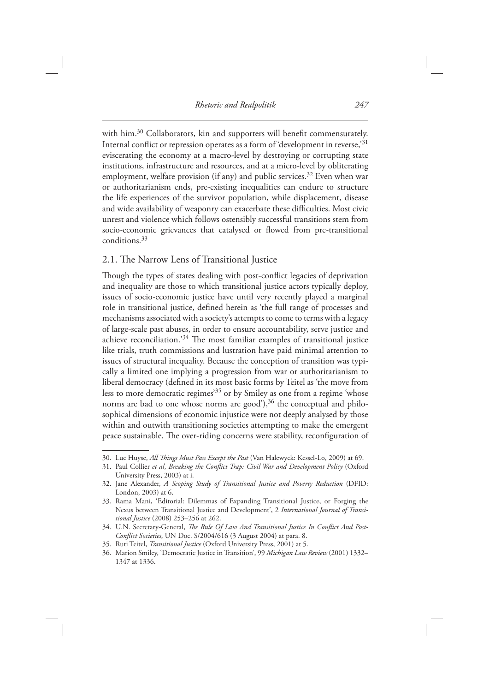with him.<sup>30</sup> Collaborators, kin and supporters will benefit commensurately. Internal conflict or repression operates as a form of 'development in reverse,' $31$ eviscerating the economy at a macro-level by destroying or corrupting state institutions, infrastructure and resources, and at a micro-level by obliterating employment, welfare provision (if any) and public services.<sup>32</sup> Even when war or authoritarianism ends, pre-existing inequalities can endure to structure the life experiences of the survivor population, while displacement, disease and wide availability of weaponry can exacerbate these difficulties. Most civic unrest and violence which follows ostensibly successful transitions stem from socio-economic grievances that catalysed or flowed from pre-transitional conditions. 33

#### 2.1. The Narrow Lens of Transitional Justice

Though the types of states dealing with post-conflict legacies of deprivation and inequality are those to which transitional justice actors typically deploy, issues of socio-economic justice have until very recently played a marginal role in transitional justice, defined herein as 'the full range of processes and mechanisms associated with a society's attempts to come to terms with a legacy of large-scale past abuses, in order to ensure accountability, serve justice and achieve reconciliation.<sup>'34</sup> The most familiar examples of transitional justice like trials, truth commissions and lustration have paid minimal attention to issues of structural inequality. Because the conception of transition was typically a limited one implying a progression from war or authoritarianism to liberal democracy (defined in its most basic forms by Teitel as 'the move from less to more democratic regimes<sup>35</sup> or by Smiley as one from a regime 'whose norms are bad to one whose norms are good'), $36$  the conceptual and philosophical dimensions of economic injustice were not deeply analysed by those within and outwith transitioning societies attempting to make the emergent peace sustainable. The over-riding concerns were stability, reconfiguration of

<sup>30.</sup> Luc Huyse, *All Things Must Pass Except the Past* (Van Halewyck: Kessel-Lo, 2009) at 69.

<sup>31.</sup> Paul Collier et al, *Breaking the Conflict Trap: Civil War and Development Policy* (Oxford University Press, 2003) at i.

 <sup>32.</sup> Jane Alexander , *A Scoping Study of Transitional Justice and Poverty Reduction* ( DFID: London, 2003) at 6.

<sup>33.</sup> Rama Mani, 'Editorial: Dilemmas of Expanding Transitional Justice, or Forging the Nexus between Transitional Justice and Development', 2 International Journal of Transi*tional Justice* (2008) 253-256 at 262.

<sup>34.</sup> U.N. Secretary-General, *The Rule Of Law And Transitional Justice In Conflict And Post-Conflict Societies*, UN Doc. S/2004/616 (3 August 2004) at para. 8.

<sup>35.</sup> Ruti Teitel, *Transitional Justice* (Oxford University Press, 2001) at 5.

<sup>36.</sup> Marion Smiley, 'Democratic Justice in Transition', 99 Michigan Law Review (2001) 1332-1347 at 1336.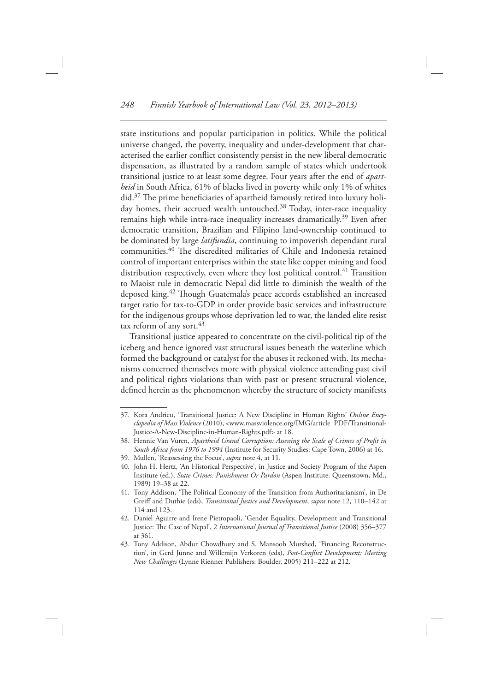state institutions and popular participation in politics. While the political universe changed, the poverty, inequality and under-development that characterised the earlier conflict consistently persist in the new liberal democratic dispensation, as illustrated by a random sample of states which undertook transitional justice to at least some degree. Four years after the end of *apartheid* in South Africa, 61% of blacks lived in poverty while only 1% of whites did.<sup>37</sup> The prime beneficiaries of apartheid famously retired into luxury holiday homes, their accrued wealth untouched.<sup>38</sup> Today, inter-race inequality remains high while intra-race inequality increases dramatically.<sup>39</sup> Even after democratic transition, Brazilian and Filipino land-ownership continued to be dominated by large *latifundia* , continuing to impoverish dependant rural communities.<sup>40</sup> The discredited militaries of Chile and Indonesia retained control of important enterprises within the state like copper mining and food distribution respectively, even where they lost political control.<sup>41</sup> Transition to Maoist rule in democratic Nepal did little to diminish the wealth of the deposed king.<sup>42</sup> Though Guatemala's peace accords established an increased target ratio for tax-to-GDP in order provide basic services and infrastructure for the indigenous groups whose deprivation led to war, the landed elite resist tax reform of any sort.<sup>43</sup>

 Transitional justice appeared to concentrate on the civil-political tip of the iceberg and hence ignored vast structural issues beneath the waterline which formed the background or catalyst for the abuses it reckoned with. Its mechanisms concerned themselves more with physical violence attending past civil and political rights violations than with past or present structural violence, defined herein as the phenomenon whereby the structure of society manifests

<sup>37.</sup> Kora Andrieu, 'Transitional Justice: A New Discipline in Human Rights' Online Ency*clopedia of Mass Violence* (2010), < www.massviolence.org/IMG/article\_PDF/Transitional-Justice-A-New-Discipline-in-Human-Rights.pdf> at 18.

<sup>38.</sup> Hennie Van Vuren, Apartheid Grand Corruption: Assessing the Scale of Crimes of Profit in South Africa from 1976 to 1994 (Institute for Security Studies: Cape Town, 2006) at 16.

<sup>39.</sup> Mullen, 'Reassessing the Focus', *supra* note 4, at 11.

<sup>40.</sup> John H. Hertz, 'An Historical Perspective', in Justice and Society Program of the Aspen Institute (ed.), *State Crimes: Punishment Or Pardon* (Aspen Institute: Queenstown, Md., 1989) 19-38 at 22.

<sup>41.</sup> Tony Addison, 'The Political Economy of the Transition from Authoritarianism', in De Greiff and Duthie (eds), *Transitional Justice and Development* , *supra* note 12, 110–142 at 114 and 123.

<sup>42.</sup> Daniel Aguirre and Irene Pietropaoli, 'Gender Equality, Development and Transitional Justice: The Case of Nepal', 2 *International Journal of Transitional Justice* (2008) 356–377 at 361 .

<sup>43.</sup> Tony Addison, Abdur Chowdhury and S. Mansoob Murshed, 'Financing Reconstruction', in Gerd Junne and Willemijn Verkoren (eds), *Post-Conflict Development: Meeting New Challenges* (Lynne Rienner Publishers: Boulder, 2005) 211-222 at 212.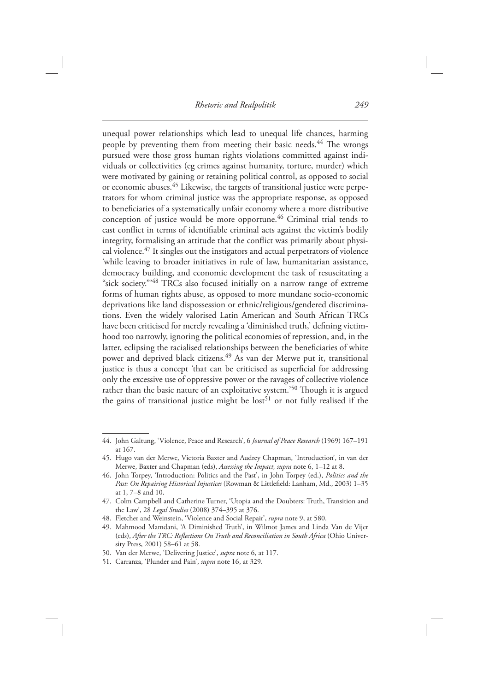unequal power relationships which lead to unequal life chances, harming people by preventing them from meeting their basic needs.<sup>44</sup> The wrongs pursued were those gross human rights violations committed against individuals or collectivities (eg crimes against humanity, torture, murder) which were motivated by gaining or retaining political control, as opposed to social or economic abuses. 45 Likewise, the targets of transitional justice were perpetrators for whom criminal justice was the appropriate response, as opposed to beneficiaries of a systematically unfair economy where a more distributive conception of justice would be more opportune.<sup>46</sup> Criminal trial tends to cast conflict in terms of identifiable criminal acts against the victim's bodily integrity, formalising an attitude that the conflict was primarily about physical violence. $47$  It singles out the instigators and actual perpetrators of violence ' while leaving to broader initiatives in rule of law, humanitarian assistance, democracy building, and economic development the task of resuscitating a "sick society."<sup>348</sup> TRCs also focused initially on a narrow range of extreme forms of human rights abuse, as opposed to more mundane socio-economic deprivations like land dispossession or ethnic/religious/gendered discriminations. Even the widely valorised Latin American and South African TRCs have been criticised for merely revealing a 'diminished truth,' defining victimhood too narrowly, ignoring the political economies of repression, and, in the latter, eclipsing the racialised relationships between the beneficiaries of white power and deprived black citizens.<sup>49</sup> As van der Merwe put it, transitional justice is thus a concept 'that can be criticised as superficial for addressing only the excessive use of oppressive power or the ravages of collective violence rather than the basic nature of an exploitative system.<sup>'50</sup> Though it is argued the gains of transitional justice might be  $\text{lost}^{51}$  or not fully realised if the

<sup>44.</sup> John Galtung, 'Violence, Peace and Research', 6 *Journal of Peace Research* (1969) 167-191 at 167 .

 <sup>45.</sup> Hugo van der Merwe, Victoria Baxter and Audrey Chapman, ' Introduction ' , in van der Merwe, Baxter and Chapman (eds), *Assessing the Impact, supra* note 6, 1–12 at 8.

<sup>46.</sup> John Torpey, 'Introduction: Politics and the Past', in John Torpey (ed.), *Politics and the* Past: On Repairing Historical Injustices (Rowman & Littlefield: Lanham, Md., 2003) 1-35 at 1, 7–8 and 10.

<sup>47.</sup> Colm Campbell and Catherine Turner, 'Utopia and the Doubters: Truth, Transition and the Law', 28 *Legal Studies* (2008) 374-395 at 376.

<sup>48.</sup> Fletcher and Weinstein, 'Violence and Social Repair', *supra* note 9, at 580.

<sup>49.</sup> Mahmood Mamdani, 'A Diminished Truth', in Wilmot James and Linda Van de Vijer (eds), After the TRC: Reflections On Truth and Reconciliation in South Africa (Ohio University Press, 2001) 58-61 at 58.

<sup>50.</sup> Van der Merwe, 'Delivering Justice', *supra* note 6, at 117.

<sup>51.</sup> Carranza, 'Plunder and Pain', *supra* note 16, at 329.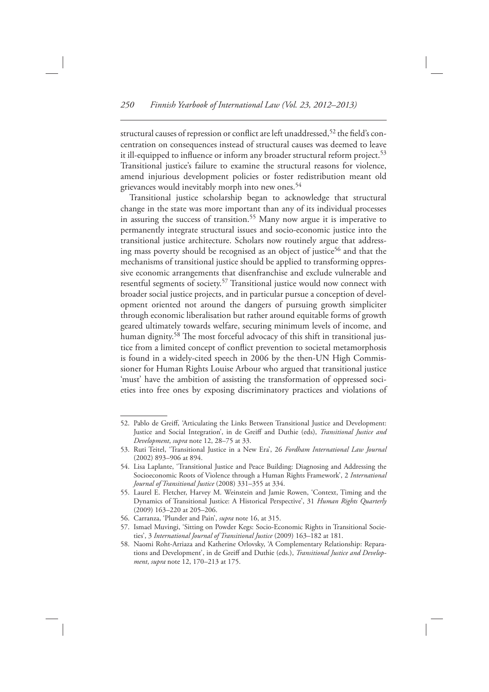structural causes of repression or conflict are left unaddressed, <sup>52</sup> the field's concentration on consequences instead of structural causes was deemed to leave it ill-equipped to influence or inform any broader structural reform project.<sup>53</sup> Transitional justice's failure to examine the structural reasons for violence, amend injurious development policies or foster redistribution meant old grievances would inevitably morph into new ones.<sup>54</sup>

 Transitional justice scholarship began to acknowledge that structural change in the state was more important than any of its individual processes in assuring the success of transition.<sup>55</sup> Many now argue it is imperative to permanently integrate structural issues and socio-economic justice into the transitional justice architecture. Scholars now routinely argue that addressing mass poverty should be recognised as an object of justice<sup>56</sup> and that the mechanisms of transitional justice should be applied to transforming oppressive economic arrangements that disenfranchise and exclude vulnerable and resentful segments of society.<sup>57</sup> Transitional justice would now connect with broader social justice projects, and in particular pursue a conception of development oriented not around the dangers of pursuing growth simpliciter through economic liberalisation but rather around equitable forms of growth geared ultimately towards welfare, securing minimum levels of income, and human dignity.<sup>58</sup> The most forceful advocacy of this shift in transitional justice from a limited concept of conflict prevention to societal metamorphosis is found in a widely-cited speech in 2006 by the then-UN High Commissioner for Human Rights Louise Arbour who argued that transitional justice 'must' have the ambition of assisting the transformation of oppressed societies into free ones by exposing discriminatory practices and violations of

<sup>52.</sup> Pablo de Greiff, 'Articulating the Links Between Transitional Justice and Development: Justice and Social Integration', in de Greiff and Duthie (eds), *Transitional Justice and Development* , *supra* note 12, 28–75 at 33.

<sup>53.</sup> Ruti Teitel, 'Transitional Justice in a New Era', 26 *Fordham International Law Journal* (2002) 893-906 at 894.

<sup>54.</sup> Lisa Laplante, 'Transitional Justice and Peace Building: Diagnosing and Addressing the Socioeconomic Roots of Violence through a Human Rights Framework', 2 *International Journal of Transitional Justice* (2008) 331-355 at 334.

<sup>55.</sup> Laurel E. Fletcher, Harvey M. Weinstein and Jamie Rowen, 'Context, Timing and the Dynamics of Transitional Justice: A Historical Perspective', 31 *Human Rights Quarterly* (2009) 163-220 at 205-206.

<sup>56.</sup> Carranza, 'Plunder and Pain', *supra* note 16, at 315.

<sup>57.</sup> Ismael Muvingi, 'Sitting on Powder Kegs: Socio-Economic Rights in Transitional Societies', 3 *International Journal of Transitional Justice* (2009) 163-182 at 181.

<sup>58.</sup> Naomi Roht-Arriaza and Katherine Orlovsky, 'A Complementary Relationship: Reparations and Development', in de Greiff and Duthie (eds.), *Transitional Justice and Development* , *supra* note 12, 170–213 at 175.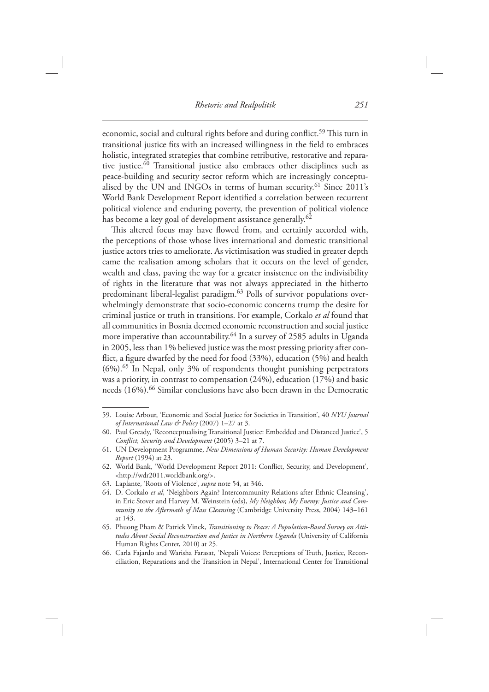economic, social and cultural rights before and during conflict.<sup>59</sup> This turn in transitional justice fits with an increased willingness in the field to embraces holistic, integrated strategies that combine retributive, restorative and reparative justice.<sup>60</sup> Transitional justice also embraces other disciplines such as peace-building and security sector reform which are increasingly conceptualised by the UN and INGOs in terms of human security.<sup>61</sup> Since 2011's World Bank Development Report identified a correlation between recurrent political violence and enduring poverty, the prevention of political violence has become a key goal of development assistance generally.<sup>62</sup>

This altered focus may have flowed from, and certainly accorded with, the perceptions of those whose lives international and domestic transitional justice actors tries to ameliorate. As victimisation was studied in greater depth came the realisation among scholars that it occurs on the level of gender, wealth and class, paving the way for a greater insistence on the indivisibility of rights in the literature that was not always appreciated in the hitherto predominant liberal-legalist paradigm.<sup>63</sup> Polls of survivor populations overwhelmingly demonstrate that socio-economic concerns trump the desire for criminal justice or truth in transitions. For example, Corkalo *et al* found that all communities in Bosnia deemed economic reconstruction and social justice more imperative than accountability.<sup>64</sup> In a survey of 2585 adults in Uganda in 2005, less than 1% believed justice was the most pressing priority after conflict, a figure dwarfed by the need for food (33%), education (5%) and health  $(6\%)$ . <sup>65</sup> In Nepal, only 3% of respondents thought punishing perpetrators was a priority, in contrast to compensation (24%), education (17%) and basic needs (16%). 66 Similar conclusions have also been drawn in the Democratic

<sup>59.</sup> Louise Arbour, 'Economic and Social Justice for Societies in Transition', 40 *NYU Journal of International Law & Policy* (2007) 1-27 at 3.

<sup>60.</sup> Paul Gready, 'Reconceptualising Transitional Justice: Embedded and Distanced Justice', 5 *Conflict, Security and Development* (2005) 3-21 at 7.

 <sup>61.</sup> UN Development Programme, *New Dimensions of Human Security: Human Development Report* (1994) at 23.

<sup>62.</sup> World Bank, 'World Development Report 2011: Conflict, Security, and Development', <http://wdr2011.worldbank.org/>.

<sup>63.</sup> Laplante, 'Roots of Violence', *supra* note 54, at 346.

<sup>64.</sup> D. Corkalo et al, 'Neighbors Again? Intercommunity Relations after Ethnic Cleansing', in Eric Stover and Harvey M. Weinstein (eds), *My Neighbor, My Enemy: Justice and Community in the Aftermath of Mass Cleansing* (Cambridge University Press, 2004) 143-161 at 143 .

 <sup>65.</sup> Phuong Pham & Patrick Vinck , *Transitioning to Peace: A Population-Based Survey on Attitudes About Social Reconstruction and Justice in Northern Uganda* ( University of California Human Rights Center, 2010) at 25.

<sup>66.</sup> Carla Fajardo and Warisha Farasat, 'Nepali Voices: Perceptions of Truth, Justice, Reconciliation, Reparations and the Transition in Nepal', International Center for Transitional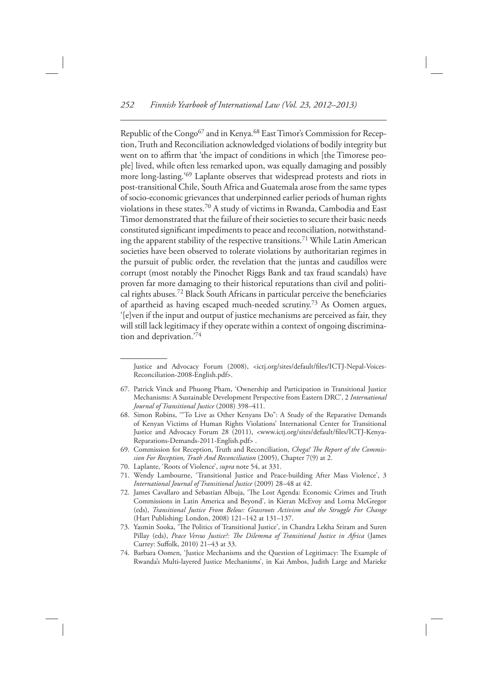Republic of the Congo<sup>67</sup> and in Kenya.<sup>68</sup> East Timor's Commission for Reception, Truth and Reconciliation acknowledged violations of bodily integrity but went on to affirm that 'the impact of conditions in which [the Timorese people] lived, while often less remarked upon, was equally damaging and possibly more long-lasting.<sup>'69</sup> Laplante observes that widespread protests and riots in post-transitional Chile, South Africa and Guatemala arose from the same types of socio-economic grievances that underpinned earlier periods of human rights violations in these states. 70 A study of victims in Rwanda, Cambodia and East Timor demonstrated that the failure of their societies to secure their basic needs constituted significant impediments to peace and reconciliation, notwithstanding the apparent stability of the respective transitions. 71 While Latin American societies have been observed to tolerate violations by authoritarian regimes in the pursuit of public order, the revelation that the juntas and caudillos were corrupt (most notably the Pinochet Riggs Bank and tax fraud scandals) have proven far more damaging to their historical reputations than civil and political rights abuses.<sup>72</sup> Black South Africans in particular perceive the beneficiaries of apartheid as having escaped much-needed scrutiny.<sup>73</sup> As Oomen argues, '[e]ven if the input and output of justice mechanisms are perceived as fair, they will still lack legitimacy if they operate within a context of ongoing discrimination and deprivation.<sup>'74</sup>

- 69. Commission for Reception, Truth and Reconciliation, *Chega! The Report of the Commission For Reception, Truth And Reconciliation* (2005), Chapter 7(9) at 2.
- 70. Laplante, 'Roots of Violence', *supra* note 54, at 331.
- 71. Wendy Lambourne, 'Transitional Justice and Peace-building After Mass Violence', 3 *International Journal of Transitional Justice* (2009) 28–48 at 42.
- 72. James Cavallaro and Sebastian Albuja, 'The Lost Agenda: Economic Crimes and Truth Commissions in Latin America and Beyond', in Kieran McEvoy and Lorna McGregor (eds), *Transitional Justice From Below: Grassroots Activism and the Struggle For Change* (Hart Publishing: London, 2008) 121-142 at 131-137.
- 73. Yasmin Sooka, 'The Politics of Transitional Justice', in Chandra Lekha Sriram and Suren Pillay (eds), *Peace Versus Justice?: The Dilemma of Transitional Justice in Africa* (James Currey: Suffolk, 2010) 21-43 at 33.
- 74. Barbara Oomen, 'Justice Mechanisms and the Question of Legitimacy: The Example of Rwanda's Multi-layered Justice Mechanisms', in Kai Ambos, Judith Large and Marieke

Justice and Advocacy Forum (2008), <ictj.org/sites/default/files/ICTJ-Nepal-Voices-Reconciliation-2008-English.pdf>.

<sup>67.</sup> Patrick Vinck and Phuong Pham, 'Ownership and Participation in Transitional Justice Mechanisms: A Sustainable Development Perspective from Eastern DRC ' , 2 *International Journal of Transitional Justice* (2008) 398-411.

<sup>68.</sup> Simon Robins, "To Live as Other Kenyans Do": A Study of the Reparative Demands of Kenyan Victims of Human Rights Violations' International Center for Transitional Justice and Advocacy Forum 28 (2011), <www.ictj.org/sites/default/files/ICTJ-Kenya-Reparations-Demands-2011-English.pdf>.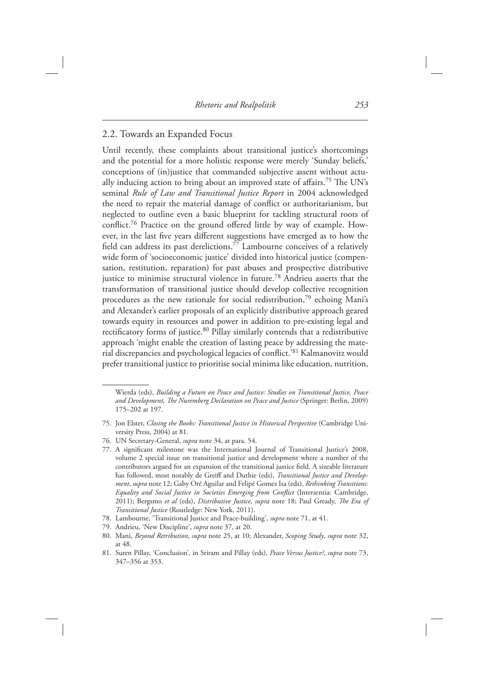#### 2.2. Towards an Expanded Focus

Until recently, these complaints about transitional justice's shortcomings and the potential for a more holistic response were merely 'Sunday beliefs,' conceptions of (in)justice that commanded subjective assent without actually inducing action to bring about an improved state of affairs.<sup>75</sup> The UN's seminal *Rule of Law and Transitional Justice Report* in 2004 acknowledged the need to repair the material damage of conflict or authoritarianism, but neglected to outline even a basic blueprint for tackling structural roots of conflict.<sup>76</sup> Practice on the ground offered little by way of example. However, in the last five years different suggestions have emerged as to how the field can address its past derelictions.<sup>77</sup> Lambourne conceives of a relatively wide form of 'socioeconomic justice' divided into historical justice (compensation, restitution, reparation) for past abuses and prospective distributive justice to minimise structural violence in future.<sup>78</sup> Andrieu asserts that the transformation of transitional justice should develop collective recognition procedures as the new rationale for social redistribution, $79$  echoing Mani's and Alexander's earlier proposals of an explicitly distributive approach geared towards equity in resources and power in addition to pre-existing legal and rectificatory forms of justice.<sup>80</sup> Pillay similarly contends that a redistributive approach 'might enable the creation of lasting peace by addressing the material discrepancies and psychological legacies of conflict.'<sup>81</sup> Kalmanovitz would prefer transitional justice to prioritise social minima like education, nutrition,

Wierda (eds), *Building a Future on Peace and Justice: Studies on Transitional Justice, Peace*  and Development, The Nuremberg Declaration on Peace and Justice (Springer: Berlin, 2009) 175-202 at 197.

 <sup>75.</sup> Jon Elster , *Closing the Books: Transitional Justice in Historical Perspective* ( Cambridge University Press, 2004) at 81.

 <sup>76.</sup> UN Secretary-General, *supra* note 34, at para. 54.

<sup>77.</sup> A significant milestone was the International Journal of Transitional Justice's 2008, volume 2 special issue on transitional justice and development where a number of the contributors argued for an expansion of the transitional justice field. A sizeable literature has followed, most notably de Greiff and Duthie (eds), *Transitional Justice and Development, supra* note 12; Gaby Oré Aguilar and Felipé Gomez Isa (eds), *Rethinking Transitions*: *Equality and Social Justice in Societies Emerging from Conflict* (Intersentia: Cambridge, 2011); Bergsmo et al (eds), *Distributive Justice*, *supra* note 18; Paul Gready, *The Era of Transitional Justice* (Routledge: New York, 2011).

<sup>78.</sup> Lambourne, 'Transitional Justice and Peace-building', *supra* note 71, at 41.

<sup>79.</sup> Andrieu, 'New Discipline', *supra* note 37, at 20.

 <sup>80.</sup> Mani, *Beyond Retribution* , *supra* note 25, at 10; Alexander, *Scoping Study* , *supra* note 32, at 48.

<sup>81.</sup> Suren Pillay, 'Conclusion', in Sriram and Pillay (eds), *Peace Versus Justice?*, *supra* note 73, 347–356 at 353.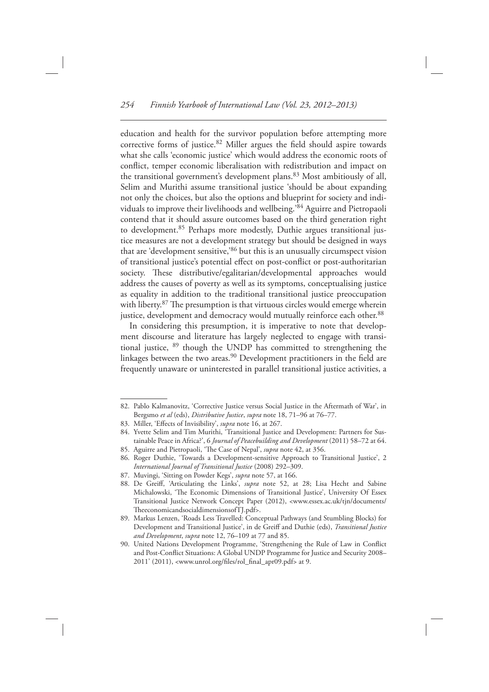education and health for the survivor population before attempting more corrective forms of justice.  $82$  Miller argues the field should aspire towards what she calls 'economic justice' which would address the economic roots of conflict, temper economic liberalisation with redistribution and impact on the transitional government's development plans.<sup>83</sup> Most ambitiously of all, Selim and Murithi assume transitional justice 'should be about expanding not only the choices, but also the options and blueprint for society and individuals to improve their livelihoods and wellbeing.'84 Aguirre and Pietropaoli contend that it should assure outcomes based on the third generation right to development.<sup>85</sup> Perhaps more modestly, Duthie argues transitional justice measures are not a development strategy but should be designed in ways that are 'development sensitive,'86 but this is an unusually circumspect vision of transitional justice's potential effect on post-conflict or post-authoritarian society. These distributive/egalitarian/developmental approaches would address the causes of poverty as well as its symptoms, conceptualising justice as equality in addition to the traditional transitional justice preoccupation with liberty.<sup>87</sup> The presumption is that virtuous circles would emerge wherein justice, development and democracy would mutually reinforce each other.<sup>88</sup>

 In considering this presumption, it is imperative to note that development discourse and literature has largely neglected to engage with transitional justice, 89 though the UNDP has committed to strengthening the linkages between the two areas.<sup>90</sup> Development practitioners in the field are frequently unaware or uninterested in parallel transitional justice activities, a

<sup>82.</sup> Pablo Kalmanovitz, 'Corrective Justice versus Social Justice in the Aftermath of War', in Bergsmo *et al* (eds), *Distributive Justice* , *supra* note 18, 71–96 at 76–77.

<sup>83.</sup> Miller, 'Effects of Invisibility', *supra* note 16, at 267.

<sup>84.</sup> Yvette Selim and Tim Murithi, 'Transitional Justice and Development: Partners for Sustainable Peace in Africa?', 6 *Journal of Peacebuilding and Development* (2011) 58-72 at 64. 85. Aguirre and Pietropaoli, 'The Case of Nepal', *supra* note 42, at 356.

<sup>86.</sup> Roger Duthie, 'Towards a Development-sensitive Approach to Transitional Justice', 2 *International Journal of Transitional Justice* ( 2008 ) 292 – 309 .

<sup>87.</sup> Muvingi, 'Sitting on Powder Kegs', *supra* note 57, at 166.

<sup>88.</sup> De Greiff, 'Articulating the Links', *supra* note 52, at 28; Lisa Hecht and Sabine Michalowski, 'The Economic Dimensions of Transitional Justice', University Of Essex Transitional Justice Network Concept Paper (2012), < www.essex.ac.uk/tjn/documents/ TheeconomicandsocialdimensionsofTJ.pdf>.

 <sup>89.</sup> Markus Lenzen, ' Roads Less Travelled: Conceptual Pathways (and Stumbling Blocks) for Development and Transitional Justice ' , in de Greiff and Duthie (eds), *Transitional Justice and Development* , *supra* note 12, 76–109 at 77 and 85.

<sup>90.</sup> United Nations Development Programme, 'Strengthening the Rule of Law in Conflict and Post-Conflict Situations: A Global UNDP Programme for Justice and Security 2008-2011' (2011), <www.unrol.org/files/rol\_final\_apr09.pdf> at 9.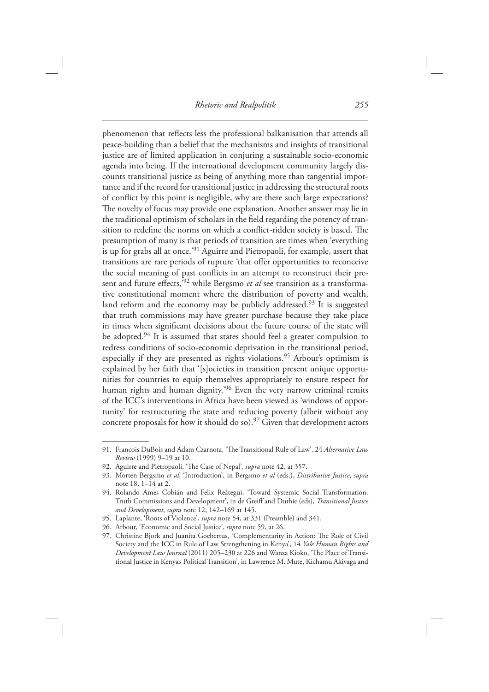phenomenon that reflects less the professional balkanisation that attends all peace-building than a belief that the mechanisms and insights of transitional justice are of limited application in conjuring a sustainable socio-economic agenda into being. If the international development community largely discounts transitional justice as being of anything more than tangential importance and if the record for transitional justice in addressing the structural roots of conflict by this point is negligible, why are there such large expectations? The novelty of focus may provide one explanation. Another answer may lie in the traditional optimism of scholars in the field regarding the potency of transition to redefine the norms on which a conflict-ridden society is based. The presumption of many is that periods of transition are times when 'everything is up for grabs all at once.'<sup>91</sup> Aguirre and Pietropaoli, for example, assert that transitions are rare periods of rupture 'that offer opportunities to reconceive the social meaning of past conflicts in an attempt to reconstruct their present and future effects,<sup>392</sup> while Bergsmo *et al* see transition as a transformative constitutional moment where the distribution of poverty and wealth, land reform and the economy may be publicly addressed.<sup>93</sup> It is suggested that truth commissions may have greater purchase because they take place in times when significant decisions about the future course of the state will be adopted.<sup>94</sup> It is assumed that states should feel a greater compulsion to redress conditions of socio-economic deprivation in the transitional period, especially if they are presented as rights violations.<sup>95</sup> Arbour's optimism is explained by her faith that '[s]ocieties in transition present unique opportunities for countries to equip themselves appropriately to ensure respect for human rights and human dignity.<sup>'96</sup> Even the very narrow criminal remits of the ICC's interventions in Africa have been viewed as 'windows of opportunity' for restructuring the state and reducing poverty (albeit without any concrete proposals for how it should do so).<sup>97</sup> Given that development actors

<sup>91.</sup> Francois DuBois and Adam Czarnota, 'The Transitional Rule of Law', 24 *Alternative Law Review* (1999) 9-19 at 10.

<sup>92.</sup> Aguirre and Pietropaoli, 'The Case of Nepal', *supra* note 42, at 357.

 <sup>93.</sup> Morten Bergsmo *et al* , ' Introduction ' , in Bergsmo *et al* (eds.), *Distributive Justice* , *supra* note 18, 1–14 at 2.

<sup>94.</sup> Rolando Ames Cobián and Felix Reátegui, 'Toward Systemic Social Transformation: Truth Commissions and Development', in de Greiff and Duthie (eds), *Transitional Justice* and Development, *supra* note 12, 142-169 at 145.

<sup>95.</sup> Laplante, 'Roots of Violence', *supra* note 54, at 331 (Preamble) and 341.

<sup>96.</sup> Arbour, 'Economic and Social Justice', *supra* note 59, at 26.

<sup>97.</sup> Christine Bjork and Juanita Goebertus, 'Complementarity in Action: The Role of Civil Society and the ICC in Rule of Law Strengthening in Kenya', 14 *Yale Human Rights and Development Law Journal* (2011) 205-230 at 226 and Wanza Kioko, 'The Place of Transitional Justice in Kenya's Political Transition', in Lawrence M. Mute, Kichamu Akivaga and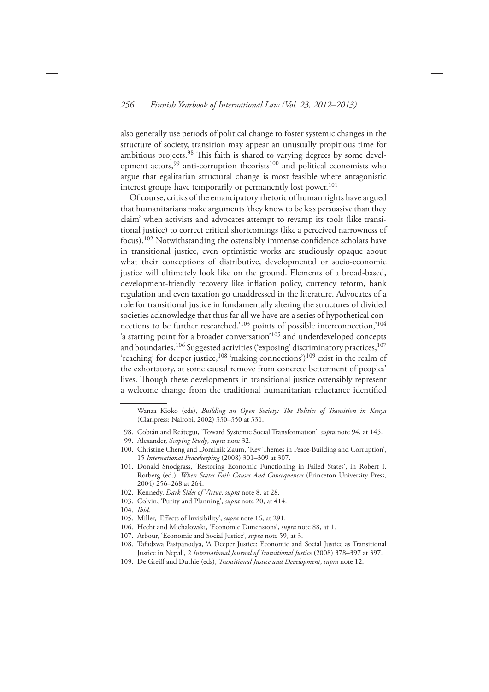also generally use periods of political change to foster systemic changes in the structure of society, transition may appear an unusually propitious time for ambitious projects.<sup>98</sup> This faith is shared to varying degrees by some development actors,<sup>99</sup> anti-corruption theorists<sup>100</sup> and political economists who argue that egalitarian structural change is most feasible where antagonistic interest groups have temporarily or permanently lost power.<sup>101</sup>

 Of course, critics of the emancipatory rhetoric of human rights have argued that humanitarians make arguments ' they know to be less persuasive than they claim' when activists and advocates attempt to revamp its tools (like transitional justice) to correct critical shortcomings (like a perceived narrowness of focus).<sup>102</sup> Notwithstanding the ostensibly immense confidence scholars have in transitional justice, even optimistic works are studiously opaque about what their conceptions of distributive, developmental or socio-economic justice will ultimately look like on the ground. Elements of a broad-based, development-friendly recovery like inflation policy, currency reform, bank regulation and even taxation go unaddressed in the literature. Advocates of a role for transitional justice in fundamentally altering the structures of divided societies acknowledge that thus far all we have are a series of hypothetical connections to be further researched,'<sup>103</sup> points of possible interconnection,'<sup>104</sup> 'a starting point for a broader conversation'<sup>105</sup> and underdeveloped concepts and boundaries.<sup>106</sup> Suggested activities ('exposing' discriminatory practices,<sup>107</sup> 'reaching' for deeper justice, <sup>108</sup> 'making connections')<sup>109</sup> exist in the realm of the exhortatory, at some causal remove from concrete betterment of peoples' lives. Though these developments in transitional justice ostensibly represent a welcome change from the traditional humanitarian reluctance identified

- 98. Cobián and Reátegui, 'Toward Systemic Social Transformation', *supra* note 94, at 145.
- 99. Alexander, *Scoping Study* , *supra* note 32.
- 100. Christine Cheng and Dominik Zaum, 'Key Themes in Peace-Building and Corruption', 15 *International Peacekeeping* (2008) 301-309 at 307.
- 101. Donald Snodgrass, 'Restoring Economic Functioning in Failed States', in Robert I. Rotberg (ed.), When States Fail: Causes And Consequences (Princeton University Press, 2004) 256-268 at 264.
- 102. Kennedy, *Dark Sides of Virtue* , *supra* note 8, at 28.
- 103. Colvin, 'Purity and Planning', *supra* note 20, at 414.
- 104. *Ibid.*
- 105. Miller, 'Effects of Invisibility', *supra* note 16, at 291.
- 106. Hecht and Michalowski, 'Economic Dimensions', *supra* note 88, at 1.
- 107. Arbour, 'Economic and Social Justice', *supra* note 59, at 3.
- Tafadzwa Pasipanodya, 'A Deeper Justice: Economic and Social Justice as Transitional Justice in Nepal', 2 *International Journal of Transitional Justice* (2008) 378-397 at 397.
- 109. De Greiff and Duthie (eds), *Transitional Justice and Development*, *supra* note 12.

Wanza Kioko (eds), *Building an Open Society: The Politics of Transition in Kenya* (Claripress: Nairobi, 2002) 330-350 at 331.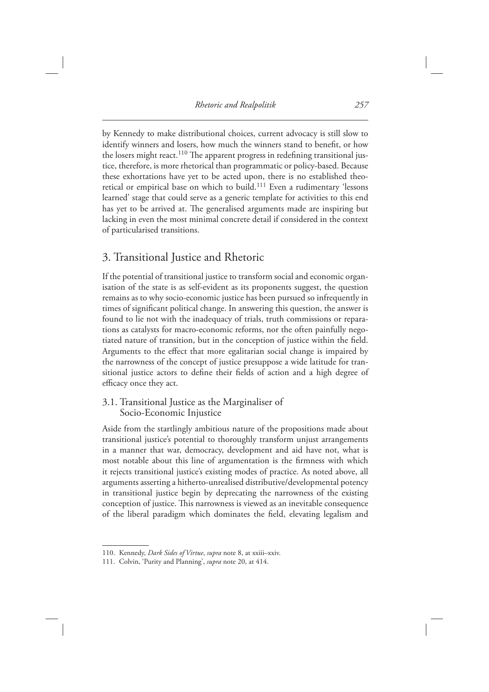by Kennedy to make distributional choices, current advocacy is still slow to identify winners and losers, how much the winners stand to benefit, or how the losers might react.<sup>110</sup> The apparent progress in redefining transitional justice, therefore, is more rhetorical than programmatic or policy-based. Because these exhortations have yet to be acted upon, there is no established theoretical or empirical base on which to build.<sup>111</sup> Even a rudimentary 'lessons learned' stage that could serve as a generic template for activities to this end has yet to be arrived at. The generalised arguments made are inspiring but lacking in even the most minimal concrete detail if considered in the context of particularised transitions.

## 3. Transitional Justice and Rhetoric

 If the potential of transitional justice to transform social and economic organisation of the state is as self-evident as its proponents suggest, the question remains as to why socio-economic justice has been pursued so infrequently in times of significant political change. In answering this question, the answer is found to lie not with the inadequacy of trials, truth commissions or reparations as catalysts for macro-economic reforms, nor the often painfully negotiated nature of transition, but in the conception of justice within the field. Arguments to the effect that more egalitarian social change is impaired by the narrowness of the concept of justice presuppose a wide latitude for transitional justice actors to define their fields of action and a high degree of efficacy once they act.

#### 3.1. Transitional Justice as the Marginaliser of Socio-Economic Injustice

 Aside from the startlingly ambitious nature of the propositions made about transitional justice's potential to thoroughly transform unjust arrangements in a manner that war, democracy, development and aid have not, what is most notable about this line of argumentation is the firmness with which it rejects transitional justice's existing modes of practice. As noted above, all arguments asserting a hitherto-unrealised distributive/developmental potency in transitional justice begin by deprecating the narrowness of the existing conception of justice. This narrowness is viewed as an inevitable consequence of the liberal paradigm which dominates the field, elevating legalism and

 <sup>110.</sup> Kennedy, *Dark Sides of Virtue* , *supra* note 8, at xxiii–xxiv.

<sup>111.</sup> Colvin, 'Purity and Planning', *supra* note 20, at 414.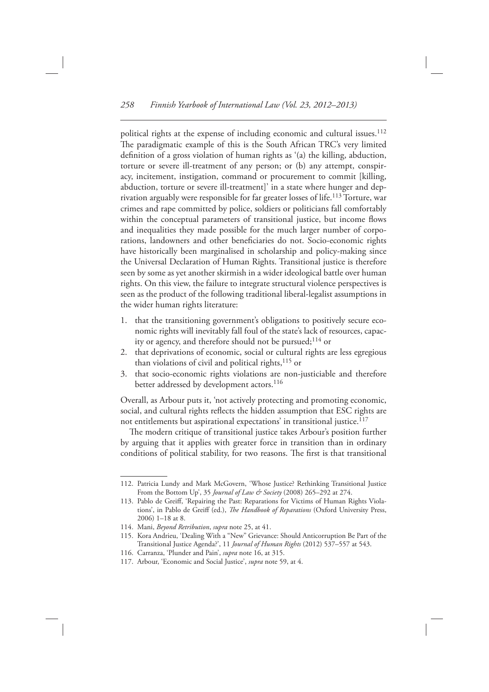political rights at the expense of including economic and cultural issues.<sup>112</sup> The paradigmatic example of this is the South African TRC's very limited definition of a gross violation of human rights as '(a) the killing, abduction, torture or severe ill-treatment of any person; or (b) any attempt, conspiracy, incitement, instigation, command or procurement to commit [killing, abduction, torture or severe ill-treatment]' in a state where hunger and deprivation arguably were responsible for far greater losses of life. 113 Torture, war crimes and rape committed by police, soldiers or politicians fall comfortably within the conceptual parameters of transitional justice, but income flows and inequalities they made possible for the much larger number of corporations, landowners and other beneficiaries do not. Socio-economic rights have historically been marginalised in scholarship and policy-making since the Universal Declaration of Human Rights. Transitional justice is therefore seen by some as yet another skirmish in a wider ideological battle over human rights. On this view, the failure to integrate structural violence perspectives is seen as the product of the following traditional liberal-legalist assumptions in the wider human rights literature:

- 1. that the transitioning government's obligations to positively secure economic rights will inevitably fall foul of the state's lack of resources, capacity or agency, and therefore should not be pursued;<sup>114</sup> or
- 2. that deprivations of economic, social or cultural rights are less egregious than violations of civil and political rights, 115 or
- 3. that socio-economic rights violations are non-justiciable and therefore better addressed by development actors.<sup>116</sup>

Overall, as Arbour puts it, 'not actively protecting and promoting economic, social, and cultural rights reflects the hidden assumption that ESC rights are not entitlements but aspirational expectations' in transitional justice.<sup>117</sup>

The modern critique of transitional justice takes Arbour's position further by arguing that it applies with greater force in transition than in ordinary conditions of political stability, for two reasons. The first is that transitional

<sup>112.</sup> Patricia Lundy and Mark McGovern, 'Whose Justice? Rethinking Transitional Justice From the Bottom Up', 35 *Journal of Law & Society* (2008) 265-292 at 274.

<sup>113.</sup> Pablo de Greiff, 'Repairing the Past: Reparations for Victims of Human Rights Violations', in Pablo de Greiff (ed.), *The Handbook of Reparations* (Oxford University Press, 2006)  $1 - 18$  at 8.

 <sup>114.</sup> Mani, *Beyond Retribution* , *supra* note 25, at 41.

<sup>115.</sup> Kora Andrieu, 'Dealing With a "New" Grievance: Should Anticorruption Be Part of the Transitional Justice Agenda?', 11 *Journal of Human Rights* (2012) 537-557 at 543.

<sup>116.</sup> Carranza, 'Plunder and Pain', *supra* note 16, at 315.

<sup>117.</sup> Arbour, 'Economic and Social Justice', *supra* note 59, at 4.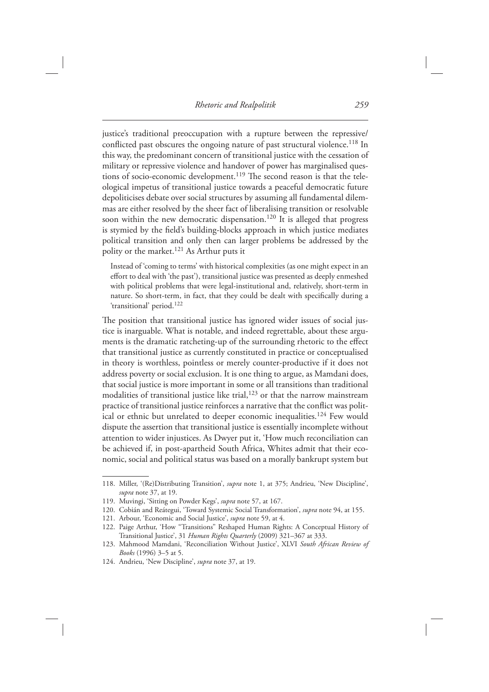justice's traditional preoccupation with a rupture between the repressive/ conflicted past obscures the ongoing nature of past structural violence.<sup>118</sup> In this way, the predominant concern of transitional justice with the cessation of military or repressive violence and handover of power has marginalised questions of socio-economic development.<sup>119</sup> The second reason is that the teleological impetus of transitional justice towards a peaceful democratic future depoliticises debate over social structures by assuming all fundamental dilemmas are either resolved by the sheer fact of liberalising transition or resolvable soon within the new democratic dispensation.<sup>120</sup> It is alleged that progress is stymied by the field's building-blocks approach in which justice mediates political transition and only then can larger problems be addressed by the polity or the market. 121 As Arthur puts it

Instead of 'coming to terms' with historical complexities (as one might expect in an effort to deal with 'the past'), transitional justice was presented as deeply enmeshed with political problems that were legal-institutional and, relatively, short-term in nature. So short-term, in fact, that they could be dealt with specifically during a 'transitional' period.<sup>122</sup>

The position that transitional justice has ignored wider issues of social justice is inarguable. What is notable, and indeed regrettable, about these arguments is the dramatic ratcheting-up of the surrounding rhetoric to the effect that transitional justice as currently constituted in practice or conceptualised in theory is worthless, pointless or merely counter-productive if it does not address poverty or social exclusion. It is one thing to argue, as Mamdani does, that social justice is more important in some or all transitions than traditional modalities of transitional justice like trial, $123$  or that the narrow mainstream practice of transitional justice reinforces a narrative that the conflict was political or ethnic but unrelated to deeper economic inequalities.<sup>124</sup> Few would dispute the assertion that transitional justice is essentially incomplete without attention to wider injustices. As Dwyer put it, ' How much reconciliation can be achieved if, in post-apartheid South Africa, Whites admit that their economic, social and political status was based on a morally bankrupt system but

<sup>118.</sup> Miller, '(Re)Distributing Transition', *supra* note 1, at 375; Andrieu, 'New Discipline', *supra* note 37, at 19.

<sup>119.</sup> Muvingi, 'Sitting on Powder Kegs', *supra* note 57, at 167.

<sup>120.</sup> Cobián and Reátegui, 'Toward Systemic Social Transformation', *supra* note 94, at 155.

<sup>121.</sup> Arbour, 'Economic and Social Justice', *supra* note 59, at 4.

<sup>122.</sup> Paige Arthur, 'How "Transitions" Reshaped Human Rights: A Conceptual History of Transitional Justice', 31 *Human Rights Quarterly* (2009) 321-367 at 333.

<sup>123.</sup> Mahmood Mamdani, 'Reconciliation Without Justice', XLVI South African Review of *Books* (1996) 3-5 at 5.

<sup>124.</sup> Andrieu, 'New Discipline', *supra* note 37, at 19.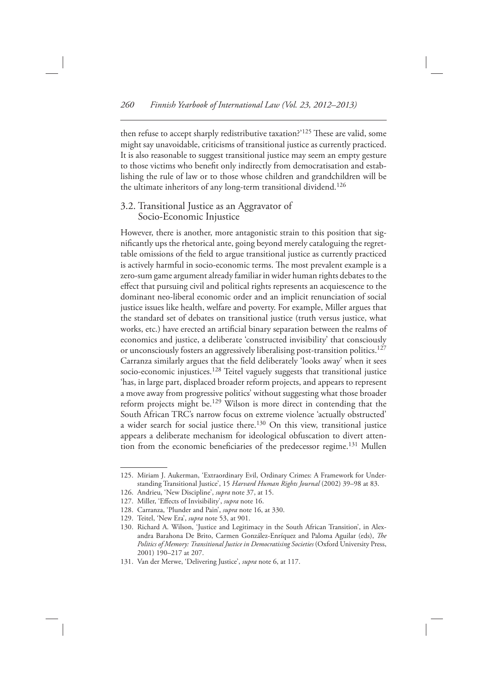then refuse to accept sharply redistributive taxation?'<sup>125</sup> These are valid, some might say unavoidable, criticisms of transitional justice as currently practiced. It is also reasonable to suggest transitional justice may seem an empty gesture to those victims who benefit only indirectly from democratisation and establishing the rule of law or to those whose children and grandchildren will be the ultimate inheritors of any long-term transitional dividend.<sup>126</sup>

#### 3.2. Transitional Justice as an Aggravator of Socio-Economic Injustice

 However, there is another, more antagonistic strain to this position that significantly ups the rhetorical ante, going beyond merely cataloguing the regrettable omissions of the field to argue transitional justice as currently practiced is actively harmful in socio-economic terms. The most prevalent example is a zero-sum game argument already familiar in wider human rights debates to the effect that pursuing civil and political rights represents an acquiescence to the dominant neo-liberal economic order and an implicit renunciation of social justice issues like health, welfare and poverty. For example, Miller argues that the standard set of debates on transitional justice (truth versus justice, what works, etc.) have erected an artificial binary separation between the realms of economics and justice, a deliberate 'constructed invisibility' that consciously or unconsciously fosters an aggressively liberalising post-transition politics. 127 Carranza similarly argues that the field deliberately 'looks away' when it sees socio-economic injustices.<sup>128</sup> Teitel vaguely suggests that transitional justice ' has, in large part, displaced broader reform projects, and appears to represent a move away from progressive politics' without suggesting what those broader reform projects might be.<sup>129</sup> Wilson is more direct in contending that the South African TRC's narrow focus on extreme violence 'actually obstructed' a wider search for social justice there.<sup>130</sup> On this view, transitional justice appears a deliberate mechanism for ideological obfuscation to divert attention from the economic beneficiaries of the predecessor regime.<sup>131</sup> Mullen

<sup>125.</sup> Miriam J. Aukerman, 'Extraordinary Evil, Ordinary Crimes: A Framework for Understanding Transitional Justice', 15 Harvard Human Rights Journal (2002) 39-98 at 83.

<sup>126.</sup> Andrieu, 'New Discipline', *supra* note 37, at 15.

<sup>127.</sup> Miller, 'Effects of Invisibility', *supra* note 16.

<sup>128.</sup> Carranza, 'Plunder and Pain', *supra* note 16, at 330.

<sup>129.</sup> Teitel, 'New Era', *supra* note 53, at 901.

<sup>130.</sup> Richard A. Wilson, 'Justice and Legitimacy in the South African Transition', in Alexandra Barahona De Brito, Carmen González-Enríquez and Paloma Aguilar (eds), *The Politics of Memory: Transitional Justice in Democratising Societies* ( Oxford University Press , 2001) 190-217 at 207.

<sup>131.</sup> Van der Merwe, 'Delivering Justice', *supra* note 6, at 117.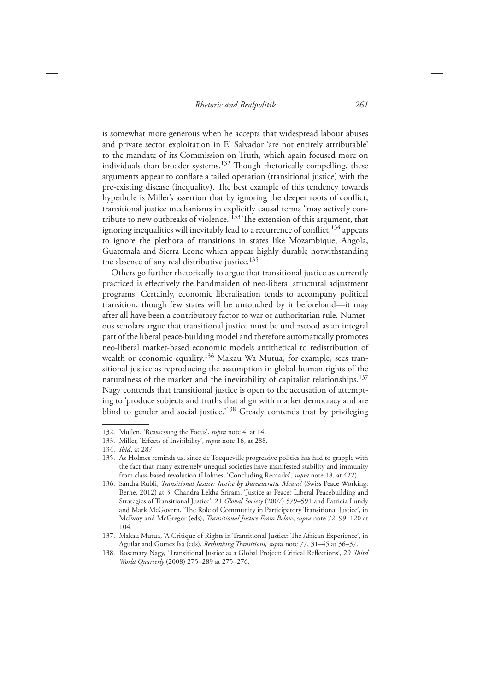is somewhat more generous when he accepts that widespread labour abuses and private sector exploitation in El Salvador 'are not entirely attributable' to the mandate of its Commission on Truth, which again focused more on individuals than broader systems.<sup>132</sup> Though rhetorically compelling, these arguments appear to conflate a failed operation (transitional justice) with the pre-existing disease (inequality). The best example of this tendency towards hyperbole is Miller's assertion that by ignoring the deeper roots of conflict, transitional justice mechanisms in explicitly causal terms " may actively contribute to new outbreaks of violence.<sup>'133</sup> The extension of this argument, that ignoring inequalities will inevitably lead to a recurrence of conflict,  $^{134}$  appears to ignore the plethora of transitions in states like Mozambique, Angola, Guatemala and Sierra Leone which appear highly durable notwithstanding the absence of any real distributive justice.<sup>135</sup>

 Others go further rhetorically to argue that transitional justice as currently practiced is effectively the handmaiden of neo-liberal structural adjustment programs. Certainly, economic liberalisation tends to accompany political transition, though few states will be untouched by it beforehand—it may after all have been a contributory factor to war or authoritarian rule. Numerous scholars argue that transitional justice must be understood as an integral part of the liberal peace-building model and therefore automatically promotes neo-liberal market-based economic models antithetical to redistribution of wealth or economic equality.<sup>136</sup> Makau Wa Mutua, for example, sees transitional justice as reproducing the assumption in global human rights of the naturalness of the market and the inevitability of capitalist relationships.<sup>137</sup> Nagy contends that transitional justice is open to the accusation of attempting to 'produce subjects and truths that align with market democracy and are blind to gender and social justice.'<sup>138</sup> Gready contends that by privileging

<sup>132.</sup> Mullen, 'Reassessing the Focus', *supra* note 4, at 14.

<sup>133.</sup> Miller, 'Effects of Invisibility', *supra* note 16, at 288.

<sup>134.</sup> *Ibid*, at 287.

 <sup>135.</sup> As Holmes reminds us, since de Tocqueville progressive politics has had to grapple with the fact that many extremely unequal societies have manifested stability and immunity from class-based revolution (Holmes, 'Concluding Remarks', *supra* note 18, at 422).

<sup>136.</sup> Sandra Rubli, *Transitional Justice: Justice by Bureaucratic Means?* (Swiss Peace Working: Berne, 2012) at 3; Chandra Lekha Sriram, 'Justice as Peace? Liberal Peacebuilding and Strategies of Transitional Justice', 21 *Global Society* (2007) 579-591 and Patricia Lundy and Mark McGovern, 'The Role of Community in Participatory Transitional Justice', in McEvoy and McGregor (eds), *Transitional Justice From Below* , *supra* note 72, 99–120 at 104.

<sup>137.</sup> Makau Mutua, 'A Critique of Rights in Transitional Justice: The African Experience', in Aguilar and Gomez Isa (eds), *Rethinking Transitions, supra* note 77, 31–45 at 36–37.

<sup>138.</sup> Rosemary Nagy, 'Transitional Justice as a Global Project: Critical Reflections', 29 Third *World Quarterly* (2008) 275-289 at 275-276.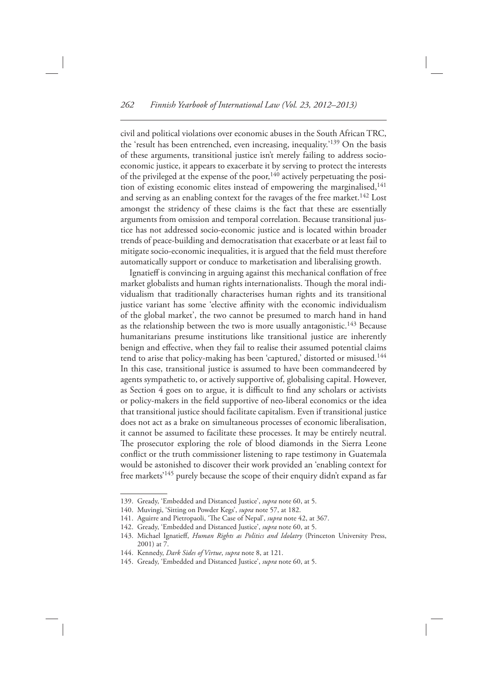civil and political violations over economic abuses in the South African TRC, the 'result has been entrenched, even increasing, inequality.'<sup>139</sup> On the basis of these arguments, transitional justice isn't merely failing to address socioeconomic justice, it appears to exacerbate it by serving to protect the interests of the privileged at the expense of the poor,  $140$  actively perpetuating the position of existing economic elites instead of empowering the marginalised, 141 and serving as an enabling context for the ravages of the free market.<sup>142</sup> Lost amongst the stridency of these claims is the fact that these are essentially arguments from omission and temporal correlation. Because transitional justice has not addressed socio-economic justice and is located within broader trends of peace-building and democratisation that exacerbate or at least fail to mitigate socio-economic inequalities, it is argued that the field must therefore automatically support or conduce to marketisation and liberalising growth.

Ignatieff is convincing in arguing against this mechanical conflation of free market globalists and human rights internationalists. Though the moral individualism that traditionally characterises human rights and its transitional justice variant has some 'elective affinity with the economic individualism of the global market', the two cannot be presumed to march hand in hand as the relationship between the two is more usually antagonistic.<sup>143</sup> Because humanitarians presume institutions like transitional justice are inherently benign and effective, when they fail to realise their assumed potential claims tend to arise that policy-making has been 'captured,' distorted or misused.<sup>144</sup> In this case, transitional justice is assumed to have been commandeered by agents sympathetic to, or actively supportive of, globalising capital. However, as Section 4 goes on to argue, it is difficult to find any scholars or activists or policy-makers in the field supportive of neo-liberal economics or the idea that transitional justice should facilitate capitalism. Even if transitional justice does not act as a brake on simultaneous processes of economic liberalisation, it cannot be assumed to facilitate these processes. It may be entirely neutral. The prosecutor exploring the role of blood diamonds in the Sierra Leone conflict or the truth commissioner listening to rape testimony in Guatemala would be astonished to discover their work provided an 'enabling context for free markets'<sup>145</sup> purely because the scope of their enquiry didn't expand as far

<sup>139.</sup> Gready, 'Embedded and Distanced Justice', *supra* note 60, at 5.

<sup>140.</sup> Muvingi, 'Sitting on Powder Kegs', *supra* note 57, at 182.

<sup>141.</sup> Aguirre and Pietropaoli, 'The Case of Nepal', *supra* note 42, at 367.

<sup>142.</sup> Gready, 'Embedded and Distanced Justice', *supra* note 60, at 5.

<sup>143.</sup> Michael Ignatieff, *Human Rights as Politics and Idolatry* (Princeton University Press, 2001) at 7.

 <sup>144.</sup> Kennedy, *Dark Sides of Virtue* , *supra* note 8, at 121.

<sup>145.</sup> Gready, 'Embedded and Distanced Justice', *supra* note 60, at 5.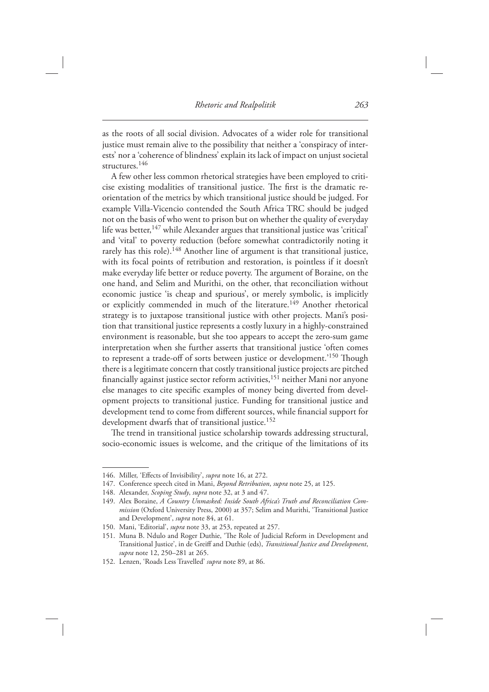as the roots of all social division. Advocates of a wider role for transitional justice must remain alive to the possibility that neither a 'conspiracy of interests' nor a 'coherence of blindness' explain its lack of impact on unjust societal structures.<sup>146</sup>

 A few other less common rhetorical strategies have been employed to criticise existing modalities of transitional justice. The first is the dramatic reorientation of the metrics by which transitional justice should be judged. For example Villa-Vicencio contended the South Africa TRC should be judged not on the basis of who went to prison but on whether the quality of everyday life was better,<sup>147</sup> while Alexander argues that transitional justice was 'critical' and 'vital' to poverty reduction (before somewhat contradictorily noting it rarely has this role).<sup>148</sup> Another line of argument is that transitional justice, with its focal points of retribution and restoration, is pointless if it doesn't make everyday life better or reduce poverty. The argument of Boraine, on the one hand, and Selim and Murithi, on the other, that reconciliation without economic justice 'is cheap and spurious', or merely symbolic, is implicitly or explicitly commended in much of the literature.<sup>149</sup> Another rhetorical strategy is to juxtapose transitional justice with other projects. Mani's position that transitional justice represents a costly luxury in a highly-constrained environment is reasonable, but she too appears to accept the zero-sum game interpretation when she further asserts that transitional justice 'often comes to represent a trade-off of sorts between justice or development.<sup>'150</sup> Though there is a legitimate concern that costly transitional justice projects are pitched financially against justice sector reform activities, <sup>151</sup> neither Mani nor anyone else manages to cite specific examples of money being diverted from development projects to transitional justice. Funding for transitional justice and development tend to come from different sources, while financial support for development dwarfs that of transitional justice.<sup>152</sup>

The trend in transitional justice scholarship towards addressing structural, socio-economic issues is welcome, and the critique of the limitations of its

<sup>146.</sup> Miller, 'Effects of Invisibility', *supra* note 16, at 272.

 <sup>147.</sup> Conference speech cited in Mani, *Beyond Retribution* , *supra* note 25, at 125.

 <sup>148.</sup> Alexander, *Scoping Study* , *supra* note 32, at 3 and 47.

<sup>149.</sup> Alex Boraine, *A Country Unmasked: Inside South Africa's Truth and Reconciliation Commission* (Oxford University Press, 2000) at 357; Selim and Murithi, 'Transitional Justice and Development', *supra* note 84, at 61.

<sup>150.</sup> Mani, 'Editorial', *supra* note 33, at 253, repeated at 257.

<sup>151.</sup> Muna B. Ndulo and Roger Duthie, 'The Role of Judicial Reform in Development and Transitional Justice', in de Greiff and Duthie (eds), *Transitional Justice and Development*, *supra* note 12, 250–281 at 265.

<sup>152.</sup> Lenzen, 'Roads Less Travelled' supra note 89, at 86.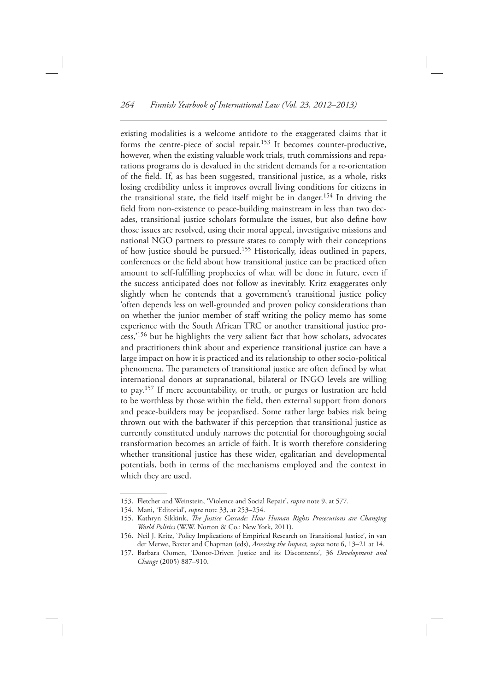existing modalities is a welcome antidote to the exaggerated claims that it forms the centre-piece of social repair. 153 It becomes counter-productive, however, when the existing valuable work trials, truth commissions and reparations programs do is devalued in the strident demands for a re-orientation of the field. If, as has been suggested, transitional justice, as a whole, risks losing credibility unless it improves overall living conditions for citizens in the transitional state, the field itself might be in danger.<sup>154</sup> In driving the field from non-existence to peace-building mainstream in less than two decades, transitional justice scholars formulate the issues, but also define how those issues are resolved, using their moral appeal, investigative missions and national NGO partners to pressure states to comply with their conceptions of how justice should be pursued. 155 Historically, ideas outlined in papers, conferences or the field about how transitional justice can be practiced often amount to self-fulfilling prophecies of what will be done in future, even if the success anticipated does not follow as inevitably. Kritz exaggerates only slightly when he contends that a government's transitional justice policy ' often depends less on well-grounded and proven policy considerations than on whether the junior member of staff writing the policy memo has some experience with the South African TRC or another transitional justice process,<sup>'156</sup> but he highlights the very salient fact that how scholars, advocates and practitioners think about and experience transitional justice can have a large impact on how it is practiced and its relationship to other socio-political phenomena. The parameters of transitional justice are often defined by what international donors at supranational, bilateral or INGO levels are willing to pay. 157 If mere accountability, or truth, or purges or lustration are held to be worthless by those within the field, then external support from donors and peace-builders may be jeopardised. Some rather large babies risk being thrown out with the bathwater if this perception that transitional justice as currently constituted unduly narrows the potential for thoroughgoing social transformation becomes an article of faith. It is worth therefore considering whether transitional justice has these wider, egalitarian and developmental potentials, both in terms of the mechanisms employed and the context in which they are used.

<sup>153.</sup> Fletcher and Weinstein, 'Violence and Social Repair', *supra* note 9, at 577.

<sup>154.</sup> Mani, 'Editorial', *supra* note 33, at 253-254.

<sup>155.</sup> Kathryn Sikkink, *The Justice Cascade: How Human Rights Prosecutions are Changing World Politics* (W.W. Norton & Co.: New York, 2011).

<sup>156.</sup> Neil J. Kritz, 'Policy Implications of Empirical Research on Transitional Justice', in van der Merwe, Baxter and Chapman (eds), *Assessing the Impact, supra* note 6, 13–21 at 14.

<sup>157.</sup> Barbara Oomen, 'Donor-Driven Justice and its Discontents', 36 Development and Change (2005) 887-910.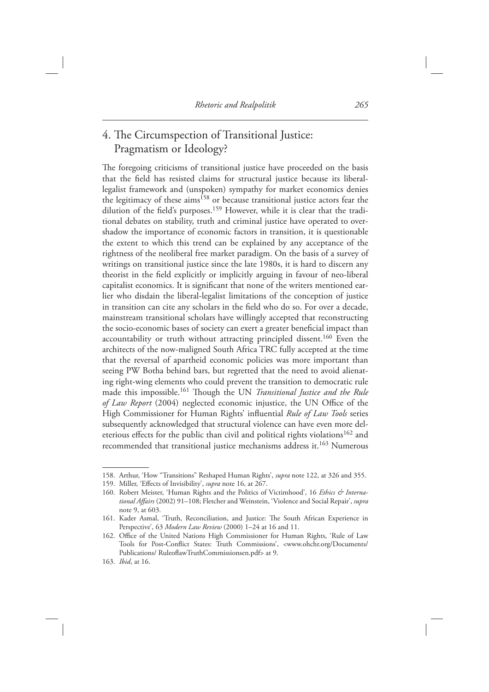## 4. The Circumspection of Transitional Justice: Pragmatism or Ideology?

The foregoing criticisms of transitional justice have proceeded on the basis that the field has resisted claims for structural justice because its liberallegalist framework and (unspoken) sympathy for market economics denies the legitimacy of these aims<sup>158</sup> or because transitional justice actors fear the dilution of the field's purposes.<sup>159</sup> However, while it is clear that the traditional debates on stability, truth and criminal justice have operated to overshadow the importance of economic factors in transition, it is questionable the extent to which this trend can be explained by any acceptance of the rightness of the neoliberal free market paradigm. On the basis of a survey of writings on transitional justice since the late 1980s, it is hard to discern any theorist in the field explicitly or implicitly arguing in favour of neo-liberal capitalist economics. It is significant that none of the writers mentioned earlier who disdain the liberal-legalist limitations of the conception of justice in transition can cite any scholars in the field who do so. For over a decade, mainstream transitional scholars have willingly accepted that reconstructing the socio-economic bases of society can exert a greater beneficial impact than accountability or truth without attracting principled dissent.<sup>160</sup> Even the architects of the now-maligned South Africa TRC fully accepted at the time that the reversal of apartheid economic policies was more important than seeing PW Botha behind bars, but regretted that the need to avoid alienating right-wing elements who could prevent the transition to democratic rule made this impossible.<sup>161</sup> Though the UN *Transitional Justice and the Rule* of Law Report (2004) neglected economic injustice, the UN Office of the High Commissioner for Human Rights' influential *Rule of Law Tools* series subsequently acknowledged that structural violence can have even more deleterious effects for the public than civil and political rights violations<sup>162</sup> and recommended that transitional justice mechanisms address it. 163 Numerous

<sup>158.</sup> Arthur, 'How "Transitions" Reshaped Human Rights', *supra* note 122, at 326 and 355.

<sup>159.</sup> Miller, 'Effects of Invisibility', *supra* note 16, at 267.

<sup>160.</sup> Robert Meister, 'Human Rights and the Politics of Victimhood', 16 *Ethics & Interna*tional Affairs (2002) 91-108; Fletcher and Weinstein, 'Violence and Social Repair', *supra* note 9, at 603.

<sup>161.</sup> Kader Asmal, 'Truth, Reconciliation, and Justice: The South African Experience in Perspective', 63 *Modern Law Review* (2000) 1-24 at 16 and 11.

<sup>162.</sup> Office of the United Nations High Commissioner for Human Rights, 'Rule of Law Tools for Post-Conflict States: Truth Commissions', <www.ohchr.org/Documents/ Publications/ RuleoflawTruthCommissionsen.pdf> at 9.

<sup>163.</sup> *Ibid*, at 16.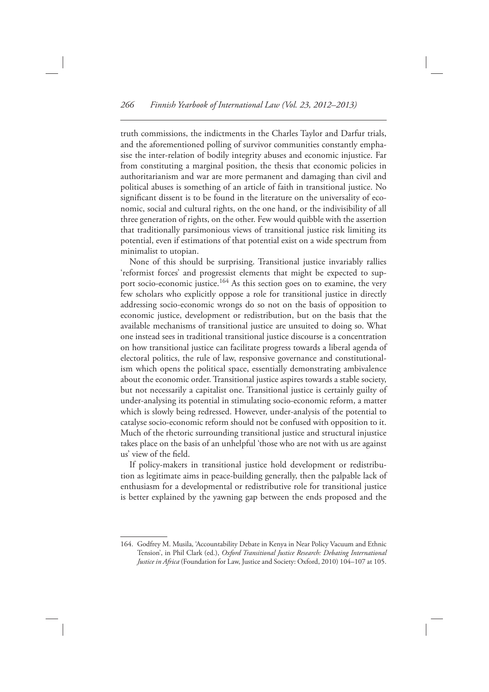truth commissions, the indictments in the Charles Taylor and Darfur trials, and the aforementioned polling of survivor communities constantly emphasise the inter-relation of bodily integrity abuses and economic injustice. Far from constituting a marginal position, the thesis that economic policies in authoritarianism and war are more permanent and damaging than civil and political abuses is something of an article of faith in transitional justice. No significant dissent is to be found in the literature on the universality of economic, social and cultural rights, on the one hand, or the indivisibility of all three generation of rights, on the other. Few would quibble with the assertion that traditionally parsimonious views of transitional justice risk limiting its potential, even if estimations of that potential exist on a wide spectrum from minimalist to utopian.

 None of this should be surprising. Transitional justice invariably rallies 'reformist forces' and progressist elements that might be expected to support socio-economic justice.<sup>164</sup> As this section goes on to examine, the very few scholars who explicitly oppose a role for transitional justice in directly addressing socio-economic wrongs do so not on the basis of opposition to economic justice, development or redistribution, but on the basis that the available mechanisms of transitional justice are unsuited to doing so. What one instead sees in traditional transitional justice discourse is a concentration on how transitional justice can facilitate progress towards a liberal agenda of electoral politics, the rule of law, responsive governance and constitutionalism which opens the political space, essentially demonstrating ambivalence about the economic order. Transitional justice aspires towards a stable society, but not necessarily a capitalist one. Transitional justice is certainly guilty of under-analysing its potential in stimulating socio-economic reform, a matter which is slowly being redressed. However, under-analysis of the potential to catalyse socio-economic reform should not be confused with opposition to it. Much of the rhetoric surrounding transitional justice and structural injustice takes place on the basis of an unhelpful 'those who are not with us are against us' view of the field.

 If policy-makers in transitional justice hold development or redistribution as legitimate aims in peace-building generally, then the palpable lack of enthusiasm for a developmental or redistributive role for transitional justice is better explained by the yawning gap between the ends proposed and the

<sup>164.</sup> Godfrey M. Musila, 'Accountability Debate in Kenya in Near Policy Vacuum and Ethnic Tension', in Phil Clark (ed.), *Oxford Transitional Justice Research: Debating International Justice in Africa* (Foundation for Law, Justice and Society: Oxford, 2010) 104-107 at 105.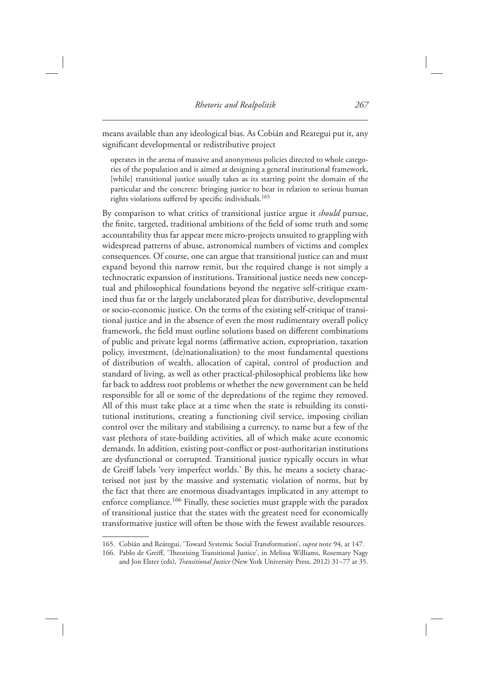means available than any ideological bias. As Cobián and Reategui put it, any significant developmental or redistributive project

 operates in the arena of massive and anonymous policies directed to whole categories of the population and is aimed at designing a general institutional framework, [while] transitional justice usually takes as its starting point the domain of the particular and the concrete: bringing justice to bear in relation to serious human rights violations suffered by specific individuals.<sup>165</sup>

 By comparison to what critics of transitional justice argue it *should* pursue, the finite, targeted, traditional ambitions of the field of some truth and some accountability thus far appear mere micro-projects unsuited to grappling with widespread patterns of abuse, astronomical numbers of victims and complex consequences. Of course, one can argue that transitional justice can and must expand beyond this narrow remit, but the required change is not simply a technocratic expansion of institutions. Transitional justice needs new conceptual and philosophical foundations beyond the negative self-critique examined thus far or the largely unelaborated pleas for distributive, developmental or socio-economic justice. On the terms of the existing self-critique of transitional justice and in the absence of even the most rudimentary overall policy framework, the field must outline solutions based on different combinations of public and private legal norms (affirmative action, expropriation, taxation policy, investment, (de)nationalisation) to the most fundamental questions of distribution of wealth, allocation of capital, control of production and standard of living, as well as other practical-philosophical problems like how far back to address root problems or whether the new government can be held responsible for all or some of the depredations of the regime they removed. All of this must take place at a time when the state is rebuilding its constitutional institutions, creating a functioning civil service, imposing civilian control over the military and stabilising a currency, to name but a few of the vast plethora of state-building activities, all of which make acute economic demands. In addition, existing post-conflict or post-authoritarian institutions are dysfunctional or corrupted. Transitional justice typically occurs in what de Greiff labels 'very imperfect worlds.' By this, he means a society characterised not just by the massive and systematic violation of norms, but by the fact that there are enormous disadvantages implicated in any attempt to enforce compliance. 166 Finally, these societies must grapple with the paradox of transitional justice that the states with the greatest need for economically transformative justice will often be those with the fewest available resources.

<sup>165.</sup> Cobián and Reátegui, 'Toward Systemic Social Transformation', *supra* note 94, at 147.

<sup>166.</sup> Pablo de Greiff, 'Theorising Transitional Justice', in Melissa Williams, Rosemary Nagy and Jon Elster (eds), *Transitional Justice* (New York University Press, 2012) 31-77 at 35.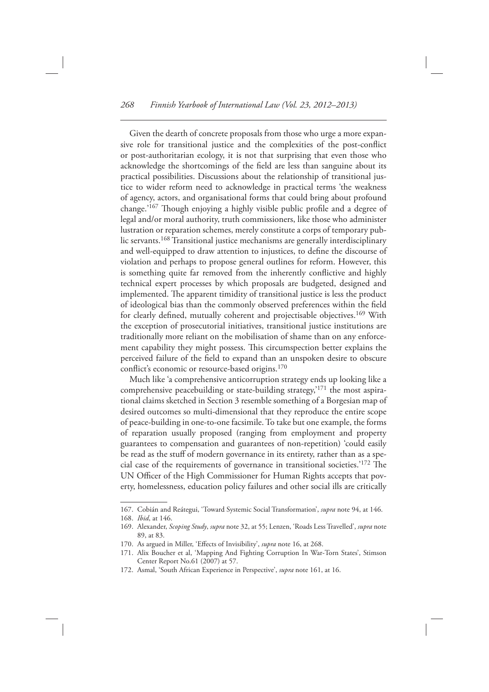Given the dearth of concrete proposals from those who urge a more expansive role for transitional justice and the complexities of the post-conflict or post-authoritarian ecology, it is not that surprising that even those who acknowledge the shortcomings of the field are less than sanguine about its practical possibilities. Discussions about the relationship of transitional justice to wider reform need to acknowledge in practical terms 'the weakness of agency, actors, and organisational forms that could bring about profound change.'<sup>167</sup> Though enjoying a highly visible public profile and a degree of legal and/or moral authority, truth commissioners, like those who administer lustration or reparation schemes, merely constitute a corps of temporary public servants. 168 Transitional justice mechanisms are generally interdisciplinary and well-equipped to draw attention to injustices, to define the discourse of violation and perhaps to propose general outlines for reform. However, this is something quite far removed from the inherently conflictive and highly technical expert processes by which proposals are budgeted, designed and implemented. The apparent timidity of transitional justice is less the product of ideological bias than the commonly observed preferences within the field for clearly defined, mutually coherent and projectisable objectives.<sup>169</sup> With the exception of prosecutorial initiatives, transitional justice institutions are traditionally more reliant on the mobilisation of shame than on any enforcement capability they might possess. This circumspection better explains the perceived failure of the field to expand than an unspoken desire to obscure conflict's economic or resource-based origins.<sup>170</sup>

Much like 'a comprehensive anticorruption strategy ends up looking like a comprehensive peacebuilding or state-building strategy,<sup> $171$ </sup> the most aspirational claims sketched in Section 3 resemble something of a Borgesian map of desired outcomes so multi-dimensional that they reproduce the entire scope of peace-building in one-to-one facsimile. To take but one example, the forms of reparation usually proposed (ranging from employment and property guarantees to compensation and guarantees of non-repetition) 'could easily be read as the stuff of modern governance in its entirety, rather than as a special case of the requirements of governance in transitional societies.'<sup>172</sup> The UN Officer of the High Commissioner for Human Rights accepts that poverty, homelessness, education policy failures and other social ills are critically

172. Asmal, 'South African Experience in Perspective', *supra* note 161, at 16.

<sup>167.</sup> Cobián and Reátegui, 'Toward Systemic Social Transformation', *supra* note 94, at 146. 168. *Ibid*, at 146.

 <sup>169.</sup> Alexander, *Scoping Study* , *supra* note 32, at 55; Lenzen, ' Roads Less Travelled ' , *supra* note 89, at 83.

<sup>170.</sup> As argued in Miller, 'Effects of Invisibility', *supra* note 16, at 268.

<sup>171.</sup> Alix Boucher et al, 'Mapping And Fighting Corruption In War-Torn States', Stimson Center Report No.61 (2007) at 57.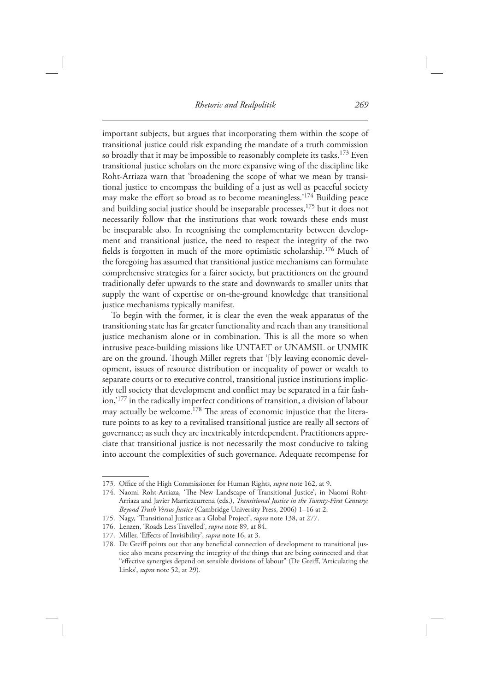important subjects, but argues that incorporating them within the scope of transitional justice could risk expanding the mandate of a truth commission so broadly that it may be impossible to reasonably complete its tasks.<sup>173</sup> Even transitional justice scholars on the more expansive wing of the discipline like Roht-Arriaza warn that 'broadening the scope of what we mean by transitional justice to encompass the building of a just as well as peaceful society may make the effort so broad as to become meaningless.<sup>'174</sup> Building peace and building social justice should be inseparable processes,<sup>175</sup> but it does not necessarily follow that the institutions that work towards these ends must be inseparable also. In recognising the complementarity between development and transitional justice, the need to respect the integrity of the two fields is forgotten in much of the more optimistic scholarship.<sup>176</sup> Much of the foregoing has assumed that transitional justice mechanisms can formulate comprehensive strategies for a fairer society, but practitioners on the ground traditionally defer upwards to the state and downwards to smaller units that supply the want of expertise or on-the-ground knowledge that transitional justice mechanisms typically manifest.

 To begin with the former, it is clear the even the weak apparatus of the transitioning state has far greater functionality and reach than any transitional justice mechanism alone or in combination. This is all the more so when intrusive peace-building missions like UNTAET or UNAMSIL or UNMIK are on the ground. Though Miller regrets that '[b]y leaving economic development, issues of resource distribution or inequality of power or wealth to separate courts or to executive control, transitional justice institutions implicitly tell society that development and conflict may be separated in a fair fashion,<sup>177</sup> in the radically imperfect conditions of transition, a division of labour may actually be welcome.<sup>178</sup> The areas of economic injustice that the literature points to as key to a revitalised transitional justice are really all sectors of governance; as such they are inextricably interdependent. Practitioners appreciate that transitional justice is not necessarily the most conducive to taking into account the complexities of such governance. Adequate recompense for

<sup>173.</sup> Office of the High Commissioner for Human Rights, *supra* note 162, at 9.

<sup>174.</sup> Naomi Roht-Arriaza, 'The New Landscape of Transitional Justice', in Naomi Roht-Arriaza and Javier Marriezcurrena (eds.), *Transitional Justice in the Twenty-First Century: Beyond Truth Versus Justice* (Cambridge University Press, 2006) 1-16 at 2.

<sup>175.</sup> Nagy, 'Transitional Justice as a Global Project', *supra* note 138, at 277.

<sup>176.</sup> Lenzen, 'Roads Less Travelled', *supra* note 89, at 84.

<sup>177.</sup> Miller, 'Effects of Invisibility', *supra* note 16, at 3.

<sup>178.</sup> De Greiff points out that any beneficial connection of development to transitional justice also means preserving the integrity of the things that are being connected and that " effective synergies depend on sensible divisions of labour" (De Greiff, 'Articulating the Links', *supra* note 52, at 29).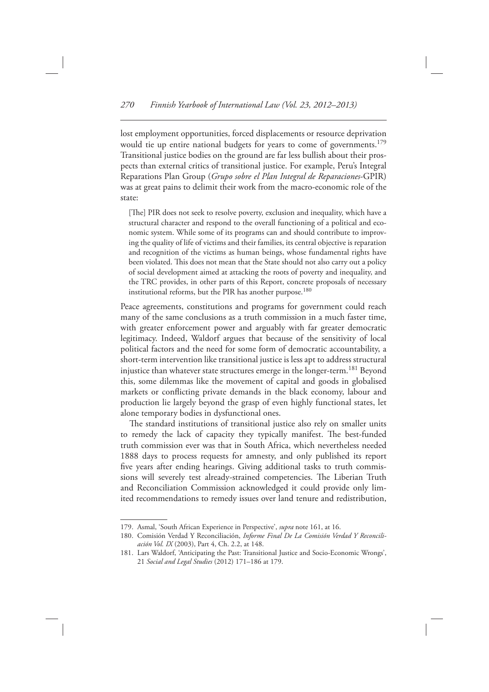lost employment opportunities, forced displacements or resource deprivation would tie up entire national budgets for years to come of governments.<sup>179</sup> Transitional justice bodies on the ground are far less bullish about their prospects than external critics of transitional justice. For example, Peru's Integral Reparations Plan Group ( *Grupo sobre el Plan Integral de Reparaciones* -GPIR) was at great pains to delimit their work from the macro-economic role of the state:

[The] PIR does not seek to resolve poverty, exclusion and inequality, which have a structural character and respond to the overall functioning of a political and economic system. While some of its programs can and should contribute to improving the quality of life of victims and their families, its central objective is reparation and recognition of the victims as human beings, whose fundamental rights have been violated. This does not mean that the State should not also carry out a policy of social development aimed at attacking the roots of poverty and inequality, and the TRC provides, in other parts of this Report, concrete proposals of necessary institutional reforms, but the PIR has another purpose. 180

 Peace agreements, constitutions and programs for government could reach many of the same conclusions as a truth commission in a much faster time, with greater enforcement power and arguably with far greater democratic legitimacy. Indeed, Waldorf argues that because of the sensitivity of local political factors and the need for some form of democratic accountability, a short-term intervention like transitional justice is less apt to address structural injustice than whatever state structures emerge in the longer-term. 181 Beyond this, some dilemmas like the movement of capital and goods in globalised markets or conflicting private demands in the black economy, labour and production lie largely beyond the grasp of even highly functional states, let alone temporary bodies in dysfunctional ones.

The standard institutions of transitional justice also rely on smaller units to remedy the lack of capacity they typically manifest. The best-funded truth commission ever was that in South Africa, which nevertheless needed 1888 days to process requests for amnesty, and only published its report five years after ending hearings. Giving additional tasks to truth commissions will severely test already-strained competencies. The Liberian Truth and Reconciliation Commission acknowledged it could provide only limited recommendations to remedy issues over land tenure and redistribution,

<sup>179.</sup> Asmal, 'South African Experience in Perspective', *supra* note 161, at 16.

<sup>180.</sup> Comisión Verdad Y Reconciliación, Informe Final De La Comisión Verdad Y Reconciliación Vol. IX (2003), Part 4, Ch. 2.2, at 148.

<sup>181.</sup> Lars Waldorf, 'Anticipating the Past: Transitional Justice and Socio-Economic Wrongs', 21 *Social and Legal Studies* (2012) 171-186 at 179.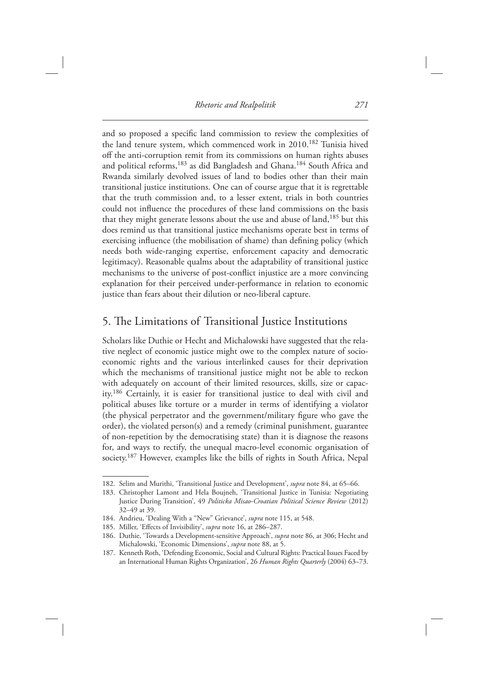and so proposed a specific land commission to review the complexities of the land tenure system, which commenced work in 2010.<sup>182</sup> Tunisia hived off the anti-corruption remit from its commissions on human rights abuses and political reforms, <sup>183</sup> as did Bangladesh and Ghana.<sup>184</sup> South Africa and Rwanda similarly devolved issues of land to bodies other than their main transitional justice institutions. One can of course argue that it is regrettable that the truth commission and, to a lesser extent, trials in both countries could not influence the procedures of these land commissions on the basis that they might generate lessons about the use and abuse of land, <sup>185</sup> but this does remind us that transitional justice mechanisms operate best in terms of exercising influence (the mobilisation of shame) than defining policy (which needs both wide-ranging expertise, enforcement capacity and democratic legitimacy). Reasonable qualms about the adaptability of transitional justice mechanisms to the universe of post-conflict injustice are a more convincing explanation for their perceived under-performance in relation to economic justice than fears about their dilution or neo-liberal capture.

## 5. The Limitations of Transitional Justice Institutions

 Scholars like Duthie or Hecht and Michalowski have suggested that the relative neglect of economic justice might owe to the complex nature of socioeconomic rights and the various interlinked causes for their deprivation which the mechanisms of transitional justice might not be able to reckon with adequately on account of their limited resources, skills, size or capacity. 186 Certainly, it is easier for transitional justice to deal with civil and political abuses like torture or a murder in terms of identifying a violator (the physical perpetrator and the government/military figure who gave the order), the violated person(s) and a remedy (criminal punishment, guarantee of non-repetition by the democratising state) than it is diagnose the reasons for, and ways to rectify, the unequal macro-level economic organisation of society. 187 However, examples like the bills of rights in South Africa, Nepal

<sup>182.</sup> Selim and Murithi, 'Transitional Justice and Development', *supra* note 84, at 65–66.

<sup>183.</sup> Christopher Lamont and Hela Boujneh, 'Transitional Justice in Tunisia: Negotiating Justice During Transition', 49 *Politicka Misao-Croatian Political Science Review* (2012) 32-49 at 39.

<sup>184.</sup> Andrieu, 'Dealing With a "New" Grievance', *supra* note 115, at 548.

<sup>185.</sup> Miller, 'Effects of Invisibility', *supra* note 16, at 286–287.

<sup>186.</sup> Duthie, 'Towards a Development-sensitive Approach', *supra* note 86, at 306; Hecht and Michalowski, 'Economic Dimensions', *supra* note 88, at 5.

<sup>187.</sup> Kenneth Roth, 'Defending Economic, Social and Cultural Rights: Practical Issues Faced by an International Human Rights Organization', 26 Human Rights Quarterly (2004) 63-73.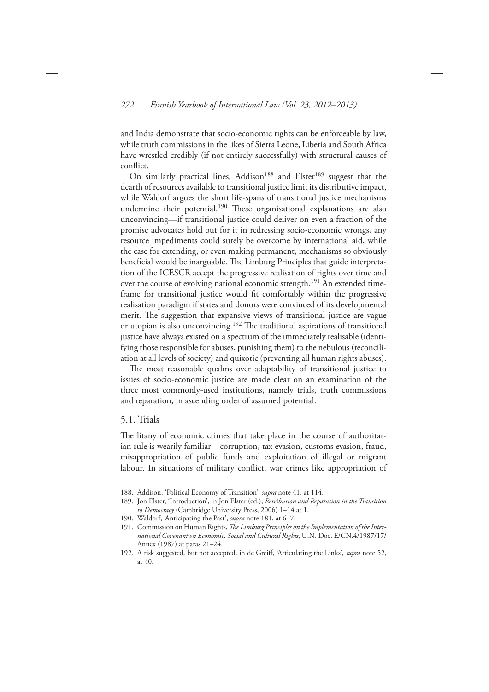and India demonstrate that socio-economic rights can be enforceable by law, while truth commissions in the likes of Sierra Leone, Liberia and South Africa have wrestled credibly (if not entirely successfully) with structural causes of conflict.

On similarly practical lines, Addison<sup>188</sup> and Elster<sup>189</sup> suggest that the dearth of resources available to transitional justice limit its distributive impact, while Waldorf argues the short life-spans of transitional justice mechanisms undermine their potential.<sup>190</sup> These organisational explanations are also unconvincing — if transitional justice could deliver on even a fraction of the promise advocates hold out for it in redressing socio-economic wrongs, any resource impediments could surely be overcome by international aid, while the case for extending, or even making permanent, mechanisms so obviously beneficial would be inarguable. The Limburg Principles that guide interpretation of the ICESCR accept the progressive realisation of rights over time and over the course of evolving national economic strength.<sup>191</sup> An extended timeframe for transitional justice would fit comfortably within the progressive realisation paradigm if states and donors were convinced of its developmental merit. The suggestion that expansive views of transitional justice are vague or utopian is also unconvincing.<sup>192</sup> The traditional aspirations of transitional justice have always existed on a spectrum of the immediately realisable (identifying those responsible for abuses, punishing them) to the nebulous (reconciliation at all levels of society) and quixotic (preventing all human rights abuses).

The most reasonable qualms over adaptability of transitional justice to issues of socio-economic justice are made clear on an examination of the three most commonly-used institutions, namely trials, truth commissions and reparation, in ascending order of assumed potential.

#### 5.1. Trials

The litany of economic crimes that take place in the course of authoritarian rule is wearily familiar—corruption, tax evasion, customs evasion, fraud, misappropriation of public funds and exploitation of illegal or migrant labour. In situations of military conflict, war crimes like appropriation of

<sup>188.</sup> Addison, 'Political Economy of Transition', *supra* note 41, at 114.

<sup>189.</sup> Jon Elster, 'Introduction', in Jon Elster (ed.), *Retribution and Reparation in the Transition* to Democracy (Cambridge University Press, 2006) 1-14 at 1.

<sup>190.</sup> Waldorf, 'Anticipating the Past', *supra* note 181, at 6-7.

<sup>191.</sup> Commission on Human Rights, *The Limburg Principles on the Implementation of the International Covenant on Economic, Social and Cultural Rights* , U.N. Doc. E/CN.4/1987/17/ Annex (1987) at paras 21–24.

<sup>192.</sup> A risk suggested, but not accepted, in de Greiff, 'Articulating the Links', *supra* note 52, at 40.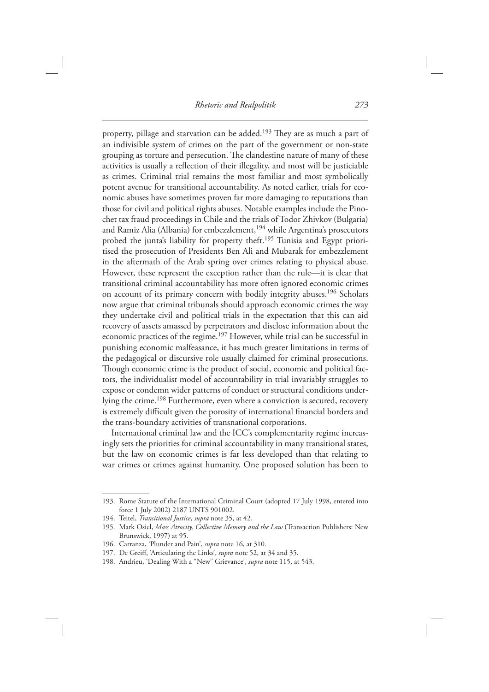property, pillage and starvation can be added.<sup>193</sup> They are as much a part of an indivisible system of crimes on the part of the government or non-state grouping as torture and persecution. The clandestine nature of many of these activities is usually a reflection of their illegality, and most will be justiciable as crimes. Criminal trial remains the most familiar and most symbolically potent avenue for transitional accountability. As noted earlier, trials for economic abuses have sometimes proven far more damaging to reputations than those for civil and political rights abuses. Notable examples include the Pinochet tax fraud proceedings in Chile and the trials of Todor Zhivkov (Bulgaria) and Ramiz Alia (Albania) for embezzlement,<sup>194</sup> while Argentina's prosecutors probed the junta's liability for property theft.<sup>195</sup> Tunisia and Egypt prioritised the prosecution of Presidents Ben Ali and Mubarak for embezzlement in the aftermath of the Arab spring over crimes relating to physical abuse. However, these represent the exception rather than the rule—it is clear that transitional criminal accountability has more often ignored economic crimes on account of its primary concern with bodily integrity abuses. 196 Scholars now argue that criminal tribunals should approach economic crimes the way they undertake civil and political trials in the expectation that this can aid recovery of assets amassed by perpetrators and disclose information about the economic practices of the regime. 197 However, while trial can be successful in punishing economic malfeasance, it has much greater limitations in terms of the pedagogical or discursive role usually claimed for criminal prosecutions. Though economic crime is the product of social, economic and political factors, the individualist model of accountability in trial invariably struggles to expose or condemn wider patterns of conduct or structural conditions underlying the crime.<sup>198</sup> Furthermore, even where a conviction is secured, recovery is extremely difficult given the porosity of international financial borders and the trans-boundary activities of transnational corporations.

International criminal law and the ICC's complementarity regime increasingly sets the priorities for criminal accountability in many transitional states, but the law on economic crimes is far less developed than that relating to war crimes or crimes against humanity. One proposed solution has been to

 <sup>193.</sup> Rome Statute of the International Criminal Court (adopted 17 July 1998, entered into force 1 July 2002) 2187 UNTS 901002.

 <sup>194.</sup> Teitel, *Transitional Justice* , *supra* note 35, at 42.

<sup>195.</sup> Mark Osiel, *Mass Atrocity, Collective Memory and the Law* (Transaction Publishers: New Brunswick, 1997) at 95.

<sup>196.</sup> Carranza, 'Plunder and Pain', *supra* note 16, at 310.

<sup>197.</sup> De Greiff, 'Articulating the Links', *supra* note 52, at 34 and 35.

<sup>198.</sup> Andrieu, 'Dealing With a "New" Grievance', *supra* note 115, at 543.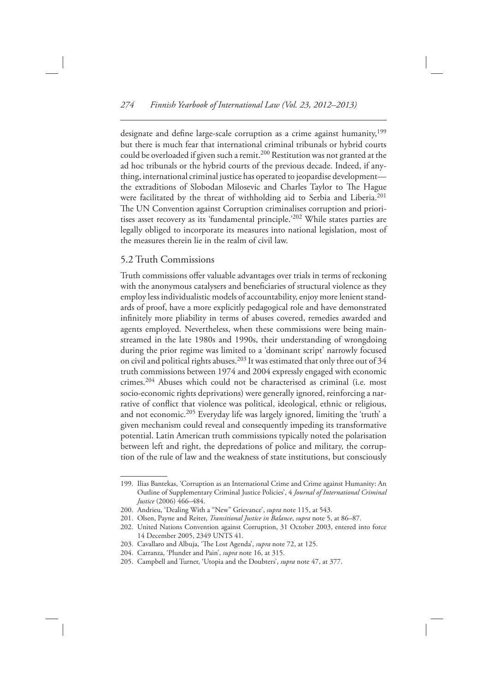designate and define large-scale corruption as a crime against humanity, 199 but there is much fear that international criminal tribunals or hybrid courts could be overloaded if given such a remit.<sup>200</sup> Restitution was not granted at the ad hoc tribunals or the hybrid courts of the previous decade. Indeed, if anything, international criminal justice has operated to jeopardise development the extraditions of Slobodan Milosevic and Charles Taylor to The Hague were facilitated by the threat of withholding aid to Serbia and Liberia.<sup>201</sup> The UN Convention against Corruption criminalises corruption and prioritises asset recovery as its 'fundamental principle.'<sup>202</sup> While states parties are legally obliged to incorporate its measures into national legislation, most of the measures therein lie in the realm of civil law.

#### 5.2 Truth Commissions

Truth commissions offer valuable advantages over trials in terms of reckoning with the anonymous catalysers and beneficiaries of structural violence as they employ less individualistic models of accountability, enjoy more lenient standards of proof, have a more explicitly pedagogical role and have demonstrated infinitely more pliability in terms of abuses covered, remedies awarded and agents employed. Nevertheless, when these commissions were being mainstreamed in the late 1980s and 1990s, their understanding of wrongdoing during the prior regime was limited to a 'dominant script' narrowly focused on civil and political rights abuses. 203 It was estimated that only three out of 34 truth commissions between 1974 and 2004 expressly engaged with economic crimes. 204 Abuses which could not be characterised as criminal (i.e. most socio-economic rights deprivations) were generally ignored, reinforcing a narrative of conflict that violence was political, ideological, ethnic or religious, and not economic.<sup>205</sup> Everyday life was largely ignored, limiting the 'truth' a given mechanism could reveal and consequently impeding its transformative potential. Latin American truth commissions typically noted the polarisation between left and right, the depredations of police and military, the corruption of the rule of law and the weakness of state institutions, but consciously

<sup>199.</sup> Ilias Bantekas, 'Corruption as an International Crime and Crime against Humanity: An Outline of Supplementary Criminal Justice Policies', 4 *Journal of International Criminal Justice* (2006) 466-484.

<sup>200.</sup> Andrieu, 'Dealing With a "New" Grievance', *supra* note 115, at 543.

 <sup>201.</sup> Olsen, Payne and Reiter, *Transitional Justice in Balance* , *supra* note 5, at 86–87.

 <sup>202.</sup> United Nations Convention against Corruption, 31 October 2003, entered into force 14 December 2005, 2349 UNTS 41.

<sup>203.</sup> Cavallaro and Albuja, 'The Lost Agenda', *supra* note 72, at 125.

<sup>204.</sup> Carranza, 'Plunder and Pain', *supra* note 16, at 315.

<sup>205.</sup> Campbell and Turner, 'Utopia and the Doubters', *supra* note 47, at 377.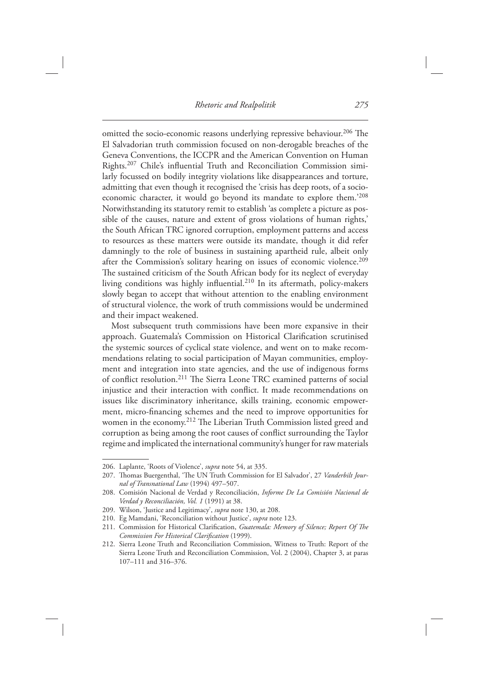omitted the socio-economic reasons underlying repressive behaviour.<sup>206</sup> The El Salvadorian truth commission focused on non-derogable breaches of the Geneva Conventions, the ICCPR and the American Convention on Human Rights.<sup>207</sup> Chile's influential Truth and Reconciliation Commission similarly focussed on bodily integrity violations like disappearances and torture, admitting that even though it recognised the 'crisis has deep roots, of a socioeconomic character, it would go beyond its mandate to explore them.'208 Notwithstanding its statutory remit to establish 'as complete a picture as possible of the causes, nature and extent of gross violations of human rights,' the South African TRC ignored corruption, employment patterns and access to resources as these matters were outside its mandate, though it did refer damningly to the role of business in sustaining apartheid rule, albeit only after the Commission's solitary hearing on issues of economic violence.<sup>209</sup> The sustained criticism of the South African body for its neglect of everyday living conditions was highly influential.<sup>210</sup> In its aftermath, policy-makers slowly began to accept that without attention to the enabling environment of structural violence, the work of truth commissions would be undermined and their impact weakened.

 Most subsequent truth commissions have been more expansive in their approach. Guatemala's Commission on Historical Clarification scrutinised the systemic sources of cyclical state violence, and went on to make recommendations relating to social participation of Mayan communities, employment and integration into state agencies, and the use of indigenous forms of conflict resolution.<sup>211</sup> The Sierra Leone TRC examined patterns of social injustice and their interaction with conflict. It made recommendations on issues like discriminatory inheritance, skills training, economic empowerment, micro-financing schemes and the need to improve opportunities for women in the economy.<sup>212</sup> The Liberian Truth Commission listed greed and corruption as being among the root causes of conflict surrounding the Taylor regime and implicated the international community's hunger for raw materials

<sup>206.</sup> Laplante, 'Roots of Violence', *supra* note 54, at 335.

<sup>207.</sup> Thomas Buergenthal, 'The UN Truth Commission for El Salvador', 27 Vanderbilt Journal of Transnational Law (1994) 497-507.

<sup>208.</sup> Comisión Nacional de Verdad y Reconciliación, *Informe De La Comisión Nacional de* Verdad y Reconciliación, Vol. 1 (1991) at 38.

<sup>209.</sup> Wilson, 'Justice and Legitimacy', *supra* note 130, at 208.

<sup>210.</sup> Eg Mamdani, 'Reconciliation without Justice', *supra* note 123.

<sup>211.</sup> Commission for Historical Clarification, *Guatemala: Memory of Silence; Report Of The Commission For Historical Clarification* (1999).

 <sup>212.</sup> Sierra Leone Truth and Reconciliation Commission, Witness to Truth: Report of the Sierra Leone Truth and Reconciliation Commission, Vol. 2 (2004), Chapter 3, at paras 107–111 and 316–376.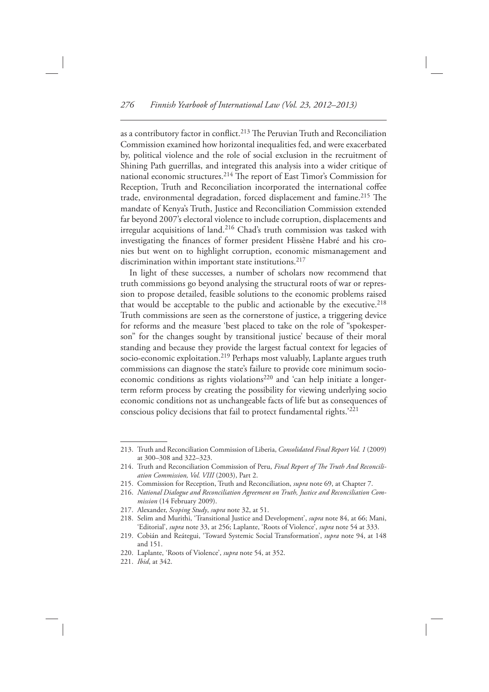as a contributory factor in conflict.<sup>213</sup> The Peruvian Truth and Reconciliation Commission examined how horizontal inequalities fed, and were exacerbated by, political violence and the role of social exclusion in the recruitment of Shining Path guerrillas, and integrated this analysis into a wider critique of national economic structures.<sup>214</sup> The report of East Timor's Commission for Reception, Truth and Reconciliation incorporated the international coffee trade, environmental degradation, forced displacement and famine.<sup>215</sup> The mandate of Kenya's Truth, Justice and Reconciliation Commission extended far beyond 2007's electoral violence to include corruption, displacements and irregular acquisitions of land.<sup>216</sup> Chad's truth commission was tasked with investigating the finances of former president Hissène Habré and his cronies but went on to highlight corruption, economic mismanagement and discrimination within important state institutions.<sup>217</sup>

 In light of these successes, a number of scholars now recommend that truth commissions go beyond analysing the structural roots of war or repression to propose detailed, feasible solutions to the economic problems raised that would be acceptable to the public and actionable by the executive.<sup>218</sup> Truth commissions are seen as the cornerstone of justice, a triggering device for reforms and the measure 'best placed to take on the role of "spokesperson" for the changes sought by transitional justice' because of their moral standing and because they provide the largest factual context for legacies of socio-economic exploitation.<sup>219</sup> Perhaps most valuably, Laplante argues truth commissions can diagnose the state's failure to provide core minimum socioeconomic conditions as rights violations<sup>220</sup> and 'can help initiate a longerterm reform process by creating the possibility for viewing underlying socio economic conditions not as unchangeable facts of life but as consequences of conscious policy decisions that fail to protect fundamental rights.<sup>'221</sup>

217. Alexander, *Scoping Study* , *supra* note 32, at 51.

 <sup>213.</sup> Truth and Reconciliation Commission of Liberia, *Consolidated Final Report Vol. 1* (2009) at 300–308 and 322–323.

<sup>214.</sup> Truth and Reconciliation Commission of Peru, Final Report of The Truth And Reconcili*ation Commission, Vol. VIII* (2003), Part 2.

 <sup>215.</sup> Commission for Reception, Truth and Reconciliation, *supra* note 69, at Chapter 7.

 <sup>216.</sup> *National Dialogue and Reconciliation Agreement on Truth, Justice and Reconciliation Commission* (14 February 2009).

<sup>218.</sup> Selim and Murithi, 'Transitional Justice and Development', *supra* note 84, at 66; Mani, 'Editorial', *supra* note 33, at 256; Laplante, 'Roots of Violence', *supra* note 54 at 333.

<sup>219.</sup> Cobián and Reátegui, 'Toward Systemic Social Transformation', *supra* note 94, at 148 and 151.

<sup>220.</sup> Laplante, 'Roots of Violence', *supra* note 54, at 352.

<sup>221.</sup> *Ibid*, at 342.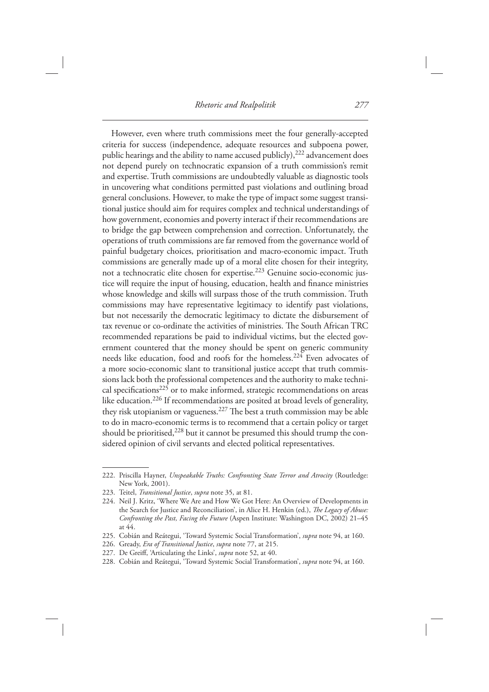*Rhetoric and Realpolitik 277*

 However, even where truth commissions meet the four generally-accepted criteria for success (independence, adequate resources and subpoena power, public hearings and the ability to name accused publicly),<sup>222</sup> advancement does not depend purely on technocratic expansion of a truth commission's remit and expertise. Truth commissions are undoubtedly valuable as diagnostic tools in uncovering what conditions permitted past violations and outlining broad general conclusions. However, to make the type of impact some suggest transitional justice should aim for requires complex and technical understandings of how government, economies and poverty interact if their recommendations are to bridge the gap between comprehension and correction. Unfortunately, the operations of truth commissions are far removed from the governance world of painful budgetary choices, prioritisation and macro-economic impact. Truth commissions are generally made up of a moral elite chosen for their integrity, not a technocratic elite chosen for expertise.<sup>223</sup> Genuine socio-economic justice will require the input of housing, education, health and finance ministries whose knowledge and skills will surpass those of the truth commission. Truth commissions may have representative legitimacy to identify past violations, but not necessarily the democratic legitimacy to dictate the disbursement of tax revenue or co-ordinate the activities of ministries. The South African TRC recommended reparations be paid to individual victims, but the elected government countered that the money should be spent on generic community needs like education, food and roofs for the homeless. 224 Even advocates of a more socio-economic slant to transitional justice accept that truth commissions lack both the professional competences and the authority to make technical specifications<sup>225</sup> or to make informed, strategic recommendations on areas like education. 226 If recommendations are posited at broad levels of generality, they risk utopianism or vagueness.  $227$  The best a truth commission may be able to do in macro-economic terms is to recommend that a certain policy or target should be prioritised,<sup>228</sup> but it cannot be presumed this should trump the considered opinion of civil servants and elected political representatives.

<sup>222.</sup> Priscilla Hayner, *Unspeakable Truths: Confronting State Terror and Atrocity* (Routledge: New York, 2001)

 <sup>223.</sup> Teitel, *Transitional Justice* , *supra* note 35, at 81.

<sup>224.</sup> Neil J. Kritz, 'Where We Are and How We Got Here: An Overview of Developments in the Search for Justice and Reconciliation', in Alice H. Henkin (ed.), *The Legacy of Abuse*: *Confronting the Past, Facing the Future* (Aspen Institute: Washington DC, 2002) 21-45 at 44 .

<sup>225.</sup> Cobián and Reátegui, 'Toward Systemic Social Transformation', *supra* note 94, at 160.

 <sup>226.</sup> Gready, *Era of Transitional Justice* , *supra* note 77, at 215.

<sup>227.</sup> De Greiff, 'Articulating the Links', *supra* note 52, at 40.

<sup>228.</sup> Cobián and Reátegui, 'Toward Systemic Social Transformation', *supra* note 94, at 160.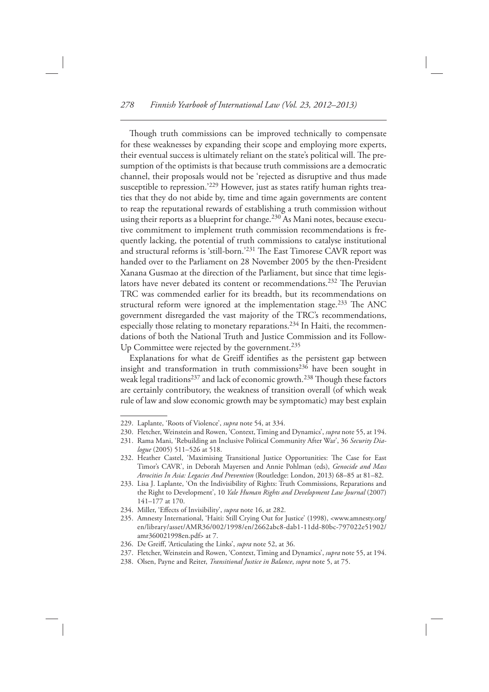Though truth commissions can be improved technically to compensate for these weaknesses by expanding their scope and employing more experts, their eventual success is ultimately reliant on the state's political will. The presumption of the optimists is that because truth commissions are a democratic channel, their proposals would not be 'rejected as disruptive and thus made susceptible to repression.'<sup>229</sup> However, just as states ratify human rights treaties that they do not abide by, time and time again governments are content to reap the reputational rewards of establishing a truth commission without using their reports as a blueprint for change.<sup>230</sup> As Mani notes, because executive commitment to implement truth commission recommendations is frequently lacking, the potential of truth commissions to catalyse institutional and structural reforms is 'still-born.'<sup>231</sup> The East Timorese CAVR report was handed over to the Parliament on 28 November 2005 by the then-President Xanana Gusmao at the direction of the Parliament, but since that time legislators have never debated its content or recommendations.<sup>232</sup> The Peruvian TRC was commended earlier for its breadth, but its recommendations on structural reform were ignored at the implementation stage.<sup>233</sup> The ANC government disregarded the vast majority of the TRC's recommendations, especially those relating to monetary reparations.<sup>234</sup> In Haiti, the recommendations of both the National Truth and Justice Commission and its Follow-Up Committee were rejected by the government. 235

Explanations for what de Greiff identifies as the persistent gap between insight and transformation in truth commissions<sup>236</sup> have been sought in weak legal traditions<sup>237</sup> and lack of economic growth.<sup>238</sup> Though these factors are certainly contributory, the weakness of transition overall (of which weak rule of law and slow economic growth may be symptomatic) may best explain

<sup>229.</sup> Laplante, 'Roots of Violence', *supra* note 54, at 334.

<sup>230.</sup> Fletcher, Weinstein and Rowen, 'Context, Timing and Dynamics', *supra* note 55, at 194.

<sup>231.</sup> Rama Mani, 'Rebuilding an Inclusive Political Community After War', 36 Security Dialogue (2005) 511-526 at 518.

<sup>232.</sup> Heather Castel, 'Maximising Transitional Justice Opportunities: The Case for East Timor's CAVR', in Deborah Mayersen and Annie Pohlman (eds), *Genocide and Mass* Atrocities In Asia: Legacies And Prevention (Routledge: London, 2013) 68-85 at 81-82.

<sup>233.</sup> Lisa J. Laplante, 'On the Indivisibility of Rights: Truth Commissions, Reparations and the Right to Development', 10 *Yale Human Rights and Development Law Journal* (2007)  $141 - 177$  at 170.

<sup>234.</sup> Miller, 'Effects of Invisibility', *supra* note 16, at 282.

<sup>235.</sup> Amnesty International, 'Haiti: Still Crying Out for Justice' (1998), <www.amnesty.org/ en/library/asset/AMR36/002/1998/en/2662abc8-dab1-11dd-80bc-797022e51902/ amr360021998en.pdf> at 7.

<sup>236.</sup> De Greiff, 'Articulating the Links', *supra* note 52, at 36.

<sup>237.</sup> Fletcher, Weinstein and Rowen, 'Context, Timing and Dynamics', *supra* note 55, at 194.

 <sup>238.</sup> Olsen, Payne and Reiter, *Transitional Justice in Balance* , *supra* note 5, at 75.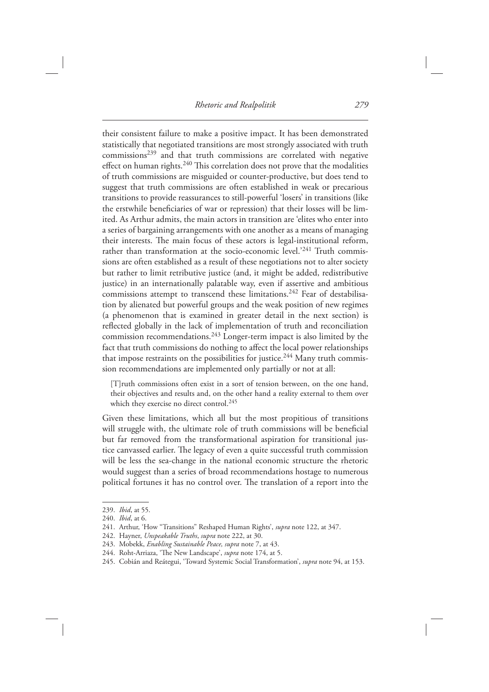their consistent failure to make a positive impact. It has been demonstrated statistically that negotiated transitions are most strongly associated with truth commissions 239 and that truth commissions are correlated with negative effect on human rights. $240$  This correlation does not prove that the modalities of truth commissions are misguided or counter-productive, but does tend to suggest that truth commissions are often established in weak or precarious transitions to provide reassurances to still-powerful ' losers ' in transitions (like the erstwhile beneficiaries of war or repression) that their losses will be limited. As Arthur admits, the main actors in transition are 'elites who enter into a series of bargaining arrangements with one another as a means of managing their interests. The main focus of these actors is legal-institutional reform, rather than transformation at the socio-economic level.'<sup>241</sup> Truth commissions are often established as a result of these negotiations not to alter society but rather to limit retributive justice (and, it might be added, redistributive justice) in an internationally palatable way, even if assertive and ambitious commissions attempt to transcend these limitations.<sup>242</sup> Fear of destabilisation by alienated but powerful groups and the weak position of new regimes (a phenomenon that is examined in greater detail in the next section) is reflected globally in the lack of implementation of truth and reconciliation commission recommendations.  $243$  Longer-term impact is also limited by the fact that truth commissions do nothing to affect the local power relationships that impose restraints on the possibilities for justice.<sup>244</sup> Many truth commission recommendations are implemented only partially or not at all:

 [T]ruth commissions often exist in a sort of tension between, on the one hand, their objectives and results and, on the other hand a reality external to them over which they exercise no direct control.<sup>245</sup>

 Given these limitations, which all but the most propitious of transitions will struggle with, the ultimate role of truth commissions will be beneficial but far removed from the transformational aspiration for transitional justice canvassed earlier. The legacy of even a quite successful truth commission will be less the sea-change in the national economic structure the rhetoric would suggest than a series of broad recommendations hostage to numerous political fortunes it has no control over. The translation of a report into the

<sup>239.</sup> *Ibid*, at 55.

<sup>240.</sup> *Ibid*, at 6.

<sup>241.</sup> Arthur, 'How "Transitions" Reshaped Human Rights', *supra* note 122, at 347.

 <sup>242.</sup> Hayner, *Unspeakable Truths* , *supra* note 222, at 30.

 <sup>243.</sup> Mobekk, *Enabling Sustainable Peace, supra* note 7, at 43.

<sup>244.</sup> Roht-Arriaza, 'The New Landscape', *supra* note 174, at 5.

<sup>245.</sup> Cobián and Reátegui, 'Toward Systemic Social Transformation', *supra* note 94, at 153.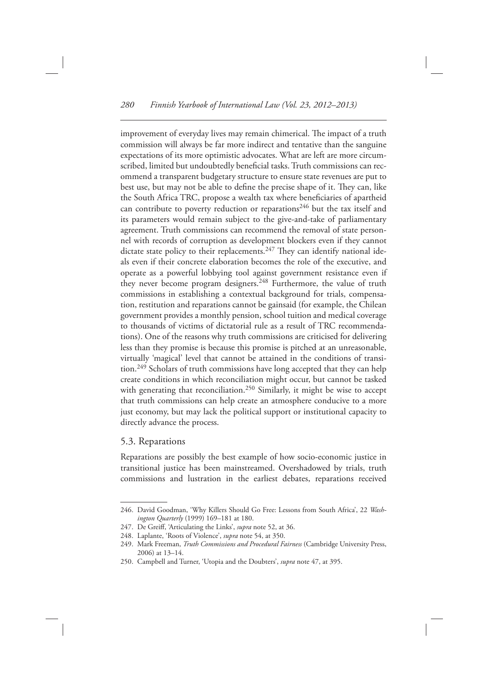improvement of everyday lives may remain chimerical. The impact of a truth commission will always be far more indirect and tentative than the sanguine expectations of its more optimistic advocates. What are left are more circumscribed, limited but undoubtedly beneficial tasks. Truth commissions can recommend a transparent budgetary structure to ensure state revenues are put to best use, but may not be able to define the precise shape of it. They can, like the South Africa TRC, propose a wealth tax where beneficiaries of apartheid can contribute to poverty reduction or reparations<sup>246</sup> but the tax itself and its parameters would remain subject to the give-and-take of parliamentary agreement. Truth commissions can recommend the removal of state personnel with records of corruption as development blockers even if they cannot dictate state policy to their replacements.<sup>247</sup> They can identify national ideals even if their concrete elaboration becomes the role of the executive, and operate as a powerful lobbying tool against government resistance even if they never become program designers. 248 Furthermore, the value of truth commissions in establishing a contextual background for trials, compensation, restitution and reparations cannot be gainsaid (for example, the Chilean government provides a monthly pension, school tuition and medical coverage to thousands of victims of dictatorial rule as a result of TRC recommendations). One of the reasons why truth commissions are criticised for delivering less than they promise is because this promise is pitched at an unreasonable, virtually 'magical' level that cannot be attained in the conditions of transition.<sup>249</sup> Scholars of truth commissions have long accepted that they can help create conditions in which reconciliation might occur, but cannot be tasked with generating that reconciliation.<sup>250</sup> Similarly, it might be wise to accept that truth commissions can help create an atmosphere conducive to a more just economy, but may lack the political support or institutional capacity to directly advance the process.

#### 5.3. Reparations

 Reparations are possibly the best example of how socio-economic justice in transitional justice has been mainstreamed. Overshadowed by trials, truth commissions and lustration in the earliest debates, reparations received

<sup>246.</sup> David Goodman, 'Why Killers Should Go Free: Lessons from South Africa', 22 *Washington Quarterly* (1999) 169-181 at 180.

<sup>247.</sup> De Greiff, 'Articulating the Links', *supra* note 52, at 36.

<sup>248.</sup> Laplante, 'Roots of Violence', *supra* note 54, at 350.

<sup>249.</sup> Mark Freeman, *Truth Commissions and Procedural Fairness* (Cambridge University Press, 2006) at 13-14.

<sup>250.</sup> Campbell and Turner, 'Utopia and the Doubters', *supra* note 47, at 395.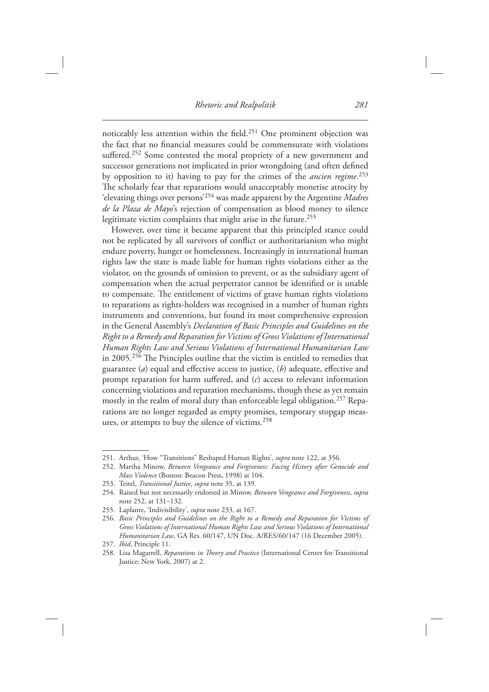noticeably less attention within the field.<sup>251</sup> One prominent objection was the fact that no financial measures could be commensurate with violations suffered.<sup>252</sup> Some contested the moral propriety of a new government and successor generations not implicated in prior wrongdoing (and often defined by opposition to it) having to pay for the crimes of the *ancien regime*.<sup>253</sup> The scholarly fear that reparations would unacceptably monetise atrocity by 'elevating things over persons'<sup>254</sup> was made apparent by the Argentine *Madres de la Plaza de Mayo*'s rejection of compensation as blood money to silence legitimate victim complaints that might arise in the future.<sup>255</sup>

 However, over time it became apparent that this principled stance could not be replicated by all survivors of conflict or authoritarianism who might endure poverty, hunger or homelessness. Increasingly in international human rights law the state is made liable for human rights violations either as the violator, on the grounds of omission to prevent, or as the subsidiary agent of compensation when the actual perpetrator cannot be identified or is unable to compensate. The entitlement of victims of grave human rights violations to reparations as rights-holders was recognised in a number of human rights instruments and conventions, but found its most comprehensive expression in the General Assembly's *Declaration of Basic Principles and Guidelines on the Right to a Remedy and Reparation for Victims of Gross Violations of International Human Rights Law and Serious Violations of International Humanitarian Law* in 2005.<sup>256</sup> The Principles outline that the victim is entitled to remedies that guarantee (*a*) equal and effective access to justice, (*b*) adequate, effective and prompt reparation for harm suffered, and  $(c)$  access to relevant information concerning violations and reparation mechanisms, though these as yet remain mostly in the realm of moral duty than enforceable legal obligation. 257 Reparations are no longer regarded as empty promises, temporary stopgap measures, or attempts to buy the silence of victims.<sup>258</sup>

<sup>251.</sup> Arthur, 'How "Transitions" Reshaped Human Rights', *supra* note 122, at 356.

<sup>252.</sup> Martha Minow, *Between Vengeance and Forgiveness: Facing History after Genocide and Mass Violence* (Boston: Beacon Press, 1998) at 104.

 <sup>253.</sup> Teitel, *Transitional Justice* , *supra* note 35, at 139.

 <sup>254.</sup> Raised but not necessarily endorsed in Minow, *Between Vengeance and Forgiveness* , *supra* note 252, at 131–132.

<sup>255.</sup> Laplante, 'Indivisibility', *supra* note 233, at 167.

 <sup>256.</sup> *Basic Principles and Guidelines on the Right to a Remedy and Reparation for Victims of Gross Violations of International Human Rights Law and Serious Violations of International Humanitarian Law* , GA Res. 60/147, UN Doc. A/RES/60/147 (16 December 2005) .

<sup>257.</sup> *Ibid*, Principle 11.

<sup>258.</sup> Lisa Magarrell, *Reparations in Theory and Practice* (International Center for Transitional Justice: New York, 2007) at 2.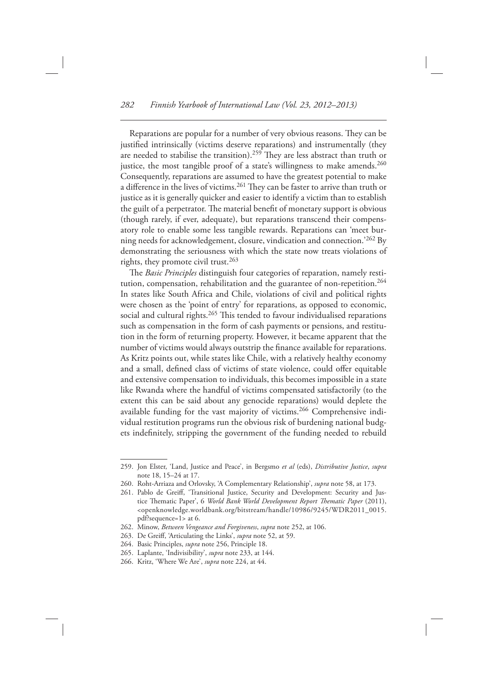Reparations are popular for a number of very obvious reasons. They can be justified intrinsically (victims deserve reparations) and instrumentally (they are needed to stabilise the transition).<sup>259</sup> They are less abstract than truth or justice, the most tangible proof of a state's willingness to make amends.<sup>260</sup> Consequently, reparations are assumed to have the greatest potential to make a difference in the lives of victims.<sup>261</sup> They can be faster to arrive than truth or justice as it is generally quicker and easier to identify a victim than to establish the guilt of a perpetrator. The material benefit of monetary support is obvious (though rarely, if ever, adequate), but reparations transcend their compensatory role to enable some less tangible rewards. Reparations can 'meet burning needs for acknowledgement, closure, vindication and connection.<sup>'262</sup> By demonstrating the seriousness with which the state now treats violations of rights, they promote civil trust. 263

The *Basic Principles* distinguish four categories of reparation, namely restitution, compensation, rehabilitation and the guarantee of non-repetition.<sup>264</sup> In states like South Africa and Chile, violations of civil and political rights were chosen as the 'point of entry' for reparations, as opposed to economic, social and cultural rights.<sup>265</sup> This tended to favour individualised reparations such as compensation in the form of cash payments or pensions, and restitution in the form of returning property. However, it became apparent that the number of victims would always outstrip the finance available for reparations. As Kritz points out, while states like Chile, with a relatively healthy economy and a small, defined class of victims of state violence, could offer equitable and extensive compensation to individuals, this becomes impossible in a state like Rwanda where the handful of victims compensated satisfactorily (to the extent this can be said about any genocide reparations) would deplete the available funding for the vast majority of victims. 266 Comprehensive individual restitution programs run the obvious risk of burdening national budgets indefinitely, stripping the government of the funding needed to rebuild

 <sup>259.</sup> Jon Elster, ' Land, Justice and Peace ' , in Bergsmo *et al* (eds), *Distributive Justice* , *supra* note 18, 15–24 at 17.

<sup>260.</sup> Roht-Arriaza and Orlovsky, 'A Complementary Relationship', *supra* note 58, at 173.

<sup>261.</sup> Pablo de Greiff, 'Transitional Justice, Security and Development: Security and Justice Thematic Paper', 6 *World Bank World Development Report Thematic Paper* (2011), < openknowledge.worldbank.org/bitstream/handle/10986/9245/WDR2011\_0015. pdf?sequence=1> at 6.

 <sup>262.</sup> Minow, *Between Vengeance and Forgiveness* , *supra* note 252, at 106.

<sup>263.</sup> De Greiff, 'Articulating the Links', *supra* note 52, at 59.

 <sup>264.</sup> Basic Principles, *supra* note 256, Principle 18.

<sup>265.</sup> Laplante, 'Indivisibility', *supra* note 233, at 144.

<sup>266.</sup> Kritz, 'Where We Are', *supra* note 224, at 44.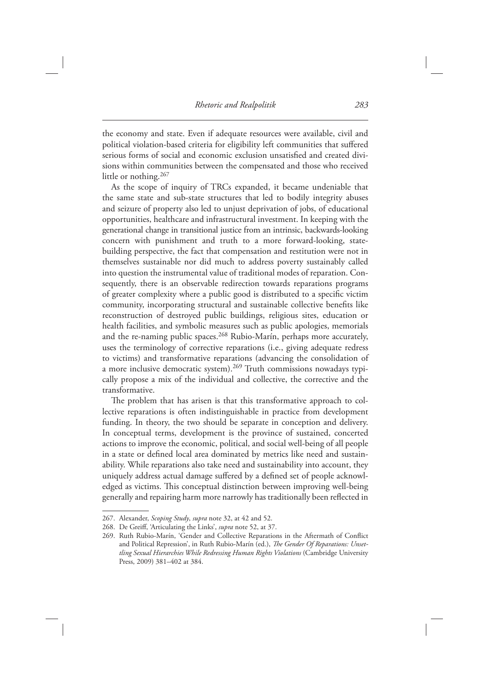the economy and state. Even if adequate resources were available, civil and political violation-based criteria for eligibility left communities that suffered serious forms of social and economic exclusion unsatisfied and created divisions within communities between the compensated and those who received little or nothing. 267

 As the scope of inquiry of TRCs expanded, it became undeniable that the same state and sub-state structures that led to bodily integrity abuses and seizure of property also led to unjust deprivation of jobs, of educational opportunities, healthcare and infrastructural investment. In keeping with the generational change in transitional justice from an intrinsic, backwards-looking concern with punishment and truth to a more forward-looking, statebuilding perspective, the fact that compensation and restitution were not in themselves sustainable nor did much to address poverty sustainably called into question the instrumental value of traditional modes of reparation. Consequently, there is an observable redirection towards reparations programs of greater complexity where a public good is distributed to a specific victim community, incorporating structural and sustainable collective benefits like reconstruction of destroyed public buildings, religious sites, education or health facilities, and symbolic measures such as public apologies, memorials and the re-naming public spaces.<sup>268</sup> Rubio-Marín, perhaps more accurately, uses the terminology of corrective reparations (i.e., giving adequate redress to victims) and transformative reparations (advancing the consolidation of a more inclusive democratic system).<sup>269</sup> Truth commissions nowadays typically propose a mix of the individual and collective, the corrective and the transformative.

The problem that has arisen is that this transformative approach to collective reparations is often indistinguishable in practice from development funding. In theory, the two should be separate in conception and delivery. In conceptual terms, development is the province of sustained, concerted actions to improve the economic, political, and social well-being of all people in a state or defined local area dominated by metrics like need and sustainability. While reparations also take need and sustainability into account, they uniquely address actual damage suffered by a defined set of people acknowledged as victims. This conceptual distinction between improving well-being generally and repairing harm more narrowly has traditionally been reflected in

 <sup>267.</sup> Alexander, *Scoping Study* , *supra* note 32, at 42 and 52.

<sup>268.</sup> De Greiff, 'Articulating the Links', *supra* note 52, at 37.

<sup>269.</sup> Ruth Rubio-Marín, 'Gender and Collective Reparations in the Aftermath of Conflict and Political Repression', in Ruth Rubio-Marín (ed.), *The Gender Of Reparations: Unsettling Sexual Hierarchies While Redressing Human Rights Violations* ( Cambridge University Press, 2009) 381-402 at 384.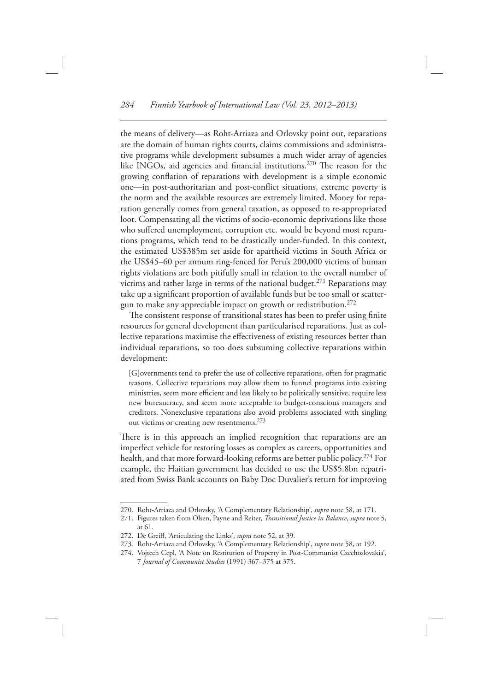the means of delivery-as Roht-Arriaza and Orlovsky point out, reparations are the domain of human rights courts, claims commissions and administrative programs while development subsumes a much wider array of agencies like INGOs, aid agencies and financial institutions.<sup>270</sup> The reason for the growing conflation of reparations with development is a simple economic one-in post-authoritarian and post-conflict situations, extreme poverty is the norm and the available resources are extremely limited. Money for reparation generally comes from general taxation, as opposed to re-appropriated loot. Compensating all the victims of socio-economic deprivations like those who suffered unemployment, corruption etc. would be beyond most reparations programs, which tend to be drastically under-funded. In this context, the estimated US\$385m set aside for apartheid victims in South Africa or the US\$45–60 per annum ring-fenced for Peru's 200,000 victims of human rights violations are both pitifully small in relation to the overall number of victims and rather large in terms of the national budget. 271 Reparations may take up a significant proportion of available funds but be too small or scattergun to make any appreciable impact on growth or redistribution.<sup>272</sup>

The consistent response of transitional states has been to prefer using finite resources for general development than particularised reparations. Just as collective reparations maximise the effectiveness of existing resources better than individual reparations, so too does subsuming collective reparations within development:

 [G]overnments tend to prefer the use of collective reparations, often for pragmatic reasons. Collective reparations may allow them to funnel programs into existing ministries, seem more efficient and less likely to be politically sensitive, require less new bureaucracy, and seem more acceptable to budget-conscious managers and creditors. Nonexclusive reparations also avoid problems associated with singling out victims or creating new resentments. 273

There is in this approach an implied recognition that reparations are an imperfect vehicle for restoring losses as complex as careers, opportunities and health, and that more forward-looking reforms are better public policy.<sup>274</sup> For example, the Haitian government has decided to use the US\$5.8bn repatriated from Swiss Bank accounts on Baby Doc Duvalier's return for improving

<sup>270.</sup> Roht-Arriaza and Orlovsky, 'A Complementary Relationship', *supra* note 58, at 171.

 <sup>271.</sup> Figures taken from Olsen, Payne and Reiter, *Transitional Justice in Balance* , *supra* note 5, at 61.

<sup>272.</sup> De Greiff, 'Articulating the Links', *supra* note 52, at 39.

<sup>273.</sup> Roht-Arriaza and Orlovsky, 'A Complementary Relationship', *supra* note 58, at 192.

<sup>274.</sup> Vojtech Cepl, 'A Note on Restitution of Property in Post-Communist Czechoslovakia', 7 *Journal of Communist Studies* ( 1991 ) 367 – 375 at 375 .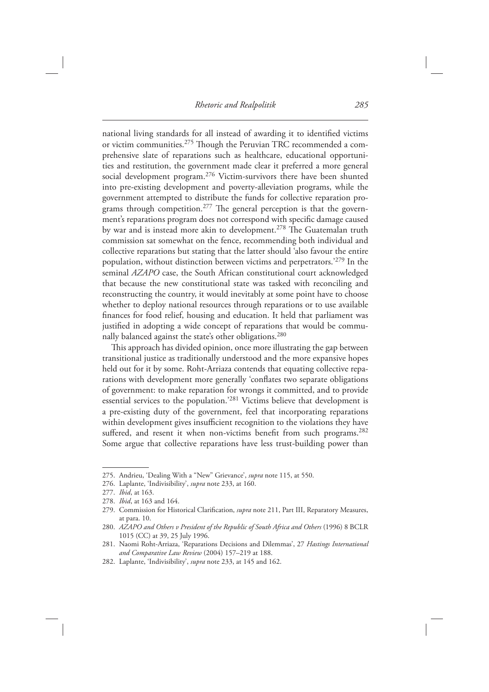national living standards for all instead of awarding it to identified victims or victim communities.<sup>275</sup> Though the Peruvian TRC recommended a comprehensive slate of reparations such as healthcare, educational opportunities and restitution, the government made clear it preferred a more general social development program.<sup>276</sup> Victim-survivors there have been shunted into pre-existing development and poverty-alleviation programs, while the government attempted to distribute the funds for collective reparation programs through competition.<sup>277</sup> The general perception is that the government's reparations program does not correspond with specific damage caused by war and is instead more akin to development.<sup>278</sup> The Guatemalan truth commission sat somewhat on the fence, recommending both individual and collective reparations but stating that the latter should 'also favour the entire population, without distinction between victims and perpetrators.<sup>279</sup> In the seminal *AZAPO* case, the South African constitutional court acknowledged that because the new constitutional state was tasked with reconciling and reconstructing the country, it would inevitably at some point have to choose whether to deploy national resources through reparations or to use available finances for food relief, housing and education. It held that parliament was justified in adopting a wide concept of reparations that would be communally balanced against the state's other obligations.<sup>280</sup>

This approach has divided opinion, once more illustrating the gap between transitional justice as traditionally understood and the more expansive hopes held out for it by some. Roht-Arriaza contends that equating collective reparations with development more generally 'conflates two separate obligations of government: to make reparation for wrongs it committed, and to provide essential services to the population.<sup>'281</sup> Victims believe that development is a pre-existing duty of the government, feel that incorporating reparations within development gives insufficient recognition to the violations they have suffered, and resent it when non-victims benefit from such programs.<sup>282</sup> Some argue that collective reparations have less trust-building power than

<sup>275.</sup> Andrieu, 'Dealing With a "New" Grievance', *supra* note 115, at 550.

<sup>276.</sup> Laplante, 'Indivisibility', *supra* note 233, at 160.

<sup>277.</sup> *Ibid*, at 163.

<sup>278.</sup> *Ibid*, at 163 and 164.

<sup>279.</sup> Commission for Historical Clarification, *supra* note 211, Part III, Reparatory Measures, at para. 10.

 <sup>280.</sup> *AZAPO and Others v President of the Republic of South Africa and Others* ( 1996 ) 8 BCLR 1015 (CC) at 39, 25 July 1996.

<sup>281.</sup> Naomi Roht-Arriaza, 'Reparations Decisions and Dilemmas', 27 *Hastings International* and Comparative Law Review (2004) 157-219 at 188.

<sup>282.</sup> Laplante, 'Indivisibility', *supra* note 233, at 145 and 162.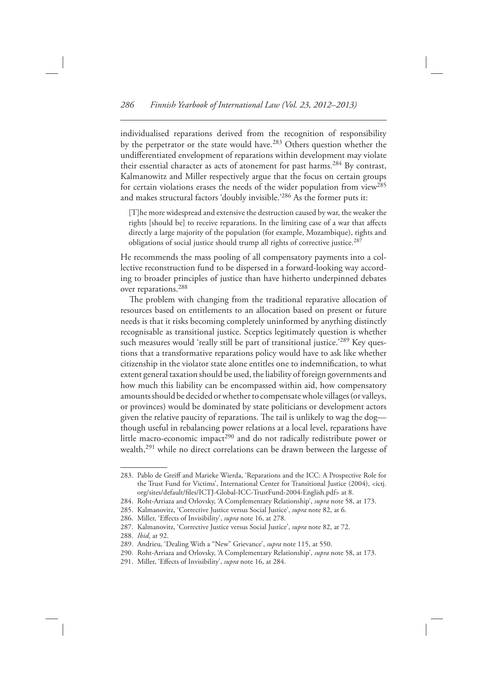individualised reparations derived from the recognition of responsibility by the perpetrator or the state would have.<sup>283</sup> Others question whether the undifferentiated envelopment of reparations within development may violate their essential character as acts of atonement for past harms.<sup>284</sup> By contrast, Kalmanowitz and Miller respectively argue that the focus on certain groups for certain violations erases the needs of the wider population from view<sup>285</sup> and makes structural factors 'doubly invisible.'<sup>286</sup> As the former puts it:

 [T]he more widespread and extensive the destruction caused by war, the weaker the rights [should be] to receive reparations. In the limiting case of a war that affects directly a large majority of the population (for example, Mozambique), rights and obligations of social justice should trump all rights of corrective justice.<sup>287</sup>

 He recommends the mass pooling of all compensatory payments into a collective reconstruction fund to be dispersed in a forward-looking way according to broader principles of justice than have hitherto underpinned debates over reparations. 288

The problem with changing from the traditional reparative allocation of resources based on entitlements to an allocation based on present or future needs is that it risks becoming completely uninformed by anything distinctly recognisable as transitional justice. Sceptics legitimately question is whether such measures would 'really still be part of transitional justice.'<sup>289</sup> Key questions that a transformative reparations policy would have to ask like whether citizenship in the violator state alone entitles one to indemnification, to what extent general taxation should be used, the liability of foreign governments and how much this liability can be encompassed within aid, how compensatory amounts should be decided or whether to compensate whole villages (or valleys, or provinces) would be dominated by state politicians or development actors given the relative paucity of reparations. The tail is unlikely to wag the dog though useful in rebalancing power relations at a local level, reparations have little macro-economic impact<sup>290</sup> and do not radically redistribute power or wealth, <sup>291</sup> while no direct correlations can be drawn between the largesse of

 <sup>283.</sup> Pablo de Greiff and Marieke Wierda , ' Reparations and the ICC : A Prospective Role for the Trust Fund for Victims', International Center for Transitional Justice (2004), <ictj. org/sites/default/files/ICTJ-Global-ICC-TrustFund-2004-English.pdf> at 8.

<sup>284.</sup> Roht-Arriaza and Orlovsky, 'A Complementary Relationship', *supra* note 58, at 173.

<sup>285.</sup> Kalmanovitz, 'Corrective Justice versus Social Justice', *supra* note 82, at 6.

<sup>286.</sup> Miller, 'Effects of Invisibility', *supra* note 16, at 278.

<sup>287.</sup> Kalmanovitz, 'Corrective Justice versus Social Justice', *supra* note 82, at 72.

<sup>288.</sup> *Ibid*, at 92.

<sup>289.</sup> Andrieu, 'Dealing With a "New" Grievance', *supra* note 115, at 550.

<sup>290.</sup> Roht-Arriaza and Orlovsky, 'A Complementary Relationship', *supra* note 58, at 173.

<sup>291.</sup> Miller, 'Effects of Invisibility', *supra* note 16, at 284.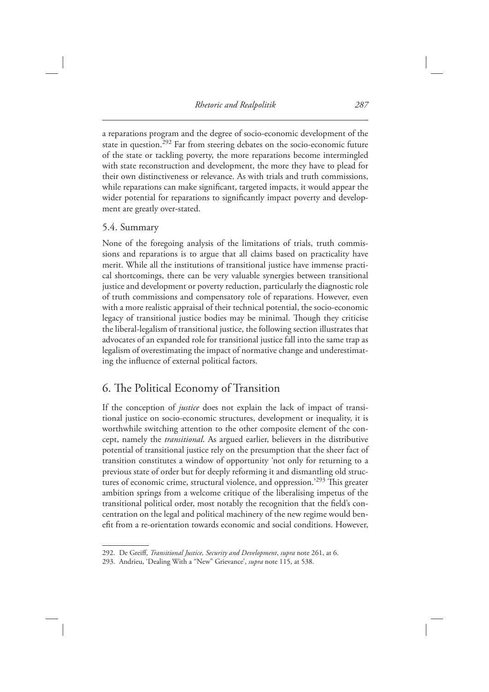a reparations program and the degree of socio-economic development of the state in question.<sup>292</sup> Far from steering debates on the socio-economic future of the state or tackling poverty, the more reparations become intermingled with state reconstruction and development, the more they have to plead for their own distinctiveness or relevance. As with trials and truth commissions, while reparations can make significant, targeted impacts, it would appear the wider potential for reparations to significantly impact poverty and development are greatly over-stated.

#### 5.4. Summary

 None of the foregoing analysis of the limitations of trials, truth commissions and reparations is to argue that all claims based on practicality have merit. While all the institutions of transitional justice have immense practical shortcomings, there can be very valuable synergies between transitional justice and development or poverty reduction, particularly the diagnostic role of truth commissions and compensatory role of reparations. However, even with a more realistic appraisal of their technical potential, the socio-economic legacy of transitional justice bodies may be minimal. Though they criticise the liberal-legalism of transitional justice, the following section illustrates that advocates of an expanded role for transitional justice fall into the same trap as legalism of overestimating the impact of normative change and underestimating the influence of external political factors.

### 6. The Political Economy of Transition

 If the conception of *justice* does not explain the lack of impact of transitional justice on socio-economic structures, development or inequality, it is worthwhile switching attention to the other composite element of the concept, namely the *transitional* . As argued earlier, believers in the distributive potential of transitional justice rely on the presumption that the sheer fact of transition constitutes a window of opportunity 'not only for returning to a previous state of order but for deeply reforming it and dismantling old structures of economic crime, structural violence, and oppression.<sup>'293</sup> This greater ambition springs from a welcome critique of the liberalising impetus of the transitional political order, most notably the recognition that the field's concentration on the legal and political machinery of the new regime would benefit from a re-orientation towards economic and social conditions. However,

<sup>292.</sup> De Greiff, *Transitional Justice, Security and Development, supra* note 261, at 6.

<sup>293.</sup> Andrieu, 'Dealing With a "New" Grievance', *supra* note 115, at 538.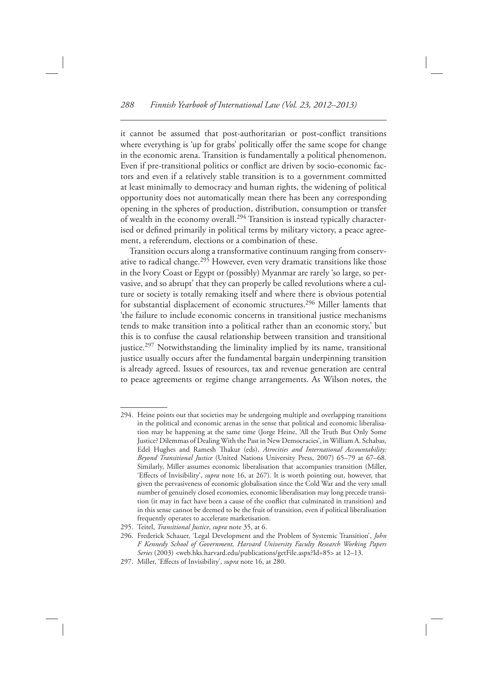it cannot be assumed that post-authoritarian or post-conflict transitions where everything is 'up for grabs' politically offer the same scope for change in the economic arena. Transition is fundamentally a political phenomenon. Even if pre-transitional politics or conflict are driven by socio-economic factors and even if a relatively stable transition is to a government committed at least minimally to democracy and human rights, the widening of political opportunity does not automatically mean there has been any corresponding opening in the spheres of production, distribution, consumption or transfer of wealth in the economy overall. 294 Transition is instead typically characterised or defined primarily in political terms by military victory, a peace agreement, a referendum, elections or a combination of these.

 Transition occurs along a transformative continuum ranging from conservative to radical change.<sup>295</sup> However, even very dramatic transitions like those in the Ivory Coast or Egypt or (possibly) Myanmar are rarely 'so large, so pervasive, and so abrupt' that they can properly be called revolutions where a culture or society is totally remaking itself and where there is obvious potential for substantial displacement of economic structures.<sup>296</sup> Miller laments that ' the failure to include economic concerns in transitional justice mechanisms tends to make transition into a political rather than an economic story, ' but this is to confuse the causal relationship between transition and transitional justice.<sup>297</sup> Notwithstanding the liminality implied by its name, transitional justice usually occurs after the fundamental bargain underpinning transition is already agreed. Issues of resources, tax and revenue generation are central to peace agreements or regime change arrangements. As Wilson notes, the

 <sup>294.</sup> Heine points out that societies may be undergoing multiple and overlapping transitions in the political and economic arenas in the sense that political and economic liberalisation may be happening at the same time (Jorge Heine, 'All the Truth But Only Some Justice? Dilemmas of Dealing With the Past in New Democracies', in William A. Schabas, Edel Hughes and Ramesh Thakur (eds), Atrocities and International Accountability: *Beyond Transitional Justice* (United Nations University Press, 2007) 65–79 at 67–68. Similarly, Miller assumes economic liberalisation that accompanies transition (Miller, 'Effects of Invisibility', *supra* note 16, at 267). It is worth pointing out, however, that given the pervasiveness of economic globalisation since the Cold War and the very small number of genuinely closed economies, economic liberalisation may long precede transition (it may in fact have been a cause of the conflict that culminated in transition) and in this sense cannot be deemed to be the fruit of transition, even if political liberalisation frequently operates to accelerate marketisation.

 <sup>295.</sup> Teitel, *Transitional Justice* , *supra* note 35, at 6.

<sup>296.</sup> Frederick Schauer, 'Legal Development and the Problem of Systemic Transition', *John F Kennedy School of Government, Harvard University Faculty Research Working Papers*  Series (2003) <web.hks.harvard.edu/publications/getFile.aspx?Id=85> at 12-13.

<sup>297.</sup> Miller, 'Effects of Invisibility', *supra* note 16, at 280.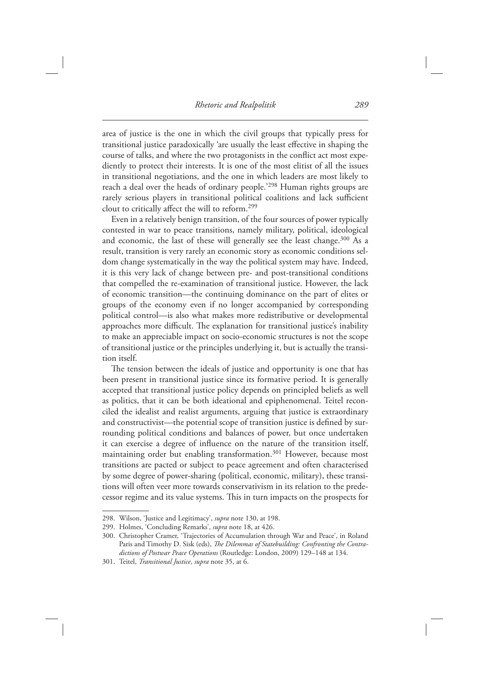area of justice is the one in which the civil groups that typically press for transitional justice paradoxically 'are usually the least effective in shaping the course of talks, and where the two protagonists in the conflict act most expediently to protect their interests. It is one of the most elitist of all the issues in transitional negotiations, and the one in which leaders are most likely to reach a deal over the heads of ordinary people.'<sup>298</sup> Human rights groups are rarely serious players in transitional political coalitions and lack sufficient clout to critically affect the will to reform.<sup>299</sup>

 Even in a relatively benign transition, of the four sources of power typically contested in war to peace transitions, namely military, political, ideological and economic, the last of these will generally see the least change.<sup>300</sup> As a result, transition is very rarely an economic story as economic conditions seldom change systematically in the way the political system may have. Indeed, it is this very lack of change between pre- and post-transitional conditions that compelled the re-examination of transitional justice. However, the lack of economic transition — the continuing dominance on the part of elites or groups of the economy even if no longer accompanied by corresponding political control—is also what makes more redistributive or developmental approaches more difficult. The explanation for transitional justice's inability to make an appreciable impact on socio-economic structures is not the scope of transitional justice or the principles underlying it, but is actually the transition itself.

The tension between the ideals of justice and opportunity is one that has been present in transitional justice since its formative period. It is generally accepted that transitional justice policy depends on principled beliefs as well as politics, that it can be both ideational and epiphenomenal. Teitel reconciled the idealist and realist arguments, arguing that justice is extraordinary and constructivist—the potential scope of transition justice is defined by surrounding political conditions and balances of power, but once undertaken it can exercise a degree of influence on the nature of the transition itself, maintaining order but enabling transformation.<sup>301</sup> However, because most transitions are pacted or subject to peace agreement and often characterised by some degree of power-sharing (political, economic, military), these transitions will often veer more towards conservativism in its relation to the predecessor regime and its value systems. This in turn impacts on the prospects for

<sup>298.</sup> Wilson, 'Justice and Legitimacy', *supra* note 130, at 198.

<sup>299.</sup> Holmes, 'Concluding Remarks', *supra* note 18, at 426.

<sup>300.</sup> Christopher Cramer, 'Trajectories of Accumulation through War and Peace', in Roland Paris and Timothy D. Sisk (eds), *The Dilemmas of Statebuilding: Confronting the Contra*dictions of Postwar Peace Operations (Routledge: London, 2009) 129-148 at 134.

 <sup>301.</sup> Teitel, *Transitional Justice* , *supra* note 35, at 6.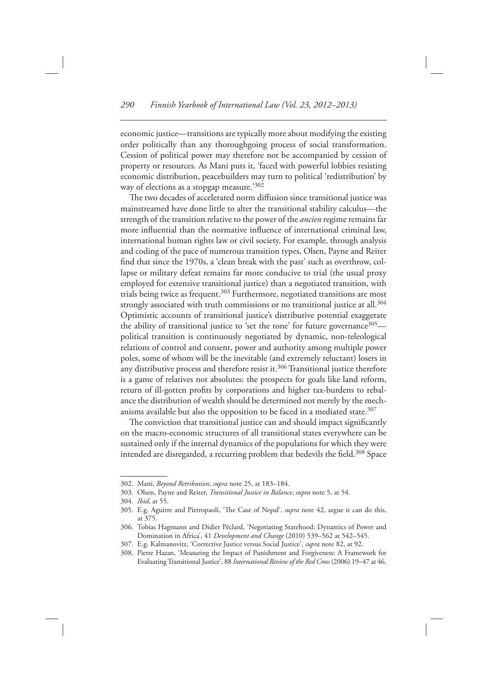economic justice — transitions are typically more about modifying the existing order politically than any thoroughgoing process of social transformation. Cession of political power may therefore not be accompanied by cession of property or resources. As Mani puts it, 'faced with powerful lobbies resisting economic distribution, peacebuilders may turn to political 'redistribution' by way of elections as a stopgap measure.'302

The two decades of accelerated norm diffusion since transitional justice was mainstreamed have done little to alter the transitional stability calculus — the strength of the transition relative to the power of the *ancien* regime remains far more influential than the normative influence of international criminal law, international human rights law or civil society. For example, through analysis and coding of the pace of numerous transition types, Olsen, Payne and Reiter find that since the 1970s, a 'clean break with the past' such as overthrow, collapse or military defeat remains far more conducive to trial (the usual proxy employed for extensive transitional justice) than a negotiated transition, with trials being twice as frequent.<sup>303</sup> Furthermore, negotiated transitions are most strongly associated with truth commissions or no transitional justice at all.<sup>304</sup> Optimistic accounts of transitional justice's distributive potential exaggerate the ability of transitional justice to 'set the tone' for future governance<sup>305</sup> $$  political transition is continuously negotiated by dynamic, non-teleological relations of control and consent, power and authority among multiple power poles, some of whom will be the inevitable (and extremely reluctant) losers in any distributive process and therefore resist it.<sup>306</sup> Transitional justice therefore is a game of relatives not absolutes: the prospects for goals like land reform, return of ill-gotten profits by corporations and higher tax-burdens to rebalance the distribution of wealth should be determined not merely by the mechanisms available but also the opposition to be faced in a mediated state.<sup>307</sup>

The conviction that transitional justice can and should impact significantly on the macro-economic structures of all transitional states everywhere can be sustained only if the internal dynamics of the populations for which they were intended are disregarded, a recurring problem that bedevils the field.<sup>308</sup> Space

 <sup>302.</sup> Mani, *Beyond Retribution* , *supra* note 25, at 183–184.

 <sup>303.</sup> Olsen, Payne and Reiter, *Transitional Justice in Balance* , *supra* note 5, at 54.

<sup>304.</sup> *Ibid*, at 55.

<sup>305.</sup> E.g. Aguirre and Pietropaoli, 'The Case of Nepal', *supra* note 42, argue it can do this, at 375.

<sup>306.</sup> Tobias Hagmann and Didier Péclard, 'Negotiating Statehood: Dynamics of Power and Domination in Africa', 41 Development and Change (2010) 539-562 at 542-545.

<sup>307.</sup> E.g. Kalmanovitz, 'Corrective Justice versus Social Justice', *supra* note 82, at 92.

<sup>308.</sup> Pierre Hazan, 'Measuring the Impact of Punishment and Forgiveness: A Framework for Evaluating Transitional Justice', 88 International Review of the Red Cross (2006) 19-47 at 46.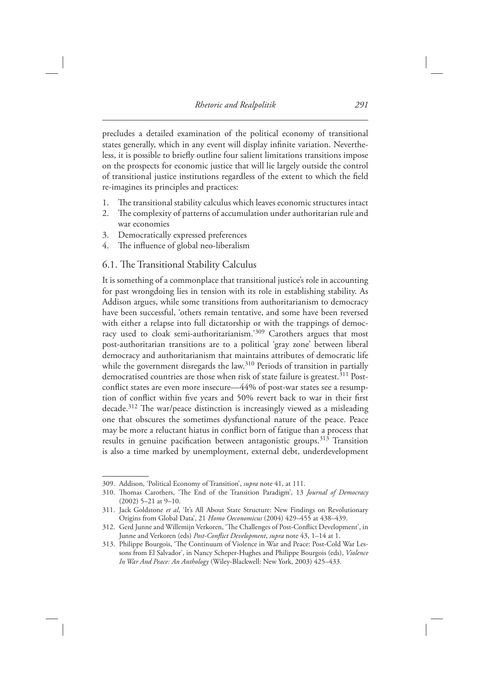precludes a detailed examination of the political economy of transitional states generally, which in any event will display infinite variation. Nevertheless, it is possible to briefly outline four salient limitations transitions impose on the prospects for economic justice that will lie largely outside the control of transitional justice institutions regardless of the extent to which the field re-imagines its principles and practices:

- 1. The transitional stability calculus which leaves economic structures intact
- 2. The complexity of patterns of accumulation under authoritarian rule and war economies
- 3. Democratically expressed preferences
- 4. The influence of global neo-liberalism

#### 6.1. The Transitional Stability Calculus

It is something of a commonplace that transitional justice's role in accounting for past wrongdoing lies in tension with its role in establishing stability. As Addison argues, while some transitions from authoritarianism to democracy have been successful, 'others remain tentative, and some have been reversed with either a relapse into full dictatorship or with the trappings of democracy used to cloak semi-authoritarianism.'309 Carothers argues that most post-authoritarian transitions are to a political 'gray zone' between liberal democracy and authoritarianism that maintains attributes of democratic life while the government disregards the law.<sup>310</sup> Periods of transition in partially democratised countries are those when risk of state failure is greatest. 311 Postconflict states are even more insecure—44% of post-war states see a resumption of conflict within five years and 50% revert back to war in their first decade.<sup>312</sup> The war/peace distinction is increasingly viewed as a misleading one that obscures the sometimes dysfunctional nature of the peace. Peace may be more a reluctant hiatus in conflict born of fatigue than a process that results in genuine pacification between antagonistic groups.<sup>313</sup> Transition is also a time marked by unemployment, external debt, underdevelopment

<sup>309.</sup> Addison, 'Political Economy of Transition', *supra* note 41, at 111.

<sup>310.</sup> Thomas Carothers, 'The End of the Transition Paradigm', 13 *Journal of Democracy*  $(2002)$  5-21 at 9-10.

<sup>311.</sup> Jack Goldstone *et al.* 'It's All About State Structure: New Findings on Revolutionary Origins from Global Data', 21 *Homo Oeconomicus* (2004) 429-455 at 438-439.

<sup>312.</sup> Gerd Junne and Willemijn Verkoren, 'The Challenges of Post-Conflict Development', in Junne and Verkoren (eds) *Post-Conflict Development*, *supra* note 43, 1-14 at 1.

<sup>313.</sup> Philippe Bourgois, 'The Continuum of Violence in War and Peace: Post-Cold War Lessons from El Salvador', in Nancy Scheper-Hughes and Philippe Bourgois (eds), *Violence* In War And Peace: An Anthology (Wiley-Blackwell: New York, 2003) 425-433.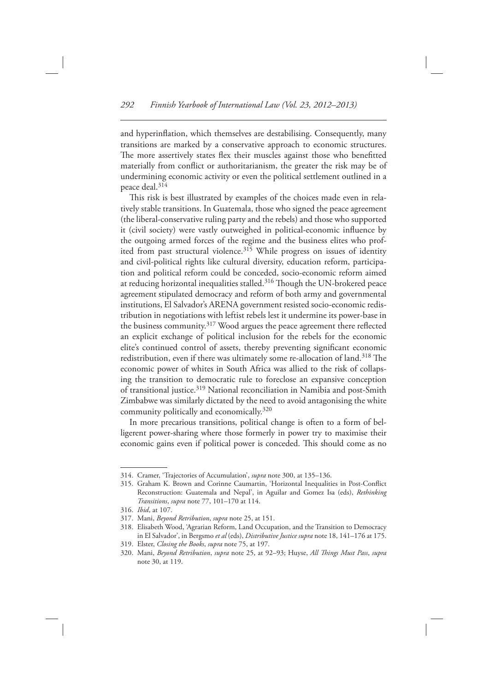and hyperinflation, which themselves are destabilising. Consequently, many transitions are marked by a conservative approach to economic structures. The more assertively states flex their muscles against those who benefitted materially from conflict or authoritarianism, the greater the risk may be of undermining economic activity or even the political settlement outlined in a peace deal. 314

This risk is best illustrated by examples of the choices made even in relatively stable transitions. In Guatemala, those who signed the peace agreement (the liberal-conservative ruling party and the rebels) and those who supported it (civil society) were vastly outweighed in political-economic influence by the outgoing armed forces of the regime and the business elites who profited from past structural violence.<sup>315</sup> While progress on issues of identity and civil-political rights like cultural diversity, education reform, participation and political reform could be conceded, socio-economic reform aimed at reducing horizontal inequalities stalled.<sup>316</sup> Though the UN-brokered peace agreement stipulated democracy and reform of both army and governmental institutions, El Salvador's ARENA government resisted socio-economic redistribution in negotiations with leftist rebels lest it undermine its power-base in the business community.<sup>317</sup> Wood argues the peace agreement there reflected an explicit exchange of political inclusion for the rebels for the economic elite's continued control of assets, thereby preventing significant economic redistribution, even if there was ultimately some re-allocation of land.<sup>318</sup> The economic power of whites in South Africa was allied to the risk of collapsing the transition to democratic rule to foreclose an expansive conception of transitional justice. 319 National reconciliation in Namibia and post-Smith Zimbabwe was similarly dictated by the need to avoid antagonising the white community politically and economically.<sup>320</sup>

 In more precarious transitions, political change is often to a form of belligerent power-sharing where those formerly in power try to maximise their economic gains even if political power is conceded. This should come as no

<sup>314.</sup> Cramer, 'Trajectories of Accumulation', *supra* note 300, at 135-136.

<sup>315.</sup> Graham K. Brown and Corinne Caumartin, 'Horizontal Inequalities in Post-Conflict Reconstruction: Guatemala and Nepal', in Aguilar and Gomez Isa (eds), *Rethinking Transitions* , *supra* note 77, 101–170 at 114.

<sup>316.</sup> *Ibid*, at 107.

 <sup>317.</sup> Mani, *Beyond Retribution* , *supra* note 25, at 151.

<sup>318.</sup> Elisabeth Wood, 'Agrarian Reform, Land Occupation, and the Transition to Democracy in El Salvador', in Bergsmo et al (eds), *Distributive Justice supra* note 18, 141-176 at 175.

 <sup>319.</sup> Elster, *Closing the Books* , *supra* note 75, at 197.

 <sup>320.</sup> Mani, *Beyond Retribution* , *supra* note 25, at 92–93; Huyse, *All Th ings Must Pass* , *supra* note 30, at 119.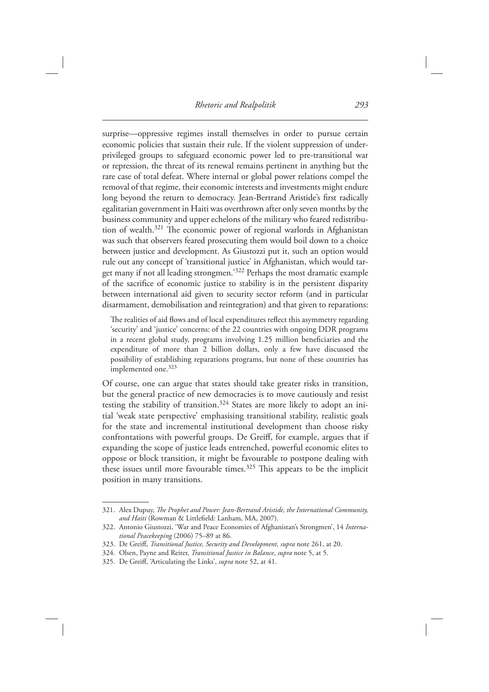surprise—oppressive regimes install themselves in order to pursue certain economic policies that sustain their rule. If the violent suppression of underprivileged groups to safeguard economic power led to pre-transitional war or repression, the threat of its renewal remains pertinent in anything but the rare case of total defeat. Where internal or global power relations compel the removal of that regime, their economic interests and investments might endure long beyond the return to democracy. Jean-Bertrand Aristide's first radically egalitarian government in Haiti was overthrown after only seven months by the business community and upper echelons of the military who feared redistribution of wealth.<sup>321</sup> The economic power of regional warlords in Afghanistan was such that observers feared prosecuting them would boil down to a choice between justice and development. As Giustozzi put it, such an option would rule out any concept of 'transitional justice' in Afghanistan, which would target many if not all leading strongmen.<sup>'322</sup> Perhaps the most dramatic example of the sacrifice of economic justice to stability is in the persistent disparity between international aid given to security sector reform (and in particular disarmament, demobilisation and reintegration) and that given to reparations:

The realities of aid flows and of local expenditures reflect this asymmetry regarding 'security' and 'justice' concerns: of the 22 countries with ongoing DDR programs in a recent global study, programs involving 1.25 million beneficiaries and the expenditure of more than 2 billion dollars, only a few have discussed the possibility of establishing reparations programs, but none of these countries has implemented one.<sup>323</sup>

 Of course, one can argue that states should take greater risks in transition, but the general practice of new democracies is to move cautiously and resist testing the stability of transition.<sup>324</sup> States are more likely to adopt an initial 'weak state perspective' emphasising transitional stability, realistic goals for the state and incremental institutional development than choose risky confrontations with powerful groups. De Greiff, for example, argues that if expanding the scope of justice leads entrenched, powerful economic elites to oppose or block transition, it might be favourable to postpone dealing with these issues until more favourable times.<sup>325</sup> This appears to be the implicit position in many transitions.

 <sup>321.</sup> Alex Dupuy , *Th e Prophet and Power: Jean-Bertrand Aristide, the International Community,*  and Haiti (Rowman & Littlefield: Lanham, MA, 2007).

<sup>322.</sup> Antonio Giustozzi, 'War and Peace Economies of Afghanistan's Strongmen', 14 *International Peacekeeping* (2006) 75-89 at 86.

<sup>323.</sup> De Greiff, *Transitional Justice, Security and Development, supra* note 261, at 20.

 <sup>324.</sup> Olsen, Payne and Reiter, *Transitional Justice in Balance* , *supra* note 5, at 5.

<sup>325.</sup> De Greiff, 'Articulating the Links', *supra* note 52, at 41.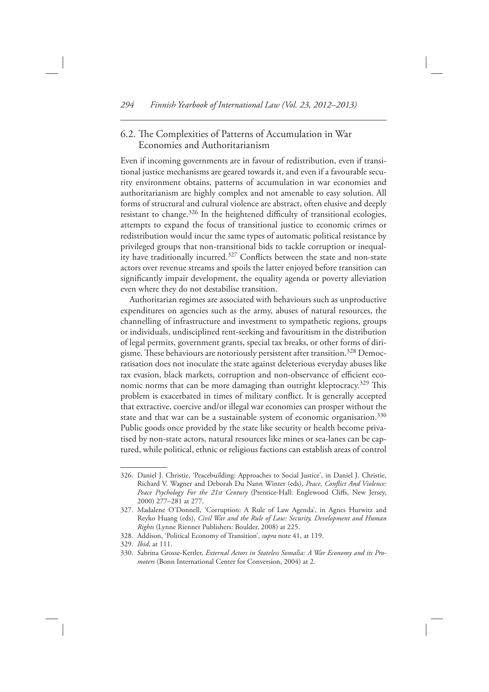#### 6.2. The Complexities of Patterns of Accumulation in War Economies and Authoritarianism

 Even if incoming governments are in favour of redistribution, even if transitional justice mechanisms are geared towards it, and even if a favourable security environment obtains, patterns of accumulation in war economies and authoritarianism are highly complex and not amenable to easy solution. All forms of structural and cultural violence are abstract, often elusive and deeply resistant to change. $326$  In the heightened difficulty of transitional ecologies, attempts to expand the focus of transitional justice to economic crimes or redistribution would incur the same types of automatic political resistance by privileged groups that non-transitional bids to tackle corruption or inequality have traditionally incurred.<sup>327</sup> Conflicts between the state and non-state actors over revenue streams and spoils the latter enjoyed before transition can significantly impair development, the equality agenda or poverty alleviation even where they do not destabilise transition.

 Authoritarian regimes are associated with behaviours such as unproductive expenditures on agencies such as the army, abuses of natural resources, the channelling of infrastructure and investment to sympathetic regions, groups or individuals, undisciplined rent-seeking and favouritism in the distribution of legal permits, government grants, special tax breaks, or other forms of dirigisme. These behaviours are notoriously persistent after transition.<sup>328</sup> Democratisation does not inoculate the state against deleterious everyday abuses like tax evasion, black markets, corruption and non-observance of efficient economic norms that can be more damaging than outright kleptocracy.<sup>329</sup> This problem is exacerbated in times of military conflict. It is generally accepted that extractive, coercive and/or illegal war economies can prosper without the state and that war can be a sustainable system of economic organisation.<sup>330</sup> Public goods once provided by the state like security or health become privatised by non-state actors, natural resources like mines or sea-lanes can be captured, while political, ethnic or religious factions can establish areas of control

<sup>326.</sup> Daniel J. Christie, 'Peacebuilding: Approaches to Social Justice', in Daniel J. Christie, Richard V. Wagner and Deborah Du Nann Winter (eds), Peace, Conflict And Violence: Peace Psychology For the 21st Century (Prentice-Hall: Englewood Cliffs, New Jersey, 2000) 277-281 at 277.

<sup>327.</sup> Madalene O'Donnell, 'Corruption: A Rule of Law Agenda', in Agnes Hurwitz and Reyko Huang (eds), *Civil War and the Rule of Law: Security, Development and Human Rights* (Lynne Rienner Publishers: Boulder, 2008) at 225.

<sup>328.</sup> Addison, 'Political Economy of Transition', *supra* note 41, at 119.

<sup>329.</sup> *Ibid*, at 111.

 <sup>330.</sup> Sabrina Grosse-Kettler, *External Actors in Stateless Somalia: A War Economy and its Promoters* (Bonn International Center for Conversion, 2004) at 2.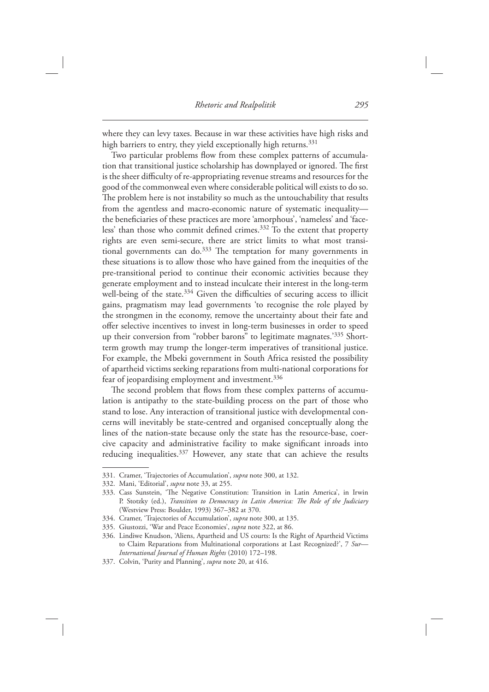where they can levy taxes. Because in war these activities have high risks and high barriers to entry, they yield exceptionally high returns.<sup>331</sup>

Two particular problems flow from these complex patterns of accumulation that transitional justice scholarship has downplayed or ignored. The first is the sheer difficulty of re-appropriating revenue streams and resources for the good of the commonweal even where considerable political will exists to do so. The problem here is not instability so much as the untouchability that results from the agentless and macro-economic nature of systematic inequalitythe beneficiaries of these practices are more 'amorphous', 'nameless' and 'faceless' than those who commit defined crimes.<sup>332</sup> To the extent that property rights are even semi-secure, there are strict limits to what most transitional governments can do. $333$  The temptation for many governments in these situations is to allow those who have gained from the inequities of the pre-transitional period to continue their economic activities because they generate employment and to instead inculcate their interest in the long-term well-being of the state. $334$  Given the difficulties of securing access to illicit gains, pragmatism may lead governments 'to recognise the role played by the strongmen in the economy, remove the uncertainty about their fate and offer selective incentives to invest in long-term businesses in order to speed up their conversion from "robber barons" to legitimate magnates.<sup>335</sup> Shortterm growth may trump the longer-term imperatives of transitional justice. For example, the Mbeki government in South Africa resisted the possibility of apartheid victims seeking reparations from multi-national corporations for fear of jeopardising employment and investment.<sup>336</sup>

The second problem that flows from these complex patterns of accumulation is antipathy to the state-building process on the part of those who stand to lose. Any interaction of transitional justice with developmental concerns will inevitably be state-centred and organised conceptually along the lines of the nation-state because only the state has the resource-base, coercive capacity and administrative facility to make significant inroads into reducing inequalities.<sup>337</sup> However, any state that can achieve the results

<sup>331.</sup> Cramer, 'Trajectories of Accumulation', *supra* note 300, at 132.

<sup>332.</sup> Mani, 'Editorial', *supra* note 33, at 255.

<sup>333.</sup> Cass Sunstein, 'The Negative Constitution: Transition in Latin America', in Irwin P. Stotzky (ed.), *Transition to Democracy in Latin America: The Role of the Judiciary* (Westview Press: Boulder, 1993) 367-382 at 370.

<sup>334.</sup> Cramer, 'Trajectories of Accumulation', *supra* note 300, at 135.

<sup>335.</sup> Giustozzi, 'War and Peace Economies', *supra* note 322, at 86.

<sup>336.</sup> Lindiwe Knudson, 'Aliens, Apartheid and US courts: Is the Right of Apartheid Victims to Claim Reparations from Multinational corporations at Last Recognized?', 7 Sur-International Journal of Human Rights (2010) 172-198.

<sup>337.</sup> Colvin, 'Purity and Planning', *supra* note 20, at 416.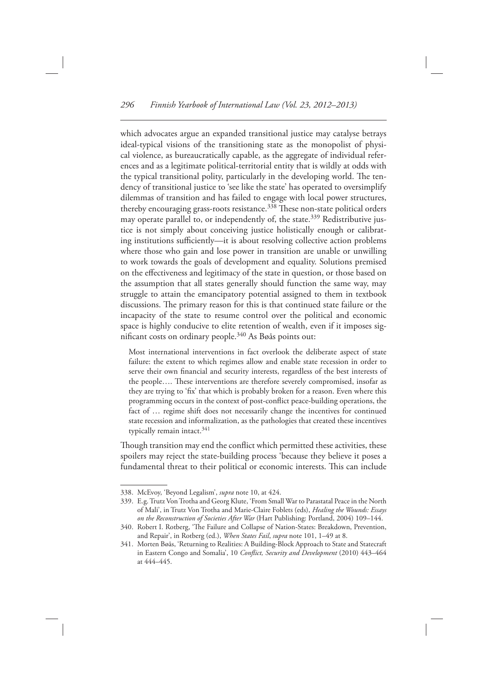which advocates argue an expanded transitional justice may catalyse betrays ideal-typical visions of the transitioning state as the monopolist of physical violence, as bureaucratically capable, as the aggregate of individual references and as a legitimate political-territorial entity that is wildly at odds with the typical transitional polity, particularly in the developing world. The tendency of transitional justice to 'see like the state' has operated to oversimplify dilemmas of transition and has failed to engage with local power structures, thereby encouraging grass-roots resistance.<sup>338</sup> These non-state political orders may operate parallel to, or independently of, the state.<sup>339</sup> Redistributive justice is not simply about conceiving justice holistically enough or calibrating institutions sufficiently—it is about resolving collective action problems where those who gain and lose power in transition are unable or unwilling to work towards the goals of development and equality. Solutions premised on the effectiveness and legitimacy of the state in question, or those based on the assumption that all states generally should function the same way, may struggle to attain the emancipatory potential assigned to them in textbook discussions. The primary reason for this is that continued state failure or the incapacity of the state to resume control over the political and economic space is highly conducive to elite retention of wealth, even if it imposes significant costs on ordinary people.<sup>340</sup> As Bøås points out:

 Most international interventions in fact overlook the deliberate aspect of state failure: the extent to which regimes allow and enable state recession in order to serve their own financial and security interests, regardless of the best interests of the people.... These interventions are therefore severely compromised, insofar as they are trying to 'fix' that which is probably broken for a reason. Even where this programming occurs in the context of post-conflict peace-building operations, the fact of … regime shift does not necessarily change the incentives for continued state recession and informalization, as the pathologies that created these incentives typically remain intact.<sup>341</sup>

Though transition may end the conflict which permitted these activities, these spoilers may reject the state-building process 'because they believe it poses a fundamental threat to their political or economic interests. This can include

<sup>338.</sup> McEvoy, 'Beyond Legalism', *supra* note 10, at 424.

<sup>339.</sup> E.g. Trutz Von Trotha and Georg Klute, 'From Small War to Parastatal Peace in the North of Mali ' , in Trutz Von Trotha and Marie-Claire Foblets (eds), *Healing the Wounds: Essays*  on the Reconstruction of Societies After War (Hart Publishing: Portland, 2004) 109-144.

<sup>340.</sup> Robert I. Rotberg, 'The Failure and Collapse of Nation-States: Breakdown, Prevention, and Repair', in Rotberg (ed.), When States Fail, supra note 101, 1-49 at 8.

<sup>341.</sup> Morten Bøås, 'Returning to Realities: A Building-Block Approach to State and Statecraft in Eastern Congo and Somalia', 10 *Conflict, Security and Development* (2010) 443-464 at 444-445.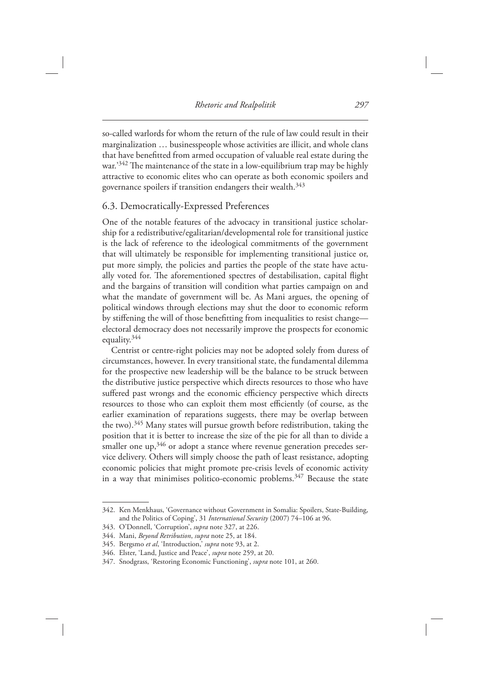so-called warlords for whom the return of the rule of law could result in their marginalization … businesspeople whose activities are illicit, and whole clans that have benefitted from armed occupation of valuable real estate during the war.<sup>'342</sup> The maintenance of the state in a low-equilibrium trap may be highly attractive to economic elites who can operate as both economic spoilers and governance spoilers if transition endangers their wealth. 343

#### 6.3. Democratically-Expressed Preferences

 One of the notable features of the advocacy in transitional justice scholarship for a redistributive/egalitarian/developmental role for transitional justice is the lack of reference to the ideological commitments of the government that will ultimately be responsible for implementing transitional justice or, put more simply, the policies and parties the people of the state have actually voted for. The aforementioned spectres of destabilisation, capital flight and the bargains of transition will condition what parties campaign on and what the mandate of government will be. As Mani argues, the opening of political windows through elections may shut the door to economic reform by stiffening the will of those benefitting from inequalities to resist change electoral democracy does not necessarily improve the prospects for economic equality. 344

 Centrist or centre-right policies may not be adopted solely from duress of circumstances, however. In every transitional state, the fundamental dilemma for the prospective new leadership will be the balance to be struck between the distributive justice perspective which directs resources to those who have suffered past wrongs and the economic efficiency perspective which directs resources to those who can exploit them most efficiently (of course, as the earlier examination of reparations suggests, there may be overlap between the two).<sup>345</sup> Many states will pursue growth before redistribution, taking the position that it is better to increase the size of the pie for all than to divide a smaller one  $up, 346$  or adopt a stance where revenue generation precedes service delivery. Others will simply choose the path of least resistance, adopting economic policies that might promote pre-crisis levels of economic activity in a way that minimises politico-economic problems.<sup>347</sup> Because the state

 <sup>342.</sup> Ken Menkhaus , ' Governance without Government in Somalia: Spoilers, State-Building, and the Politics of Coping', 31 *International Security* (2007) 74-106 at 96.

<sup>343.</sup> O'Donnell, 'Corruption', *supra* note 327, at 226.

 <sup>344.</sup> Mani, *Beyond Retribution* , *supra* note 25, at 184.

<sup>345.</sup> Bergsmo et al, 'Introduction,' *supra* note 93, at 2.

<sup>346.</sup> Elster, 'Land, Justice and Peace', *supra* note 259, at 20.

<sup>347.</sup> Snodgrass, 'Restoring Economic Functioning', *supra* note 101, at 260.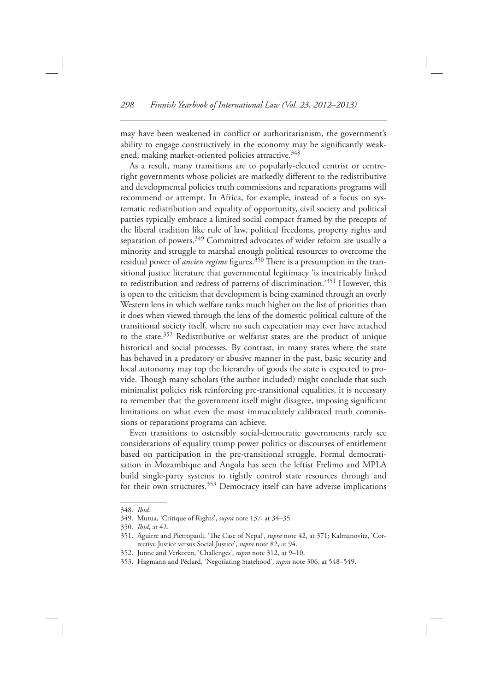may have been weakened in conflict or authoritarianism, the government's ability to engage constructively in the economy may be significantly weakened, making market-oriented policies attractive.<sup>348</sup>

 As a result, many transitions are to popularly-elected centrist or centreright governments whose policies are markedly different to the redistributive and developmental policies truth commissions and reparations programs will recommend or attempt. In Africa, for example, instead of a focus on systematic redistribution and equality of opportunity, civil society and political parties typically embrace a limited social compact framed by the precepts of the liberal tradition like rule of law, political freedoms, property rights and separation of powers.<sup>349</sup> Committed advocates of wider reform are usually a minority and struggle to marshal enough political resources to overcome the residual power of *ancien regime* figures.<sup>350</sup> There is a presumption in the transitional justice literature that governmental legitimacy 'is inextricably linked to redistribution and redress of patterns of discrimination.'<sup>351</sup> However, this is open to the criticism that development is being examined through an overly Western lens in which welfare ranks much higher on the list of priorities than it does when viewed through the lens of the domestic political culture of the transitional society itself, where no such expectation may ever have attached to the state. 352 Redistributive or welfarist states are the product of unique historical and social processes. By contrast, in many states where the state has behaved in a predatory or abusive manner in the past, basic security and local autonomy may top the hierarchy of goods the state is expected to provide. Though many scholars (the author included) might conclude that such minimalist policies risk reinforcing pre-transitional equalities, it is necessary to remember that the government itself might disagree, imposing significant limitations on what even the most immaculately calibrated truth commissions or reparations programs can achieve.

 Even transitions to ostensibly social-democratic governments rarely see considerations of equality trump power politics or discourses of entitlement based on participation in the pre-transitional struggle. Formal democratisation in Mozambique and Angola has seen the leftist Frelimo and MPLA build single-party systems to tightly control state resources through and for their own structures.<sup>353</sup> Democracy itself can have adverse implications

 <sup>348.</sup> *Ibid.*

<sup>349.</sup> Mutua, 'Critique of Rights', *supra* note 137, at 34-35.

 <sup>350.</sup> *Ibid* , at 42.

<sup>351.</sup> Aguirre and Pietropaoli, 'The Case of Nepal', *supra* note 42, at 371; Kalmanovitz, 'Corrective Justice versus Social Justice', *supra* note 82, at 94.

<sup>352.</sup> Junne and Verkoren, 'Challenges', *supra* note 312, at 9-10.

<sup>353.</sup> Hagmann and Péclard, 'Negotiating Statehood', *supra* note 306, at 548-549.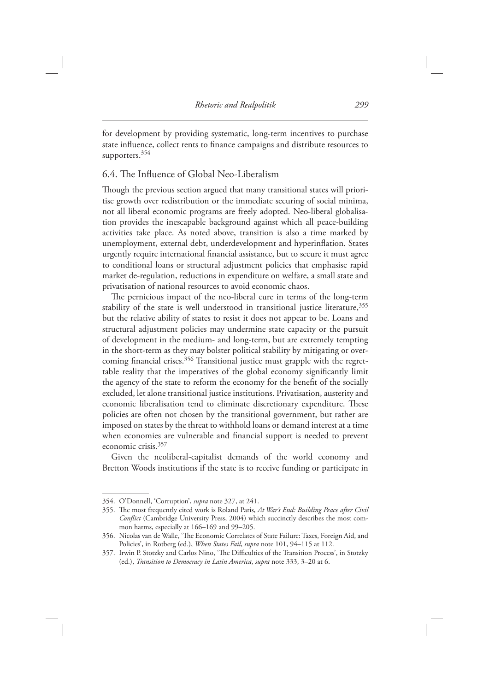for development by providing systematic, long-term incentives to purchase state influence, collect rents to finance campaigns and distribute resources to supporters.<sup>354</sup>

## 6.4. The Influence of Global Neo-Liberalism

Though the previous section argued that many transitional states will prioritise growth over redistribution or the immediate securing of social minima, not all liberal economic programs are freely adopted. Neo-liberal globalisation provides the inescapable background against which all peace-building activities take place. As noted above, transition is also a time marked by unemployment, external debt, underdevelopment and hyperinflation. States urgently require international financial assistance, but to secure it must agree to conditional loans or structural adjustment policies that emphasise rapid market de-regulation, reductions in expenditure on welfare, a small state and privatisation of national resources to avoid economic chaos.

The pernicious impact of the neo-liberal cure in terms of the long-term stability of the state is well understood in transitional justice literature, 355 but the relative ability of states to resist it does not appear to be. Loans and structural adjustment policies may undermine state capacity or the pursuit of development in the medium- and long-term, but are extremely tempting in the short-term as they may bolster political stability by mitigating or overcoming financial crises.<sup>356</sup> Transitional justice must grapple with the regrettable reality that the imperatives of the global economy significantly limit the agency of the state to reform the economy for the benefit of the socially excluded, let alone transitional justice institutions. Privatisation, austerity and economic liberalisation tend to eliminate discretionary expenditure. These policies are often not chosen by the transitional government, but rather are imposed on states by the threat to withhold loans or demand interest at a time when economies are vulnerable and financial support is needed to prevent economic crisis. 357

 Given the neoliberal-capitalist demands of the world economy and Bretton Woods institutions if the state is to receive funding or participate in

<sup>354.</sup> O'Donnell, 'Corruption', *supra* note 327, at 241.

<sup>355.</sup> The most frequently cited work is Roland Paris, At War's End: Building Peace after Civil *Conflict* (Cambridge University Press, 2004) which succinctly describes the most common harms, especially at 166–169 and 99–205.

<sup>356.</sup> Nicolas van de Walle, 'The Economic Correlates of State Failure: Taxes, Foreign Aid, and Policies', in Rotberg (ed.), *When States Fail, supra* note 101, 94-115 at 112.

<sup>357.</sup> Irwin P. Stotzky and Carlos Nino, 'The Difficulties of the Transition Process', in Stotzky (ed.), *Transition to Democracy in Latin America* , *supra* note 333, 3–20 at 6.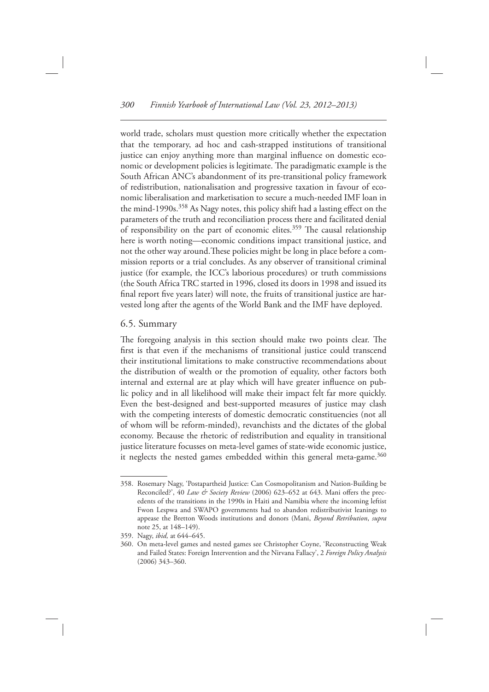world trade, scholars must question more critically whether the expectation that the temporary, ad hoc and cash-strapped institutions of transitional justice can enjoy anything more than marginal influence on domestic economic or development policies is legitimate. The paradigmatic example is the South African ANC's abandonment of its pre-transitional policy framework of redistribution, nationalisation and progressive taxation in favour of economic liberalisation and marketisation to secure a much-needed IMF loan in the mind-1990s.<sup>358</sup> As Nagy notes, this policy shift had a lasting effect on the parameters of the truth and reconciliation process there and facilitated denial of responsibility on the part of economic elites.<sup>359</sup> The causal relationship here is worth noting—economic conditions impact transitional justice, and not the other way around. These policies might be long in place before a commission reports or a trial concludes. As any observer of transitional criminal justice (for example, the ICC's laborious procedures) or truth commissions (the South Africa TRC started in 1996, closed its doors in 1998 and issued its final report five years later) will note, the fruits of transitional justice are harvested long after the agents of the World Bank and the IMF have deployed.

#### 6.5. Summary

The foregoing analysis in this section should make two points clear. The first is that even if the mechanisms of transitional justice could transcend their institutional limitations to make constructive recommendations about the distribution of wealth or the promotion of equality, other factors both internal and external are at play which will have greater influence on public policy and in all likelihood will make their impact felt far more quickly. Even the best-designed and best-supported measures of justice may clash with the competing interests of domestic democratic constituencies (not all of whom will be reform-minded), revanchists and the dictates of the global economy. Because the rhetoric of redistribution and equality in transitional justice literature focusses on meta-level games of state-wide economic justice, it neglects the nested games embedded within this general meta-game.<sup>360</sup>

 <sup>358.</sup> Rosemary Nagy , ' Postapartheid Justice: Can Cosmopolitanism and Nation-Building be Reconciled?', 40 *Law & Society Review* (2006) 623-652 at 643. Mani offers the precedents of the transitions in the 1990s in Haiti and Namibia where the incoming leftist Fwon Lespwa and SWAPO governments had to abandon redistributivist leanings to appease the Bretton Woods institutions and donors (Mani, *Beyond Retribution*, *supra* note 25, at 148–149).

 <sup>359.</sup> Nagy, *ibid,* at 644–645.

<sup>360.</sup> On meta-level games and nested games see Christopher Coyne, 'Reconstructing Weak and Failed States: Foreign Intervention and the Nirvana Fallacy', 2 Foreign Policy Analysis  $(2006)$  343-360.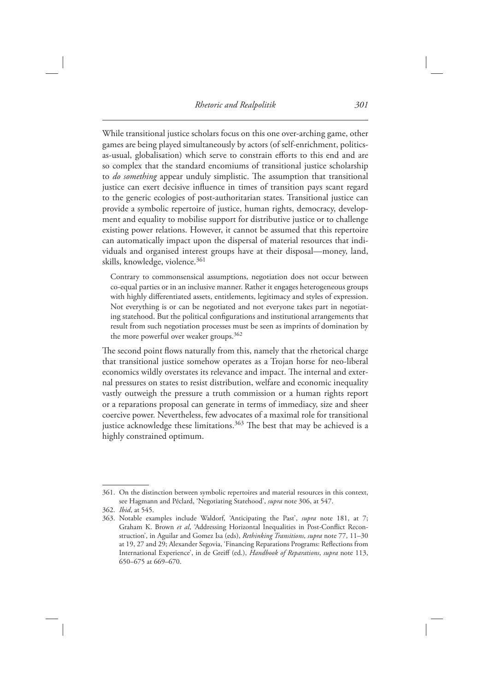While transitional justice scholars focus on this one over-arching game, other games are being played simultaneously by actors (of self-enrichment, politicsas-usual, globalisation) which serve to constrain efforts to this end and are so complex that the standard encomiums of transitional justice scholarship to *do something* appear unduly simplistic. The assumption that transitional justice can exert decisive influence in times of transition pays scant regard to the generic ecologies of post-authoritarian states. Transitional justice can provide a symbolic repertoire of justice, human rights, democracy, development and equality to mobilise support for distributive justice or to challenge existing power relations. However, it cannot be assumed that this repertoire can automatically impact upon the dispersal of material resources that individuals and organised interest groups have at their disposal—money, land, skills, knowledge, violence.<sup>361</sup>

 Contrary to commonsensical assumptions, negotiation does not occur between co-equal parties or in an inclusive manner. Rather it engages heterogeneous groups with highly differentiated assets, entitlements, legitimacy and styles of expression. Not everything is or can be negotiated and not everyone takes part in negotiating statehood. But the political configurations and institutional arrangements that result from such negotiation processes must be seen as imprints of domination by the more powerful over weaker groups. 362

The second point flows naturally from this, namely that the rhetorical charge that transitional justice somehow operates as a Trojan horse for neo-liberal economics wildly overstates its relevance and impact. The internal and external pressures on states to resist distribution, welfare and economic inequality vastly outweigh the pressure a truth commission or a human rights report or a reparations proposal can generate in terms of immediacy, size and sheer coercive power. Nevertheless, few advocates of a maximal role for transitional justice acknowledge these limitations.<sup>363</sup> The best that may be achieved is a highly constrained optimum.

 <sup>361.</sup> On the distinction between symbolic repertoires and material resources in this context, see Hagmann and Péclard, 'Negotiating Statehood', *supra* note 306, at 547.

<sup>362.</sup> *Ibid*, at 545.

<sup>363.</sup> Notable examples include Waldorf, 'Anticipating the Past', *supra* note 181, at 7; Graham K. Brown *et al*, 'Addressing Horizontal Inequalities in Post-Conflict Reconstruction', in Aguilar and Gomez Isa (eds), *Rethinking Transitions*, *supra* note 77, 11-30 at 19, 27 and 29; Alexander Segovia, 'Financing Reparations Programs: Reflections from International Experience', in de Greiff (ed.), *Handbook of Reparations*, *supra* note 113, 650–675 at 669–670.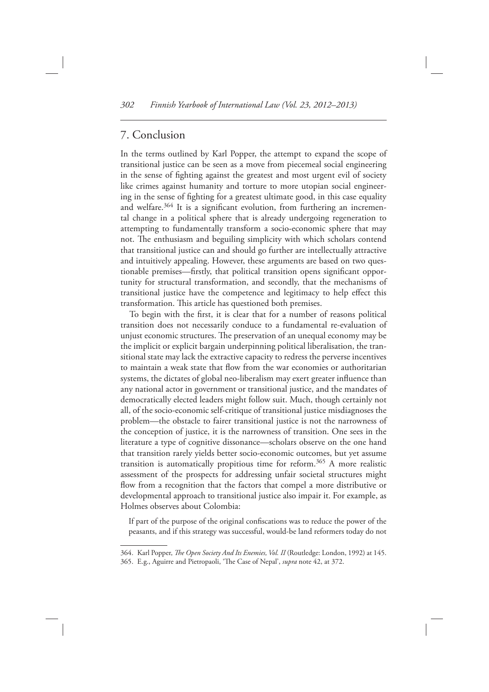## 7. Conclusion

 In the terms outlined by Karl Popper, the attempt to expand the scope of transitional justice can be seen as a move from piecemeal social engineering in the sense of fighting against the greatest and most urgent evil of society like crimes against humanity and torture to more utopian social engineering in the sense of fighting for a greatest ultimate good, in this case equality and welfare.<sup>364</sup> It is a significant evolution, from furthering an incremental change in a political sphere that is already undergoing regeneration to attempting to fundamentally transform a socio-economic sphere that may not. The enthusiasm and beguiling simplicity with which scholars contend that transitional justice can and should go further are intellectually attractive and intuitively appealing. However, these arguments are based on two questionable premises—firstly, that political transition opens significant opportunity for structural transformation, and secondly, that the mechanisms of transitional justice have the competence and legitimacy to help effect this transformation. This article has questioned both premises.

To begin with the first, it is clear that for a number of reasons political transition does not necessarily conduce to a fundamental re-evaluation of unjust economic structures. The preservation of an unequal economy may be the implicit or explicit bargain underpinning political liberalisation, the transitional state may lack the extractive capacity to redress the perverse incentives to maintain a weak state that flow from the war economies or authoritarian systems, the dictates of global neo-liberalism may exert greater influence than any national actor in government or transitional justice, and the mandates of democratically elected leaders might follow suit. Much, though certainly not all, of the socio-economic self-critique of transitional justice misdiagnoses the problem — the obstacle to fairer transitional justice is not the narrowness of the conception of justice, it is the narrowness of transition. One sees in the literature a type of cognitive dissonance—scholars observe on the one hand that transition rarely yields better socio-economic outcomes, but yet assume transition is automatically propitious time for reform. 365 A more realistic assessment of the prospects for addressing unfair societal structures might flow from a recognition that the factors that compel a more distributive or developmental approach to transitional justice also impair it. For example, as Holmes observes about Colombia:

If part of the purpose of the original confiscations was to reduce the power of the peasants, and if this strategy was successful, would-be land reformers today do not

<sup>364.</sup> Karl Popper, *The Open Society And Its Enemies, Vol. II* (Routledge: London, 1992) at 145.

<sup>365.</sup> E.g., Aguirre and Pietropaoli, 'The Case of Nepal', *supra* note 42, at 372.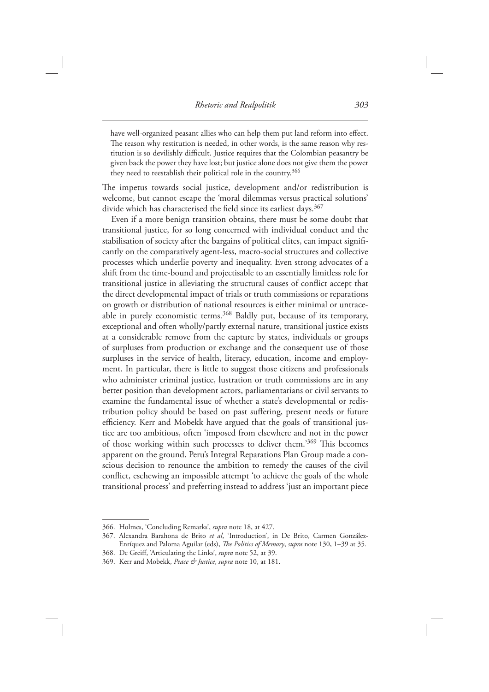have well-organized peasant allies who can help them put land reform into effect. The reason why restitution is needed, in other words, is the same reason why restitution is so devilishly difficult. Justice requires that the Colombian peasantry be given back the power they have lost; but justice alone does not give them the power they need to reestablish their political role in the country.<sup>366</sup>

The impetus towards social justice, development and/or redistribution is welcome, but cannot escape the 'moral dilemmas versus practical solutions' divide which has characterised the field since its earliest days.<sup>367</sup>

 Even if a more benign transition obtains, there must be some doubt that transitional justice, for so long concerned with individual conduct and the stabilisation of society after the bargains of political elites, can impact significantly on the comparatively agent-less, macro-social structures and collective processes which underlie poverty and inequality. Even strong advocates of a shift from the time-bound and projectisable to an essentially limitless role for transitional justice in alleviating the structural causes of conflict accept that the direct developmental impact of trials or truth commissions or reparations on growth or distribution of national resources is either minimal or untraceable in purely economistic terms. 368 Baldly put, because of its temporary, exceptional and often wholly/partly external nature, transitional justice exists at a considerable remove from the capture by states, individuals or groups of surpluses from production or exchange and the consequent use of those surpluses in the service of health, literacy, education, income and employment. In particular, there is little to suggest those citizens and professionals who administer criminal justice, lustration or truth commissions are in any better position than development actors, parliamentarians or civil servants to examine the fundamental issue of whether a state's developmental or redistribution policy should be based on past suffering, present needs or future efficiency. Kerr and Mobekk have argued that the goals of transitional justice are too ambitious, often ' imposed from elsewhere and not in the power of those working within such processes to deliver them.'369 This becomes apparent on the ground. Peru's Integral Reparations Plan Group made a conscious decision to renounce the ambition to remedy the causes of the civil conflict, eschewing an impossible attempt 'to achieve the goals of the whole transitional process' and preferring instead to address 'just an important piece

<sup>366.</sup> Holmes, 'Concluding Remarks', *supra* note 18, at 427.

<sup>367.</sup> Alexandra Barahona de Brito et al, 'Introduction', in De Brito, Carmen González-Enríquez and Paloma Aguilar (eds), *The Politics of Memory*, *supra* note 130, 1–39 at 35.

<sup>368.</sup> De Greiff, 'Articulating the Links', *supra* note 52, at 39.

 <sup>369.</sup> Kerr and Mobekk, *Peace & Justice* , *supra* note 10, at 181.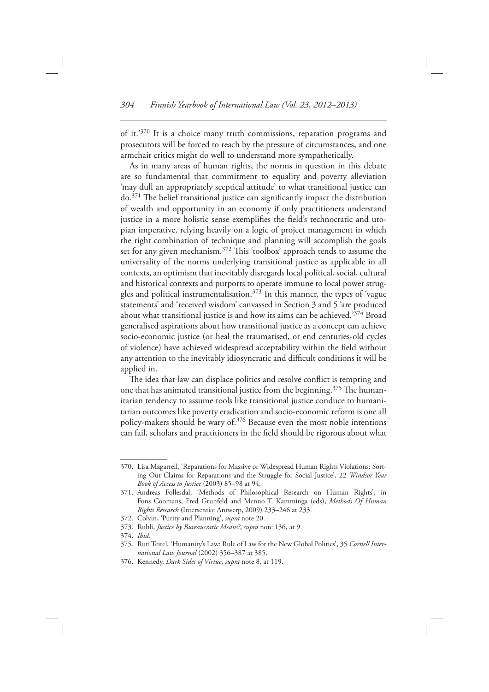of it.'370 It is a choice many truth commissions, reparation programs and prosecutors will be forced to reach by the pressure of circumstances, and one armchair critics might do well to understand more sympathetically.

 As in many areas of human rights, the norms in question in this debate are so fundamental that commitment to equality and poverty alleviation 'may dull an appropriately sceptical attitude' to what transitional justice can  $do.<sup>371</sup>$  The belief transitional justice can significantly impact the distribution of wealth and opportunity in an economy if only practitioners understand justice in a more holistic sense exemplifies the field's technocratic and utopian imperative, relying heavily on a logic of project management in which the right combination of technique and planning will accomplish the goals set for any given mechanism.<sup>372</sup> This 'toolbox' approach tends to assume the universality of the norms underlying transitional justice as applicable in all contexts, an optimism that inevitably disregards local political, social, cultural and historical contexts and purports to operate immune to local power struggles and political instrumentalisation.<sup>373</sup> In this manner, the types of 'vague statements' and 'received wisdom' canvassed in Section 3 and 5 'are produced about what transitional justice is and how its aims can be achieved.<sup>374</sup> Broad generalised aspirations about how transitional justice as a concept can achieve socio-economic justice (or heal the traumatised, or end centuries-old cycles of violence) have achieved widespread acceptability within the field without any attention to the inevitably idiosyncratic and difficult conditions it will be applied in.

The idea that law can displace politics and resolve conflict is tempting and one that has animated transitional justice from the beginning.<sup>375</sup> The humanitarian tendency to assume tools like transitional justice conduce to humanitarian outcomes like poverty eradication and socio-economic reform is one all policy-makers should be wary of.<sup>376</sup> Because even the most noble intentions can fail, scholars and practitioners in the field should be rigorous about what

<sup>370.</sup> Lisa Magarrell, 'Reparations for Massive or Widespread Human Rights Violations: Sorting Out Claims for Reparations and the Struggle for Social Justice', 22 *Windsor Year Book of Access to Justice* (2003) 85-98 at 94.

<sup>371.</sup> Andreas Follesdal, 'Methods of Philosophical Research on Human Rights', in Fons Coomans, Fred Grunfeld and Menno T. Kamminga (eds), *Methods Of Human Rights Research* (Intersentia: Antwerp, 2009) 233-246 at 233.

<sup>372.</sup> Colvin, 'Purity and Planning', *supra* note 20.

 <sup>373.</sup> Rubli, *Justice by Bureaucratic Means?* , *supra* note 136, at 9.

 <sup>374.</sup> *Ibid.*

<sup>375.</sup> Ruti Teitel, 'Humanity's Law: Rule of Law for the New Global Politics', 35 *Cornell Inter*national Law Journal (2002) 356-387 at 385.

 <sup>376.</sup> Kennedy, *Dark Sides of Virtue* , *supra* note 8, at 119.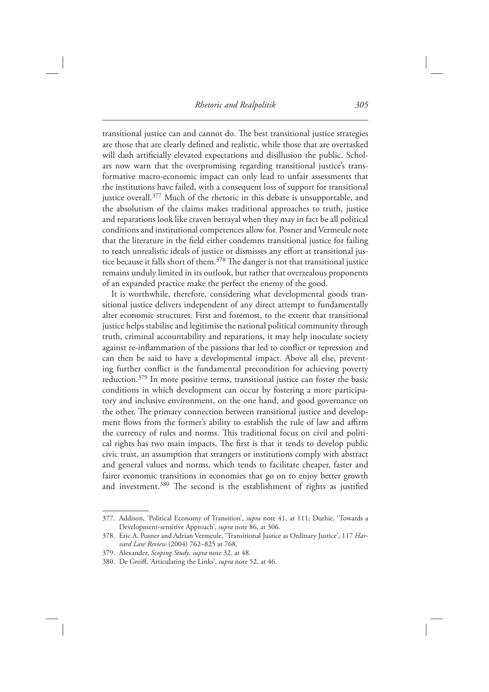transitional justice can and cannot do. The best transitional justice strategies are those that are clearly defined and realistic, while those that are overtasked will dash artificially elevated expectations and disillusion the public. Scholars now warn that the overpromising regarding transitional justice's transformative macro-economic impact can only lead to unfair assessments that the institutions have failed, with a consequent loss of support for transitional justice overall.<sup>377</sup> Much of the rhetoric in this debate is unsupportable, and the absolutism of the claims makes traditional approaches to truth, justice and reparations look like craven betrayal when they may in fact be all political conditions and institutional competences allow for. Posner and Vermeule note that the literature in the field either condemns transitional justice for failing to reach unrealistic ideals of justice or dismisses any effort at transitional justice because it falls short of them.<sup>378</sup> The danger is not that transitional justice remains unduly limited in its outlook, but rather that overzealous proponents of an expanded practice make the perfect the enemy of the good.

 It is worthwhile, therefore, considering what developmental goods transitional justice delivers independent of any direct attempt to fundamentally alter economic structures. First and foremost, to the extent that transitional justice helps stabilise and legitimise the national political community through truth, criminal accountability and reparations, it may help inoculate society against re-inflammation of the passions that led to conflict or repression and can then be said to have a developmental impact. Above all else, preventing further conflict is the fundamental precondition for achieving poverty reduction.<sup>379</sup> In more positive terms, transitional justice can foster the basic conditions in which development can occur by fostering a more participatory and inclusive environment, on the one hand, and good governance on the other. The primary connection between transitional justice and development flows from the former's ability to establish the rule of law and affirm the currency of rules and norms. This traditional focus on civil and political rights has two main impacts. The first is that it tends to develop public civic trust, an assumption that strangers or institutions comply with abstract and general values and norms, which tends to facilitate cheaper, faster and fairer economic transitions in economies that go on to enjoy better growth and investment.<sup>380</sup> The second is the establishment of rights as justified

<sup>377.</sup> Addison, 'Political Economy of Transition', *supra* note 41, at 111; Duthie, 'Towards a Development-sensitive Approach', *supra* note 86, at 306.

<sup>378.</sup> Eric A. Posner and Adrian Vermeule, 'Transitional Justice as Ordinary Justice', 117 Harvard Law Review (2004) 762-825 at 768.

 <sup>379.</sup> Alexander, *Scoping Study* , *supra* note 32, at 48.

<sup>380.</sup> De Greiff, 'Articulating the Links', *supra* note 52, at 46.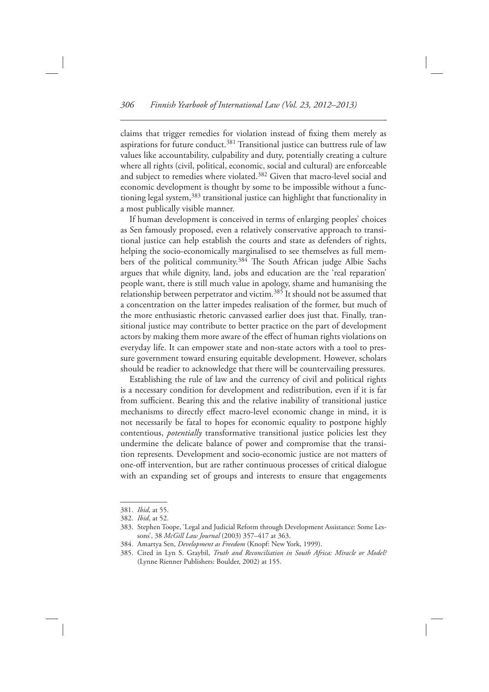claims that trigger remedies for violation instead of fixing them merely as aspirations for future conduct.<sup>381</sup> Transitional justice can buttress rule of law values like accountability, culpability and duty, potentially creating a culture where all rights (civil, political, economic, social and cultural) are enforceable and subject to remedies where violated. 382 Given that macro-level social and economic development is thought by some to be impossible without a functioning legal system, 383 transitional justice can highlight that functionality in a most publically visible manner.

If human development is conceived in terms of enlarging peoples' choices as Sen famously proposed, even a relatively conservative approach to transitional justice can help establish the courts and state as defenders of rights, helping the socio-economically marginalised to see themselves as full members of the political community.<sup>384</sup> The South African judge Albie Sachs argues that while dignity, land, jobs and education are the 'real reparation' people want, there is still much value in apology, shame and humanising the relationship between perpetrator and victim. 385 It should not be assumed that a concentration on the latter impedes realisation of the former, but much of the more enthusiastic rhetoric canvassed earlier does just that. Finally, transitional justice may contribute to better practice on the part of development actors by making them more aware of the effect of human rights violations on everyday life. It can empower state and non-state actors with a tool to pressure government toward ensuring equitable development. However, scholars should be readier to acknowledge that there will be countervailing pressures.

 Establishing the rule of law and the currency of civil and political rights is a necessary condition for development and redistribution, even if it is far from sufficient. Bearing this and the relative inability of transitional justice mechanisms to directly effect macro-level economic change in mind, it is not necessarily be fatal to hopes for economic equality to postpone highly contentious, *potentially* transformative transitional justice policies lest they undermine the delicate balance of power and compromise that the transition represents. Development and socio-economic justice are not matters of one-off intervention, but are rather continuous processes of critical dialogue with an expanding set of groups and interests to ensure that engagements

<sup>381.</sup> *Ibid*, at 55.

<sup>382.</sup> *Ibid*, at 52.

<sup>383.</sup> Stephen Toope, 'Legal and Judicial Reform through Development Assistance: Some Lessons', 38 *McGill Law Journal* (2003) 357-417 at 363.

<sup>384.</sup> Amartya Sen, *Development as Freedom* (Knopf: New York, 1999).

<sup>385.</sup> Cited in Lyn S. Graybil, *Truth and Reconciliation in South Africa: Miracle or Model?* (Lynne Rienner Publishers: Boulder, 2002) at 155.